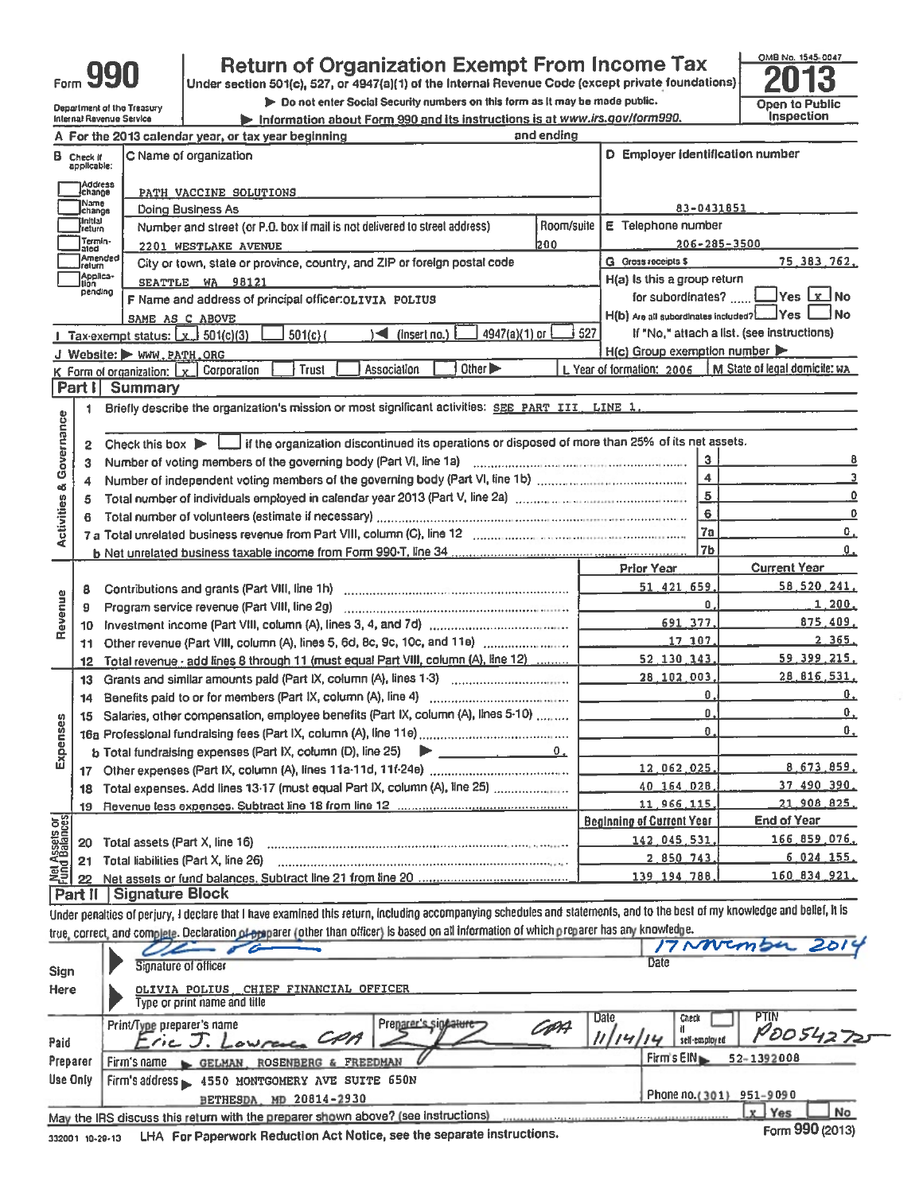| 11 T<br>4 P<br>1<br>I<br>Form. |  |
|--------------------------------|--|
|--------------------------------|--|

**Department of the Treasury<br>Internal Revenue Service** 

# Return of Organization Exempt From Income Tax<br>Under section 501(c), 527, or 4947(a)(1) of the Internal Revenue Code (except private foundations)

> Do not enter Social Security numbers on this form as It may be made public.

Information about Form 990 and its instructions is at www.irs.gov/form990.



|                                                                                                                              |                                  | A For the 2013 calendar year, or tax year beginning                                                                                                                        | and ending                       |                                                     |                                                              |
|------------------------------------------------------------------------------------------------------------------------------|----------------------------------|----------------------------------------------------------------------------------------------------------------------------------------------------------------------------|----------------------------------|-----------------------------------------------------|--------------------------------------------------------------|
|                                                                                                                              | <b>B</b> Check if<br>applicable: | C Name of organization                                                                                                                                                     |                                  | D Employer identification number                    |                                                              |
| )Address<br> change<br>PATH VACCINE SOLUTIONS                                                                                |                                  |                                                                                                                                                                            |                                  |                                                     |                                                              |
|                                                                                                                              | Name<br>lchange                  | Doing Business As                                                                                                                                                          |                                  | 83-0431851                                          |                                                              |
|                                                                                                                              | Initial<br> return               | Number and street (or P.O. box if mail is not delivered to street address).                                                                                                | Room/suite<br>E Telephone number |                                                     |                                                              |
|                                                                                                                              | Termin-<br>ated                  | 2201 WESTLAKE AVENUE                                                                                                                                                       | 200                              |                                                     | $206 - 285 - 3500$                                           |
| Amended<br><b>G</b> Gross receipts \$<br>City or town, state or province, country, and ZIP or foreign postal code<br>lreturn |                                  |                                                                                                                                                                            |                                  |                                                     |                                                              |
|                                                                                                                              | Applica-<br>tion                 | SEATTLE WA 98121                                                                                                                                                           |                                  | H(a) Is this a group return                         |                                                              |
| pending<br>F Name and address of principal officer: OLIVIA POLIUS                                                            |                                  |                                                                                                                                                                            |                                  |                                                     | for subordinates?  Ves X No                                  |
|                                                                                                                              |                                  | SAME AS C ABOVE                                                                                                                                                            |                                  |                                                     | H(b) Are all subordinates included?[[[11] Yes [<br>$\Box$ No |
|                                                                                                                              |                                  | 4947(a)(1) or<br>$501(c)$ (<br>$\sqrt{ }$ (insert no.)<br>1 Tax-exempt status: $\lfloor x \rfloor$ 501(c)(3)                                                               | 527                              |                                                     | If "No," attach a list. (see instructions)                   |
|                                                                                                                              |                                  | J Website: WWW.PATH.ORG                                                                                                                                                    |                                  | $H(c)$ Group exemption number $\blacktriangleright$ |                                                              |
|                                                                                                                              |                                  | Other $\blacktriangleright$<br><b>Trust</b><br>Association<br>$K$ Form of organization: $K$ Corporation                                                                    |                                  | L Year of formation: 2006                           | M State of legal domicile: WA                                |
|                                                                                                                              | Part I                           | Summary                                                                                                                                                                    |                                  |                                                     |                                                              |
|                                                                                                                              | 1                                | Briefly describe the organization's mission or most significant activities: SEE PART III, LINE 1.                                                                          |                                  |                                                     |                                                              |
|                                                                                                                              |                                  |                                                                                                                                                                            |                                  |                                                     |                                                              |
| Governance                                                                                                                   | 2                                | Check this box $\blacktriangleright$   if the organization discontinued its operations or disposed of more than 25% of its net assets.                                     |                                  |                                                     |                                                              |
|                                                                                                                              | 3                                |                                                                                                                                                                            |                                  |                                                     | 3 <sup>1</sup>                                               |
|                                                                                                                              |                                  |                                                                                                                                                                            |                                  |                                                     | $\overline{\mathbf{4}}$                                      |
| đδ                                                                                                                           | 4                                |                                                                                                                                                                            |                                  |                                                     | 5                                                            |
|                                                                                                                              | 5                                | Total number of individuals employed in calendar year 2013 (Part V, line 2a) manufactured contains an intervention                                                         |                                  |                                                     | 6<br>0                                                       |
| <b>Activities</b>                                                                                                            | 6                                |                                                                                                                                                                            |                                  | 7a                                                  |                                                              |
|                                                                                                                              |                                  |                                                                                                                                                                            |                                  |                                                     | О.<br>7 <sub>b</sub>                                         |
|                                                                                                                              |                                  |                                                                                                                                                                            |                                  |                                                     | 0.                                                           |
|                                                                                                                              |                                  |                                                                                                                                                                            |                                  | <b>Prior Year</b>                                   | <b>Current Year</b>                                          |
|                                                                                                                              | 8                                |                                                                                                                                                                            |                                  | 51, 421, 659                                        | 58.520.241.                                                  |
| Revenue                                                                                                                      | 9                                |                                                                                                                                                                            |                                  |                                                     | 1,200.<br>Û.                                                 |
|                                                                                                                              | 10                               |                                                                                                                                                                            |                                  | 691.377.                                            | <u>875.409.</u>                                              |
|                                                                                                                              | 11                               | Other revenue (Part VIII, column (A), lines 5, 6d, 8c, 9c, 10c, and 11e)                                                                                                   |                                  | 17 107                                              | 2.365.                                                       |
|                                                                                                                              | 12                               | Total revenue - add lines 8 through 11 (must equal Part VIII, column (A), line 12)                                                                                         |                                  | 52 130 143.                                         | 59, 399, 215,                                                |
|                                                                                                                              | 13                               | Grants and similar amounts paid (Part IX, column (A), lines 1-3)                                                                                                           |                                  | 28 102 003,                                         | 28 816 531.                                                  |
|                                                                                                                              | 14                               |                                                                                                                                                                            |                                  |                                                     | Ο.<br>Ο.                                                     |
|                                                                                                                              | 15                               | Salaries, other compensation, employee benefits (Part IX, column (A), lines 5-10)                                                                                          |                                  |                                                     | Û.<br>Ο.                                                     |
|                                                                                                                              |                                  |                                                                                                                                                                            |                                  |                                                     | $\mathbf{0}$ .<br>О.                                         |
| Expenses                                                                                                                     |                                  | $b$ Total fundraising expenses (Part IX, column (D), line 25) $\rightarrow$ ______________                                                                                 | 0.                               |                                                     |                                                              |
|                                                                                                                              | 17                               |                                                                                                                                                                            |                                  | 12.062.025.                                         | 8.673.859.                                                   |
|                                                                                                                              | 18                               | Total expenses. Add lines 13-17 (must equal Part IX, column (A), line 25)                                                                                                  |                                  | 40 164 028.                                         | <u>37.490.390.</u>                                           |
|                                                                                                                              | 19                               |                                                                                                                                                                            |                                  | 11 966 115.                                         | 21 908 825.                                                  |
|                                                                                                                              |                                  |                                                                                                                                                                            |                                  | <b>Beginning of Current Year</b>                    | <b>End of Year</b>                                           |
| Net Assets or<br>Fund Balances                                                                                               | 20                               | Total assets (Part X, line 16)                                                                                                                                             |                                  | 142 045 531                                         | <u>166 859 076.</u>                                          |
|                                                                                                                              | 21                               | Total liabilities (Part X, line 26)                                                                                                                                        |                                  | 2 850 743                                           | 6 024 155.                                                   |
|                                                                                                                              | 22                               |                                                                                                                                                                            |                                  | 139 194 788                                         | 160 834 921.                                                 |
|                                                                                                                              | Part II                          | <b>Signature Block</b>                                                                                                                                                     |                                  |                                                     |                                                              |
|                                                                                                                              |                                  | Under penalties of perjury, I declare that I have examined this return, including accompanying schedules and statements, and to the best of my knowledge and belief, it is |                                  |                                                     |                                                              |
|                                                                                                                              |                                  | true, correct, and com <u>plete. Declaration of proparer (other than officer)</u> is based <u>on all information o</u> f which p <u>reparer has any knowled</u> ge.        |                                  |                                                     |                                                              |
|                                                                                                                              |                                  |                                                                                                                                                                            |                                  |                                                     |                                                              |

|          |                                                                                                                     | $\frac{1}{2}$                         |  |  |  |  |
|----------|---------------------------------------------------------------------------------------------------------------------|---------------------------------------|--|--|--|--|
| Sign     | Signature of officer                                                                                                | Date                                  |  |  |  |  |
| Here     | OLIVIA POLIUS _ CHIEF FINANCIAL OFFICER<br>Type or print name and title                                             |                                       |  |  |  |  |
|          | Date<br>Preparer s signature<br>Print/Type preparer's name                                                          | PTIN<br>Check<br>PO0542725            |  |  |  |  |
| Paid     | Tic J. Lowrence CAA                                                                                                 | self-employed                         |  |  |  |  |
| Preparer | Firm's name GELMAN, ROSENBERG & FREEDMAN                                                                            | Firm's $EN \rightarrow$<br>52-1392008 |  |  |  |  |
| Use Only | Firm's address - 4550 MONTGOMERY AVE SUITE 650N                                                                     |                                       |  |  |  |  |
|          | BETHESDA, MD 20814-2930                                                                                             | Phone no. (301) 951-9090              |  |  |  |  |
|          | May the IRS discuss this return with the preparer shown above? (see instructions)                                   | No<br>Yes<br>$\mathbf{x}$             |  |  |  |  |
|          | Form 990 (2013)<br>$\pm$ LHA. For Panerwork Reduction Act Notice, see the separate instructions.<br>SARAGE AR SARAS |                                       |  |  |  |  |

332001 10-29-13 LHA For Paperwork Reduction Act Notice, see the separate instructions.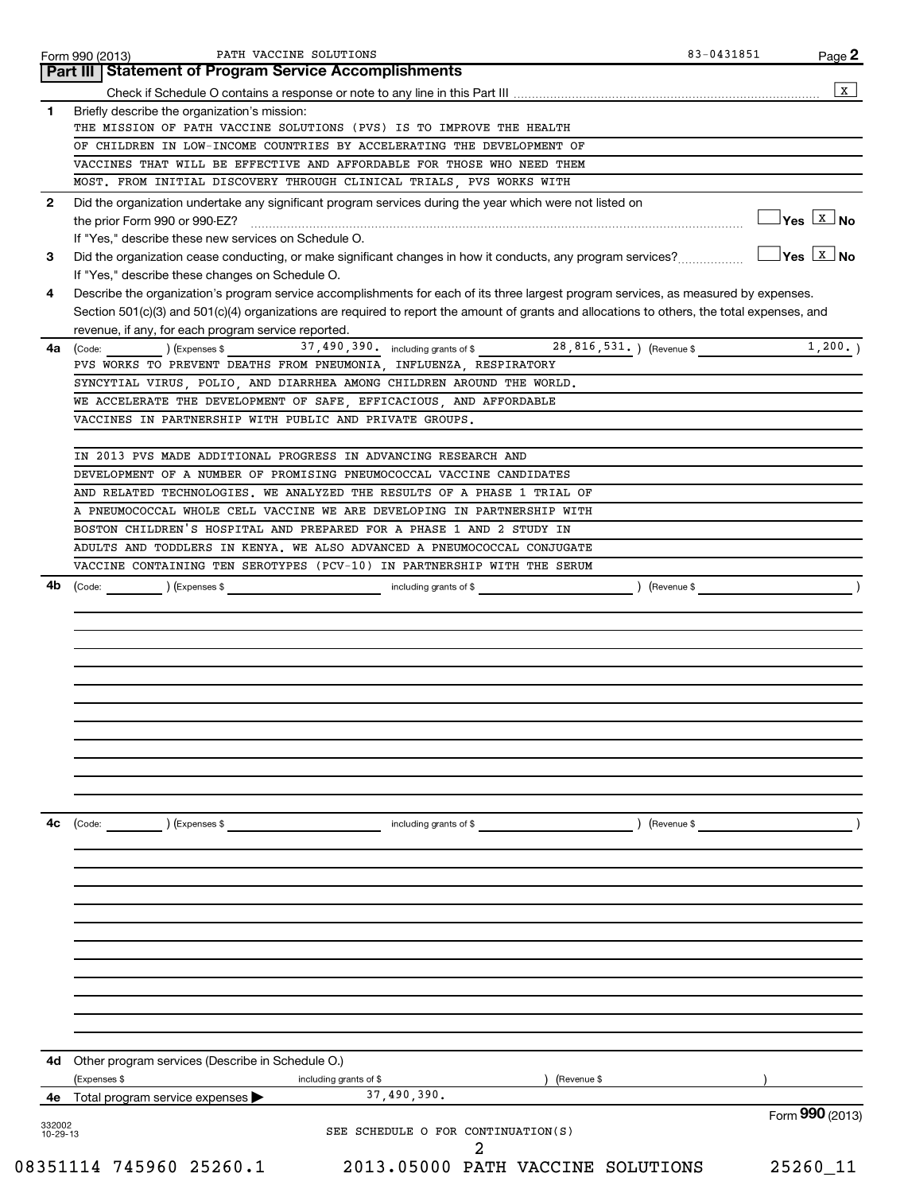|                | PATH VACCINE SOLUTIONS<br>Form 990 (2013)<br>Part III   Statement of Program Service Accomplishments                                                                                    | 83-0431851      | $Page$ 2                          |
|----------------|-----------------------------------------------------------------------------------------------------------------------------------------------------------------------------------------|-----------------|-----------------------------------|
|                |                                                                                                                                                                                         |                 | $\mathbf X$                       |
| 1              | Briefly describe the organization's mission:                                                                                                                                            |                 |                                   |
|                | THE MISSION OF PATH VACCINE SOLUTIONS (PVS) IS TO IMPROVE THE HEALTH                                                                                                                    |                 |                                   |
|                | OF CHILDREN IN LOW-INCOME COUNTRIES BY ACCELERATING THE DEVELOPMENT OF                                                                                                                  |                 |                                   |
|                | VACCINES THAT WILL BE EFFECTIVE AND AFFORDABLE FOR THOSE WHO NEED THEM                                                                                                                  |                 |                                   |
|                | MOST. FROM INITIAL DISCOVERY THROUGH CLINICAL TRIALS, PVS WORKS WITH                                                                                                                    |                 |                                   |
| 2              | Did the organization undertake any significant program services during the year which were not listed on                                                                                |                 |                                   |
|                | the prior Form 990 or 990-EZ?                                                                                                                                                           |                 | $\Box$ Yes $\boxed{\text{x}}$ No  |
|                | If "Yes," describe these new services on Schedule O.                                                                                                                                    |                 | $\gamma$ es $\boxed{\text{x}}$ No |
| 3              | Did the organization cease conducting, or make significant changes in how it conducts, any program services?                                                                            |                 |                                   |
| 4              | If "Yes," describe these changes on Schedule O.<br>Describe the organization's program service accomplishments for each of its three largest program services, as measured by expenses. |                 |                                   |
|                | Section 501(c)(3) and 501(c)(4) organizations are required to report the amount of grants and allocations to others, the total expenses, and                                            |                 |                                   |
|                | revenue, if any, for each program service reported.                                                                                                                                     |                 |                                   |
| 4a             | 28,816,531.) (Revenue \$<br>37, 490, 390. including grants of \$<br>(Code:<br>) (Expenses \$                                                                                            |                 | 1,200.                            |
|                | PVS WORKS TO PREVENT DEATHS FROM PNEUMONIA, INFLUENZA, RESPIRATORY                                                                                                                      |                 |                                   |
|                | SYNCYTIAL VIRUS, POLIO, AND DIARRHEA AMONG CHILDREN AROUND THE WORLD.                                                                                                                   |                 |                                   |
|                | WE ACCELERATE THE DEVELOPMENT OF SAFE, EFFICACIOUS, AND AFFORDABLE                                                                                                                      |                 |                                   |
|                | VACCINES IN PARTNERSHIP WITH PUBLIC AND PRIVATE GROUPS.                                                                                                                                 |                 |                                   |
|                |                                                                                                                                                                                         |                 |                                   |
|                | IN 2013 PVS MADE ADDITIONAL PROGRESS IN ADVANCING RESEARCH AND                                                                                                                          |                 |                                   |
|                | DEVELOPMENT OF A NUMBER OF PROMISING PNEUMOCOCCAL VACCINE CANDIDATES                                                                                                                    |                 |                                   |
|                | AND RELATED TECHNOLOGIES. WE ANALYZED THE RESULTS OF A PHASE 1 TRIAL OF                                                                                                                 |                 |                                   |
|                | A PNEUMOCOCCAL WHOLE CELL VACCINE WE ARE DEVELOPING IN PARTNERSHIP WITH                                                                                                                 |                 |                                   |
|                | BOSTON CHILDREN'S HOSPITAL AND PREPARED FOR A PHASE 1 AND 2 STUDY IN                                                                                                                    |                 |                                   |
|                | ADULTS AND TODDLERS IN KENYA. WE ALSO ADVANCED A PNEUMOCOCCAL CONJUGATE<br>VACCINE CONTAINING TEN SEROTYPES (PCV-10) IN PARTNERSHIP WITH THE SERUM                                      |                 |                                   |
| 4b             | (Code:<br>) (Expenses \$<br>including grants of \$<br>(Revenue \$                                                                                                                       |                 |                                   |
|                |                                                                                                                                                                                         |                 |                                   |
|                |                                                                                                                                                                                         |                 |                                   |
|                |                                                                                                                                                                                         |                 |                                   |
|                |                                                                                                                                                                                         |                 |                                   |
|                |                                                                                                                                                                                         |                 |                                   |
|                | (Code:<br>including grants of \$<br>) (Revenue \$                                                                                                                                       |                 |                                   |
|                | ) (Expenses \$                                                                                                                                                                          |                 |                                   |
|                |                                                                                                                                                                                         |                 |                                   |
|                |                                                                                                                                                                                         |                 |                                   |
|                |                                                                                                                                                                                         |                 |                                   |
|                |                                                                                                                                                                                         |                 |                                   |
|                |                                                                                                                                                                                         |                 |                                   |
|                |                                                                                                                                                                                         |                 |                                   |
|                |                                                                                                                                                                                         |                 |                                   |
|                |                                                                                                                                                                                         |                 |                                   |
|                |                                                                                                                                                                                         |                 |                                   |
|                |                                                                                                                                                                                         |                 |                                   |
|                |                                                                                                                                                                                         |                 |                                   |
|                |                                                                                                                                                                                         |                 |                                   |
|                | Other program services (Describe in Schedule O.)                                                                                                                                        |                 |                                   |
|                | (Expenses \$<br>including grants of \$<br>(Revenue \$                                                                                                                                   |                 |                                   |
| 4с<br>4d<br>4е | 37,490,390.<br>Total program service expenses                                                                                                                                           |                 |                                   |
| 332002         |                                                                                                                                                                                         | Form 990 (2013) |                                   |
| $10 - 29 - 13$ | SEE SCHEDULE O FOR CONTINUATION(S)<br>2                                                                                                                                                 |                 |                                   |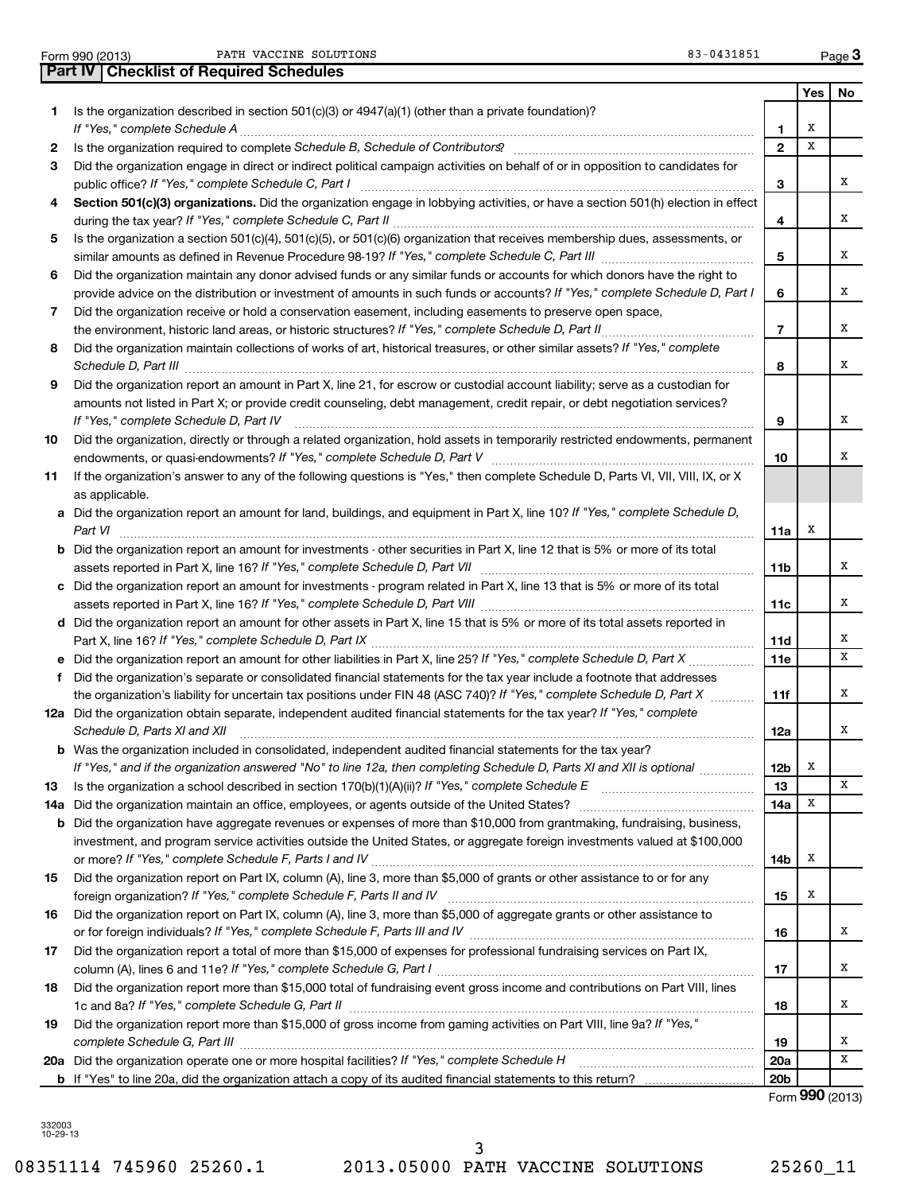Form 990 (2013) Page PATH VACCINE SOLUTIONS 83

**Part IV Checklist of Required Schedules**

|  | $3 - 0431851$ |  |  |
|--|---------------|--|--|
|--|---------------|--|--|

|     |                                                                                                                                                                                                                                                                                                                                                                      |                 | Yes                | No |
|-----|----------------------------------------------------------------------------------------------------------------------------------------------------------------------------------------------------------------------------------------------------------------------------------------------------------------------------------------------------------------------|-----------------|--------------------|----|
| 1.  | Is the organization described in section $501(c)(3)$ or $4947(a)(1)$ (other than a private foundation)?                                                                                                                                                                                                                                                              | 1.              | Х                  |    |
| 2   |                                                                                                                                                                                                                                                                                                                                                                      | $\overline{2}$  | x                  |    |
| 3   | Did the organization engage in direct or indirect political campaign activities on behalf of or in opposition to candidates for                                                                                                                                                                                                                                      |                 |                    |    |
|     |                                                                                                                                                                                                                                                                                                                                                                      | 3               |                    | x  |
| 4   | Section 501(c)(3) organizations. Did the organization engage in lobbying activities, or have a section 501(h) election in effect                                                                                                                                                                                                                                     |                 |                    |    |
|     |                                                                                                                                                                                                                                                                                                                                                                      | 4               |                    | x  |
| 5   | Is the organization a section 501(c)(4), 501(c)(5), or 501(c)(6) organization that receives membership dues, assessments, or                                                                                                                                                                                                                                         | 5               |                    | x  |
| 6   | Did the organization maintain any donor advised funds or any similar funds or accounts for which donors have the right to                                                                                                                                                                                                                                            |                 |                    |    |
|     | provide advice on the distribution or investment of amounts in such funds or accounts? If "Yes," complete Schedule D, Part I                                                                                                                                                                                                                                         | 6               |                    | x  |
| 7   | Did the organization receive or hold a conservation easement, including easements to preserve open space,                                                                                                                                                                                                                                                            |                 |                    |    |
|     |                                                                                                                                                                                                                                                                                                                                                                      | $\overline{7}$  |                    | x  |
| 8   | Did the organization maintain collections of works of art, historical treasures, or other similar assets? If "Yes," complete<br>Schedule D, Part III <b>Marting Community Contract Contract Contract Contract Contract Contract Contract Contract Contract Contract Contract Contract Contract Contract Contract Contract Contract Contract Contract Contract Co</b> | 8               |                    | x  |
| 9   | Did the organization report an amount in Part X, line 21, for escrow or custodial account liability; serve as a custodian for                                                                                                                                                                                                                                        |                 |                    |    |
|     | amounts not listed in Part X; or provide credit counseling, debt management, credit repair, or debt negotiation services?<br>If "Yes," complete Schedule D, Part IV                                                                                                                                                                                                  | 9               |                    | x  |
| 10  | Did the organization, directly or through a related organization, hold assets in temporarily restricted endowments, permanent                                                                                                                                                                                                                                        |                 |                    |    |
|     |                                                                                                                                                                                                                                                                                                                                                                      | 10              |                    | x  |
| 11  | If the organization's answer to any of the following questions is "Yes," then complete Schedule D, Parts VI, VII, VIII, IX, or X                                                                                                                                                                                                                                     |                 |                    |    |
|     | as applicable.<br>a Did the organization report an amount for land, buildings, and equipment in Part X, line 10? If "Yes," complete Schedule D,                                                                                                                                                                                                                      |                 |                    |    |
|     | Part VI                                                                                                                                                                                                                                                                                                                                                              | 11a             | x                  |    |
|     | <b>b</b> Did the organization report an amount for investments - other securities in Part X, line 12 that is 5% or more of its total                                                                                                                                                                                                                                 |                 |                    |    |
|     |                                                                                                                                                                                                                                                                                                                                                                      | 11b             |                    | x  |
|     | c Did the organization report an amount for investments - program related in Part X, line 13 that is 5% or more of its total                                                                                                                                                                                                                                         |                 |                    |    |
|     |                                                                                                                                                                                                                                                                                                                                                                      | 11c             |                    | х  |
|     | d Did the organization report an amount for other assets in Part X, line 15 that is 5% or more of its total assets reported in                                                                                                                                                                                                                                       |                 |                    |    |
|     |                                                                                                                                                                                                                                                                                                                                                                      | 11d             |                    | х  |
|     |                                                                                                                                                                                                                                                                                                                                                                      | 11e             |                    | X  |
|     | f Did the organization's separate or consolidated financial statements for the tax year include a footnote that addresses                                                                                                                                                                                                                                            |                 |                    |    |
|     | the organization's liability for uncertain tax positions under FIN 48 (ASC 740)? If "Yes," complete Schedule D, Part X                                                                                                                                                                                                                                               | 11f             |                    | x  |
|     | 12a Did the organization obtain separate, independent audited financial statements for the tax year? If "Yes," complete<br>Schedule D, Parts XI and XII                                                                                                                                                                                                              | 12a             |                    | x  |
|     | <b>b</b> Was the organization included in consolidated, independent audited financial statements for the tax year?                                                                                                                                                                                                                                                   |                 |                    |    |
|     | If "Yes," and if the organization answered "No" to line 12a, then completing Schedule D, Parts XI and XII is optional <i>maniman</i>                                                                                                                                                                                                                                 | 12b             | X                  |    |
| 13  |                                                                                                                                                                                                                                                                                                                                                                      | 13              |                    | х  |
| 14a | Did the organization maintain an office, employees, or agents outside of the United States?                                                                                                                                                                                                                                                                          | 14a             | х                  |    |
|     | <b>b</b> Did the organization have aggregate revenues or expenses of more than \$10,000 from grantmaking, fundraising, business,                                                                                                                                                                                                                                     |                 |                    |    |
|     | investment, and program service activities outside the United States, or aggregate foreign investments valued at \$100,000                                                                                                                                                                                                                                           |                 |                    |    |
|     |                                                                                                                                                                                                                                                                                                                                                                      | 14b             | х                  |    |
| 15  | Did the organization report on Part IX, column (A), line 3, more than \$5,000 of grants or other assistance to or for any                                                                                                                                                                                                                                            |                 |                    |    |
|     |                                                                                                                                                                                                                                                                                                                                                                      | 15              | х                  |    |
| 16  | Did the organization report on Part IX, column (A), line 3, more than \$5,000 of aggregate grants or other assistance to                                                                                                                                                                                                                                             |                 |                    | х  |
|     |                                                                                                                                                                                                                                                                                                                                                                      | 16              |                    |    |
| 17  | Did the organization report a total of more than \$15,000 of expenses for professional fundraising services on Part IX,                                                                                                                                                                                                                                              | 17              |                    | х  |
| 18  | Did the organization report more than \$15,000 total of fundraising event gross income and contributions on Part VIII, lines                                                                                                                                                                                                                                         |                 |                    |    |
|     |                                                                                                                                                                                                                                                                                                                                                                      | 18              |                    | х  |
| 19  | Did the organization report more than \$15,000 of gross income from gaming activities on Part VIII, line 9a? If "Yes,"                                                                                                                                                                                                                                               |                 |                    |    |
|     | complete Schedule G, Part III                                                                                                                                                                                                                                                                                                                                        | 19              |                    | х  |
|     | 20a Did the organization operate one or more hospital facilities? If "Yes," complete Schedule H                                                                                                                                                                                                                                                                      | 20a             |                    | X  |
|     |                                                                                                                                                                                                                                                                                                                                                                      | 20 <sub>b</sub> | $T_{2}$ 000 (0010) |    |

Form (2013) **990**

332003 10-29-13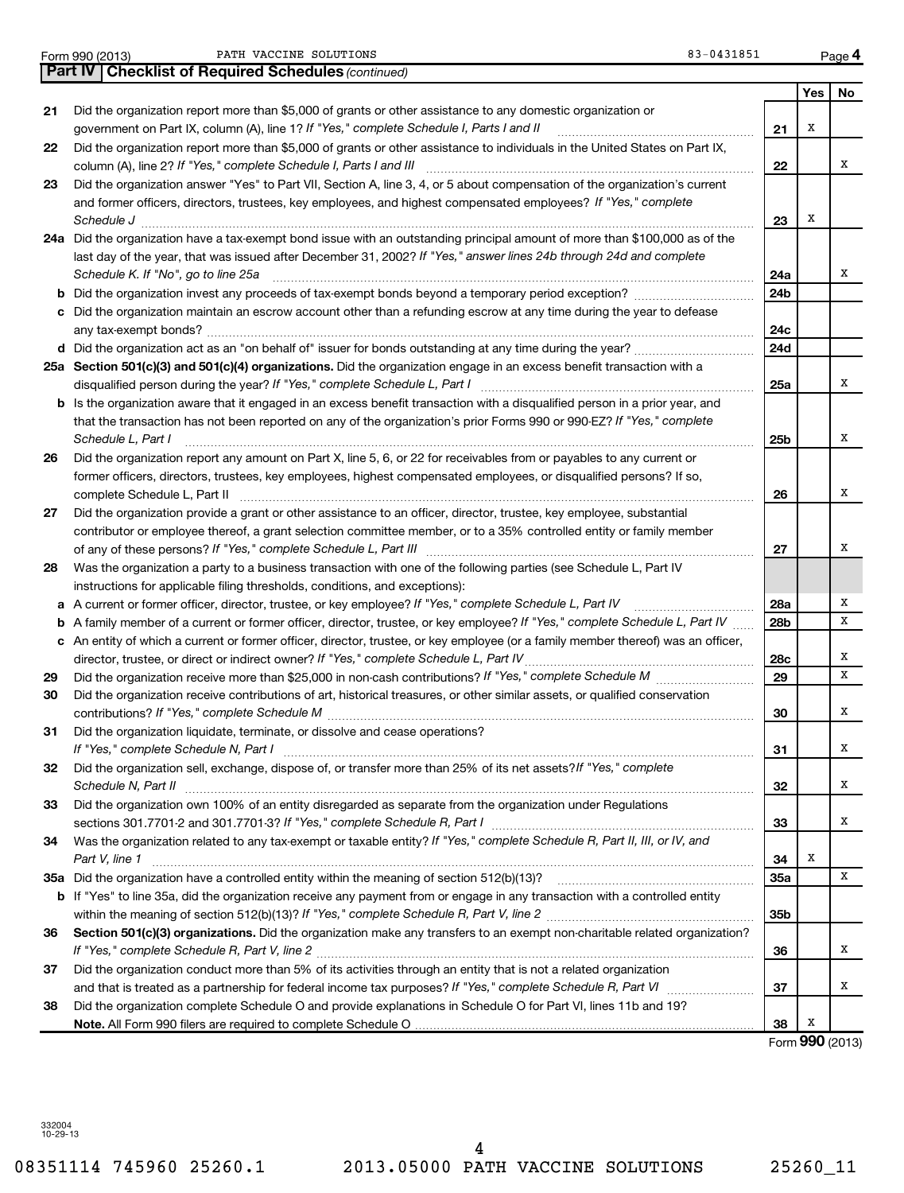Form 990 (2013) PATH VACCINE SOLUTIONS (1999) 1995 (2013-0431851 Page

|    | <b>Part IV   Checklist of Required Schedules (continued)</b>                                                                                                                                                                                                                                                                                           |                 |     |    |
|----|--------------------------------------------------------------------------------------------------------------------------------------------------------------------------------------------------------------------------------------------------------------------------------------------------------------------------------------------------------|-----------------|-----|----|
|    |                                                                                                                                                                                                                                                                                                                                                        |                 | Yes | No |
| 21 | Did the organization report more than \$5,000 of grants or other assistance to any domestic organization or                                                                                                                                                                                                                                            |                 |     |    |
|    | government on Part IX, column (A), line 1? If "Yes," complete Schedule I, Parts I and II                                                                                                                                                                                                                                                               | 21              | х   |    |
| 22 | Did the organization report more than \$5,000 of grants or other assistance to individuals in the United States on Part IX,                                                                                                                                                                                                                            |                 |     |    |
|    |                                                                                                                                                                                                                                                                                                                                                        | 22              |     | x  |
| 23 | Did the organization answer "Yes" to Part VII, Section A, line 3, 4, or 5 about compensation of the organization's current                                                                                                                                                                                                                             |                 |     |    |
|    | and former officers, directors, trustees, key employees, and highest compensated employees? If "Yes," complete<br>Schedule J <b>Exercise Contract Contract Contract Contract Contract Contract Contract Contract Contract Contract Contract Contract Contract Contract Contract Contract Contract Contract Contract Contract Contract Contract Con</b> | 23              | х   |    |
|    | 24a Did the organization have a tax-exempt bond issue with an outstanding principal amount of more than \$100,000 as of the                                                                                                                                                                                                                            |                 |     |    |
|    | last day of the year, that was issued after December 31, 2002? If "Yes," answer lines 24b through 24d and complete                                                                                                                                                                                                                                     |                 |     |    |
|    | Schedule K. If "No", go to line 25a                                                                                                                                                                                                                                                                                                                    | 24a             |     | x  |
|    |                                                                                                                                                                                                                                                                                                                                                        | 24 <sub>b</sub> |     |    |
|    | c Did the organization maintain an escrow account other than a refunding escrow at any time during the year to defease                                                                                                                                                                                                                                 |                 |     |    |
|    |                                                                                                                                                                                                                                                                                                                                                        | 24c             |     |    |
|    |                                                                                                                                                                                                                                                                                                                                                        | 24d             |     |    |
|    | 25a Section 501(c)(3) and 501(c)(4) organizations. Did the organization engage in an excess benefit transaction with a                                                                                                                                                                                                                                 |                 |     |    |
|    |                                                                                                                                                                                                                                                                                                                                                        | 25a             |     | x  |
|    | b Is the organization aware that it engaged in an excess benefit transaction with a disqualified person in a prior year, and                                                                                                                                                                                                                           |                 |     |    |
|    | that the transaction has not been reported on any of the organization's prior Forms 990 or 990-EZ? If "Yes," complete                                                                                                                                                                                                                                  |                 |     |    |
|    | Schedule L, Part I                                                                                                                                                                                                                                                                                                                                     | 25b             |     | x  |
| 26 | Did the organization report any amount on Part X, line 5, 6, or 22 for receivables from or payables to any current or                                                                                                                                                                                                                                  |                 |     |    |
|    | former officers, directors, trustees, key employees, highest compensated employees, or disqualified persons? If so,                                                                                                                                                                                                                                    |                 |     |    |
|    |                                                                                                                                                                                                                                                                                                                                                        | 26              |     | x  |
| 27 | Did the organization provide a grant or other assistance to an officer, director, trustee, key employee, substantial                                                                                                                                                                                                                                   |                 |     |    |
|    | contributor or employee thereof, a grant selection committee member, or to a 35% controlled entity or family member                                                                                                                                                                                                                                    |                 |     |    |
|    |                                                                                                                                                                                                                                                                                                                                                        | 27              |     | x  |
| 28 | Was the organization a party to a business transaction with one of the following parties (see Schedule L, Part IV                                                                                                                                                                                                                                      |                 |     |    |
|    | instructions for applicable filing thresholds, conditions, and exceptions):                                                                                                                                                                                                                                                                            |                 |     |    |
|    | a A current or former officer, director, trustee, or key employee? If "Yes," complete Schedule L, Part IV                                                                                                                                                                                                                                              | 28a             |     | х  |
|    | <b>b</b> A family member of a current or former officer, director, trustee, or key employee? If "Yes," complete Schedule L, Part IV                                                                                                                                                                                                                    | 28b             |     | X  |
|    | c An entity of which a current or former officer, director, trustee, or key employee (or a family member thereof) was an officer,                                                                                                                                                                                                                      |                 |     |    |
|    | director, trustee, or direct or indirect owner? If "Yes," complete Schedule L, Part IV                                                                                                                                                                                                                                                                 | 28c             |     | х  |
| 29 |                                                                                                                                                                                                                                                                                                                                                        | 29              |     | х  |
| 30 | Did the organization receive contributions of art, historical treasures, or other similar assets, or qualified conservation                                                                                                                                                                                                                            |                 |     |    |
|    |                                                                                                                                                                                                                                                                                                                                                        | 30              |     | х  |
| 31 | Did the organization liquidate, terminate, or dissolve and cease operations?                                                                                                                                                                                                                                                                           |                 |     |    |
|    | If "Yes," complete Schedule N, Part I                                                                                                                                                                                                                                                                                                                  | 31              |     | х  |
| 32 | Did the organization sell, exchange, dispose of, or transfer more than 25% of its net assets? If "Yes," complete                                                                                                                                                                                                                                       |                 |     |    |
|    | Schedule N, Part II                                                                                                                                                                                                                                                                                                                                    | 32              |     | х  |
| 33 | Did the organization own 100% of an entity disregarded as separate from the organization under Regulations                                                                                                                                                                                                                                             |                 |     |    |
|    | sections 301.7701-2 and 301.7701-3? If "Yes," complete Schedule R, Part I [1] [1] [1] [1] [1] [1] sections 301.7701-2 and 301.7701-3? If "Yes," complete Schedule R, Part I                                                                                                                                                                            | 33              |     | х  |
| 34 | Was the organization related to any tax-exempt or taxable entity? If "Yes," complete Schedule R, Part II, III, or IV, and                                                                                                                                                                                                                              |                 |     |    |
|    | Part V, line 1                                                                                                                                                                                                                                                                                                                                         | 34              | Х   |    |
|    |                                                                                                                                                                                                                                                                                                                                                        | 35a             |     | x  |
|    | <b>b</b> If "Yes" to line 35a, did the organization receive any payment from or engage in any transaction with a controlled entity                                                                                                                                                                                                                     |                 |     |    |
|    |                                                                                                                                                                                                                                                                                                                                                        | 35b             |     |    |
| 36 | Section 501(c)(3) organizations. Did the organization make any transfers to an exempt non-charitable related organization?                                                                                                                                                                                                                             |                 |     | х  |
|    |                                                                                                                                                                                                                                                                                                                                                        | 36              |     |    |
| 37 | Did the organization conduct more than 5% of its activities through an entity that is not a related organization                                                                                                                                                                                                                                       | 37              |     | х  |
| 38 | Did the organization complete Schedule O and provide explanations in Schedule O for Part VI, lines 11b and 19?                                                                                                                                                                                                                                         |                 |     |    |
|    |                                                                                                                                                                                                                                                                                                                                                        | 38              | х   |    |
|    |                                                                                                                                                                                                                                                                                                                                                        |                 |     |    |

Form (2013) **990**

332004 10-29-13

**4**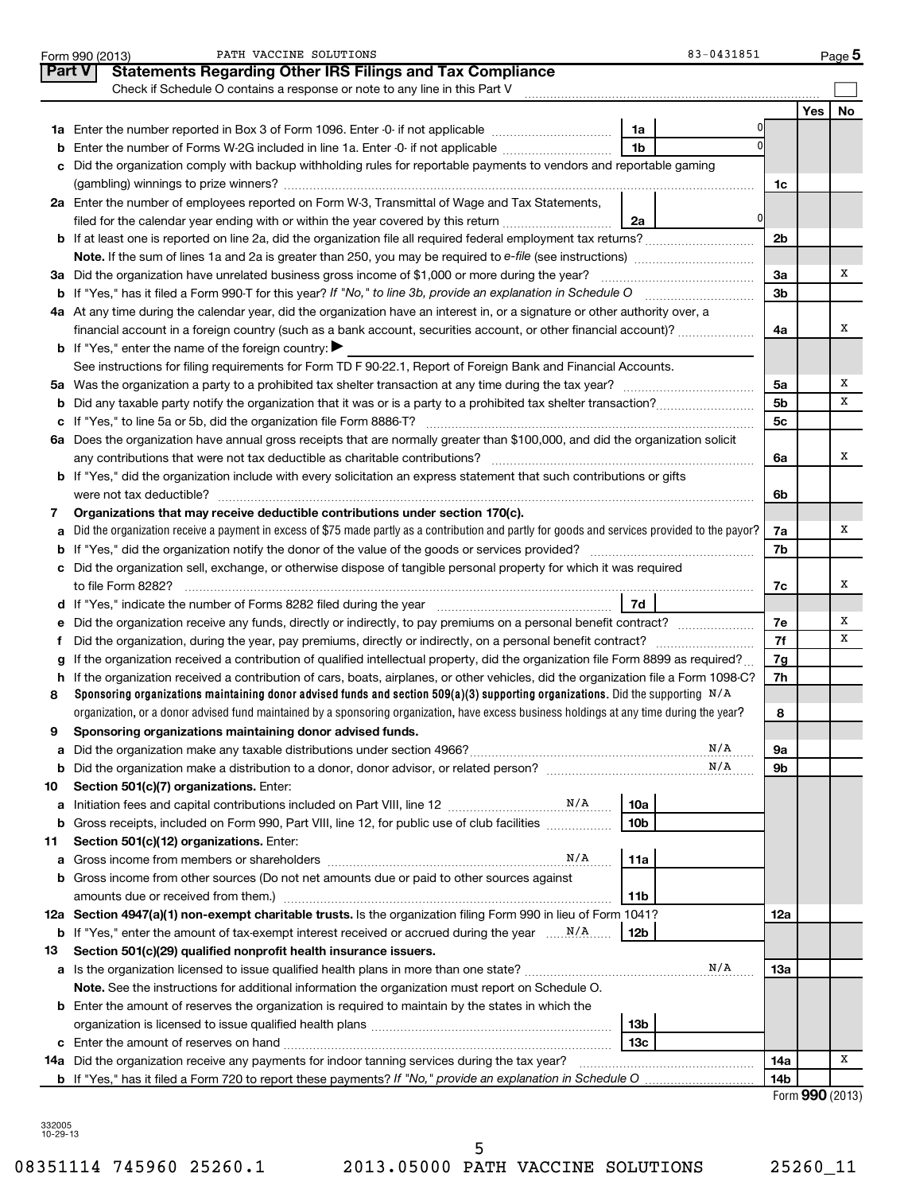|               | 83-0431851<br>PATH VACCINE SOLUTIONS<br>Form 990 (2013)                                                                                         |                |     | $Page$ <sup>5</sup> |
|---------------|-------------------------------------------------------------------------------------------------------------------------------------------------|----------------|-----|---------------------|
| <b>Part V</b> | <b>Statements Regarding Other IRS Filings and Tax Compliance</b>                                                                                |                |     |                     |
|               | Check if Schedule O contains a response or note to any line in this Part V                                                                      |                |     |                     |
|               |                                                                                                                                                 |                | Yes | No                  |
|               | 1a                                                                                                                                              |                |     |                     |
| b             | 1 <sub>b</sub><br>Enter the number of Forms W-2G included in line 1a. Enter -0- if not applicable                                               |                |     |                     |
|               | Did the organization comply with backup withholding rules for reportable payments to vendors and reportable gaming                              |                |     |                     |
|               |                                                                                                                                                 | 1c             |     |                     |
|               | 2a Enter the number of employees reported on Form W-3, Transmittal of Wage and Tax Statements,                                                  |                |     |                     |
|               | 0<br>filed for the calendar year ending with or within the year covered by this return<br>2a                                                    |                |     |                     |
|               |                                                                                                                                                 | 2 <sub>b</sub> |     |                     |
|               |                                                                                                                                                 |                |     |                     |
|               | 3a Did the organization have unrelated business gross income of \$1,000 or more during the year?                                                | 3a             |     | х                   |
|               |                                                                                                                                                 |                |     |                     |
|               | 4a At any time during the calendar year, did the organization have an interest in, or a signature or other authority over, a                    |                |     |                     |
|               | financial account in a foreign country (such as a bank account, securities account, or other financial account)?                                | 4a             |     | x                   |
|               | <b>b</b> If "Yes," enter the name of the foreign country:                                                                                       |                |     |                     |
|               | See instructions for filing requirements for Form TD F 90-22.1, Report of Foreign Bank and Financial Accounts.                                  |                |     |                     |
|               |                                                                                                                                                 | 5a             |     | х                   |
|               |                                                                                                                                                 | 5 <sub>b</sub> |     | х                   |
|               |                                                                                                                                                 | 5 <sub>c</sub> |     |                     |
|               | 6a Does the organization have annual gross receipts that are normally greater than \$100,000, and did the organization solicit                  |                |     |                     |
|               |                                                                                                                                                 | 6а             |     | х                   |
|               | b If "Yes," did the organization include with every solicitation an express statement that such contributions or gifts                          |                |     |                     |
|               |                                                                                                                                                 | 6b             |     |                     |
| 7             | Organizations that may receive deductible contributions under section 170(c).                                                                   |                |     |                     |
| a             | Did the organization receive a payment in excess of \$75 made partly as a contribution and partly for goods and services provided to the payor? | 7a             |     | х                   |
|               |                                                                                                                                                 | 7b             |     |                     |
|               | c Did the organization sell, exchange, or otherwise dispose of tangible personal property for which it was required                             |                |     |                     |
|               |                                                                                                                                                 | 7c             |     | х                   |
|               | <b>7d</b>                                                                                                                                       |                |     |                     |
|               |                                                                                                                                                 | 7е             |     | x                   |
|               | Did the organization, during the year, pay premiums, directly or indirectly, on a personal benefit contract?                                    | 7f             |     | x                   |
| g             | If the organization received a contribution of qualified intellectual property, did the organization file Form 8899 as required?                | 7g             |     |                     |
|               | h If the organization received a contribution of cars, boats, airplanes, or other vehicles, did the organization file a Form 1098-C?            | 7h             |     |                     |
| 8             | Sponsoring organizations maintaining donor advised funds and section 509(a)(3) supporting organizations. Did the supporting $N/A$               |                |     |                     |
|               | organization, or a donor advised fund maintained by a sponsoring organization, have excess business holdings at any time during the year?       | 8              |     |                     |
| 9             | Sponsoring organizations maintaining donor advised funds.                                                                                       |                |     |                     |
| а             | N/A                                                                                                                                             | 9а             |     |                     |
| b             | N/A                                                                                                                                             | 9b             |     |                     |
| 10            | Section 501(c)(7) organizations. Enter:                                                                                                         |                |     |                     |
| а             | 10a                                                                                                                                             |                |     |                     |
| b             | Gross receipts, included on Form 990, Part VIII, line 12, for public use of club facilities<br>10b                                              |                |     |                     |
| 11            | Section 501(c)(12) organizations. Enter:                                                                                                        |                |     |                     |
| а             | N/A<br>11a                                                                                                                                      |                |     |                     |
|               | <b>b</b> Gross income from other sources (Do not net amounts due or paid to other sources against                                               |                |     |                     |
|               | amounts due or received from them.)<br>11b                                                                                                      |                |     |                     |
|               | 12a Section 4947(a)(1) non-exempt charitable trusts. Is the organization filing Form 990 in lieu of Form 1041?                                  | 12a            |     |                     |
|               | <b>b</b> If "Yes," enter the amount of tax-exempt interest received or accrued during the year $\ldots$ $\frac{N}{A}$ .<br>12b                  |                |     |                     |
| 13            | Section 501(c)(29) qualified nonprofit health insurance issuers.                                                                                |                |     |                     |
|               | N/A<br>a Is the organization licensed to issue qualified health plans in more than one state?                                                   | 1За            |     |                     |
|               | Note. See the instructions for additional information the organization must report on Schedule O.                                               |                |     |                     |
|               | <b>b</b> Enter the amount of reserves the organization is required to maintain by the states in which the                                       |                |     |                     |
|               | 13b                                                                                                                                             |                |     |                     |
|               | 13c                                                                                                                                             |                |     |                     |
|               | 14a Did the organization receive any payments for indoor tanning services during the tax year?                                                  | 14a            |     | х                   |
|               | <b>b</b> If "Yes," has it filed a Form 720 to report these payments? If "No," provide an explanation in Schedule O                              | 14b            |     |                     |
|               |                                                                                                                                                 |                |     | Form 990 (2013)     |

| 332005   |
|----------|
|          |
| 10-29-13 |
|          |

5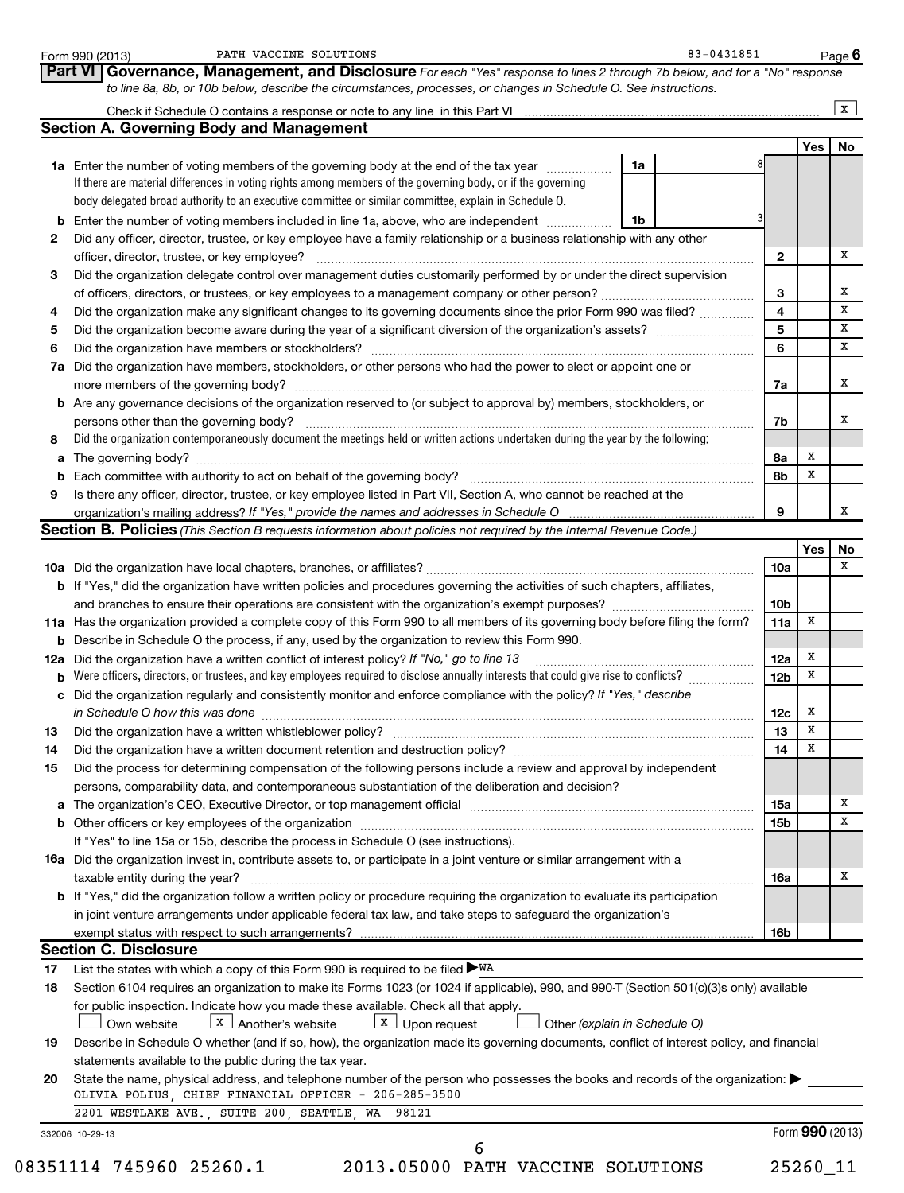|     |                                                                                                                                                                                                                                |    | Part VI Governance, Management, and Disclosure For each "Yes" response to lines 2 through 7b below, and for a "No" response |     |  |
|-----|--------------------------------------------------------------------------------------------------------------------------------------------------------------------------------------------------------------------------------|----|-----------------------------------------------------------------------------------------------------------------------------|-----|--|
|     | to line 8a, 8b, or 10b below, describe the circumstances, processes, or changes in Schedule O. See instructions.                                                                                                               |    |                                                                                                                             |     |  |
|     |                                                                                                                                                                                                                                |    |                                                                                                                             |     |  |
|     | <b>Section A. Governing Body and Management</b>                                                                                                                                                                                |    |                                                                                                                             |     |  |
|     |                                                                                                                                                                                                                                |    |                                                                                                                             | Yes |  |
|     | 1a Enter the number of voting members of the governing body at the end of the tax year <i>manumum</i>                                                                                                                          | 1a |                                                                                                                             |     |  |
|     | If there are material differences in voting rights among members of the governing body, or if the governing                                                                                                                    |    |                                                                                                                             |     |  |
|     | body delegated broad authority to an executive committee or similar committee, explain in Schedule O.                                                                                                                          |    |                                                                                                                             |     |  |
|     | <b>b</b> Enter the number of voting members included in line 1a, above, who are independent                                                                                                                                    | 1b |                                                                                                                             |     |  |
| 2   | Did any officer, director, trustee, or key employee have a family relationship or a business relationship with any other                                                                                                       |    |                                                                                                                             |     |  |
|     | officer, director, trustee, or key employee?                                                                                                                                                                                   |    | 2                                                                                                                           |     |  |
| з   | Did the organization delegate control over management duties customarily performed by or under the direct supervision                                                                                                          |    |                                                                                                                             |     |  |
|     |                                                                                                                                                                                                                                |    | 3                                                                                                                           |     |  |
| 4   | Did the organization make any significant changes to its governing documents since the prior Form 990 was filed?                                                                                                               |    | 4                                                                                                                           |     |  |
| 5   |                                                                                                                                                                                                                                |    | 5                                                                                                                           |     |  |
| 6   |                                                                                                                                                                                                                                |    | 6                                                                                                                           |     |  |
|     | Did the organization have members, stockholders, or other persons who had the power to elect or appoint one or                                                                                                                 |    |                                                                                                                             |     |  |
| 7а  | more members of the governing body?                                                                                                                                                                                            |    |                                                                                                                             |     |  |
|     |                                                                                                                                                                                                                                |    | 7a                                                                                                                          |     |  |
|     | <b>b</b> Are any governance decisions of the organization reserved to (or subject to approval by) members, stockholders, or                                                                                                    |    |                                                                                                                             |     |  |
|     | persons other than the governing body?                                                                                                                                                                                         |    | 7b                                                                                                                          |     |  |
| 8   | Did the organization contemporaneously document the meetings held or written actions undertaken during the year by the following:                                                                                              |    |                                                                                                                             |     |  |
|     |                                                                                                                                                                                                                                |    | 8а                                                                                                                          | х   |  |
|     |                                                                                                                                                                                                                                |    | 8b                                                                                                                          | х   |  |
| 9   | Is there any officer, director, trustee, or key employee listed in Part VII, Section A, who cannot be reached at the                                                                                                           |    |                                                                                                                             |     |  |
|     | organization's mailing address? If "Yes," provide the names and addresses in Schedule O                                                                                                                                        |    | 9                                                                                                                           |     |  |
|     | Section B. Policies (This Section B requests information about policies not required by the Internal Revenue Code.)                                                                                                            |    |                                                                                                                             |     |  |
|     |                                                                                                                                                                                                                                |    |                                                                                                                             | Yes |  |
|     |                                                                                                                                                                                                                                |    | 10a                                                                                                                         |     |  |
|     | <b>b</b> If "Yes," did the organization have written policies and procedures governing the activities of such chapters, affiliates,                                                                                            |    |                                                                                                                             |     |  |
|     |                                                                                                                                                                                                                                |    | 10 <sub>b</sub>                                                                                                             |     |  |
|     | 11a Has the organization provided a complete copy of this Form 990 to all members of its governing body before filing the form?                                                                                                |    | 11a                                                                                                                         | х   |  |
|     |                                                                                                                                                                                                                                |    |                                                                                                                             |     |  |
|     |                                                                                                                                                                                                                                |    |                                                                                                                             |     |  |
|     | <b>b</b> Describe in Schedule O the process, if any, used by the organization to review this Form 990.                                                                                                                         |    |                                                                                                                             |     |  |
| 12a | Did the organization have a written conflict of interest policy? If "No," go to line 13                                                                                                                                        |    | 12a                                                                                                                         | х   |  |
|     | Were officers, directors, or trustees, and key employees required to disclose annually interests that could give rise to conflicts?                                                                                            |    | 12 <sub>b</sub>                                                                                                             | х   |  |
|     | c Did the organization regularly and consistently monitor and enforce compliance with the policy? If "Yes," describe                                                                                                           |    |                                                                                                                             |     |  |
|     | in Schedule O how this was done                                                                                                                                                                                                |    | 12c                                                                                                                         | x   |  |
| 13  |                                                                                                                                                                                                                                |    | 13                                                                                                                          | X   |  |
| 14  | Did the organization have a written document retention and destruction policy? [11] manufaction in the organization have a written document retention and destruction policy?                                                  |    | 14                                                                                                                          | х   |  |
| 15  | Did the process for determining compensation of the following persons include a review and approval by independent                                                                                                             |    |                                                                                                                             |     |  |
|     | persons, comparability data, and contemporaneous substantiation of the deliberation and decision?                                                                                                                              |    |                                                                                                                             |     |  |
|     |                                                                                                                                                                                                                                |    | 15a                                                                                                                         |     |  |
|     | a The organization's CEO, Executive Director, or top management official manufactured content content of the organization's CEO, Executive Director, or top management official manufactured content of the state of the state |    |                                                                                                                             |     |  |
|     |                                                                                                                                                                                                                                |    | 15b                                                                                                                         |     |  |
|     | If "Yes" to line 15a or 15b, describe the process in Schedule O (see instructions).                                                                                                                                            |    |                                                                                                                             |     |  |
|     | <b>16a</b> Did the organization invest in, contribute assets to, or participate in a joint venture or similar arrangement with a                                                                                               |    |                                                                                                                             |     |  |
|     | taxable entity during the year?                                                                                                                                                                                                |    | 16a                                                                                                                         |     |  |
|     | <b>b</b> If "Yes," did the organization follow a written policy or procedure requiring the organization to evaluate its participation                                                                                          |    |                                                                                                                             |     |  |
|     | in joint venture arrangements under applicable federal tax law, and take steps to safeguard the organization's                                                                                                                 |    |                                                                                                                             |     |  |
|     | exempt status with respect to such arrangements?                                                                                                                                                                               |    | 16b                                                                                                                         |     |  |
|     | <b>Section C. Disclosure</b>                                                                                                                                                                                                   |    |                                                                                                                             |     |  |
| 17  | List the states with which a copy of this Form 990 is required to be filed $\blacktriangleright$ WA                                                                                                                            |    |                                                                                                                             |     |  |
| 18  | Section 6104 requires an organization to make its Forms 1023 (or 1024 if applicable), 990, and 990-T (Section 501(c)(3)s only) available                                                                                       |    |                                                                                                                             |     |  |
|     | for public inspection. Indicate how you made these available. Check all that apply.                                                                                                                                            |    |                                                                                                                             |     |  |
|     | $\lfloor x \rfloor$ Upon request<br>$\lfloor x \rfloor$ Another's website<br>Other (explain in Schedule O)<br>Own website                                                                                                      |    |                                                                                                                             |     |  |
| 19  |                                                                                                                                                                                                                                |    |                                                                                                                             |     |  |
|     | Describe in Schedule O whether (and if so, how), the organization made its governing documents, conflict of interest policy, and financial                                                                                     |    |                                                                                                                             |     |  |
| 20  | statements available to the public during the tax year.<br>State the name, physical address, and telephone number of the person who possesses the books and records of the organization:                                       |    |                                                                                                                             |     |  |

| 332006 10-29-13 |  |  |
|-----------------|--|--|
|-----------------|--|--|

08351114 745960 25260.1 2013.05000 PATH VACCINE SOLUTIONS 25260\_11

6

Form **990** (2013)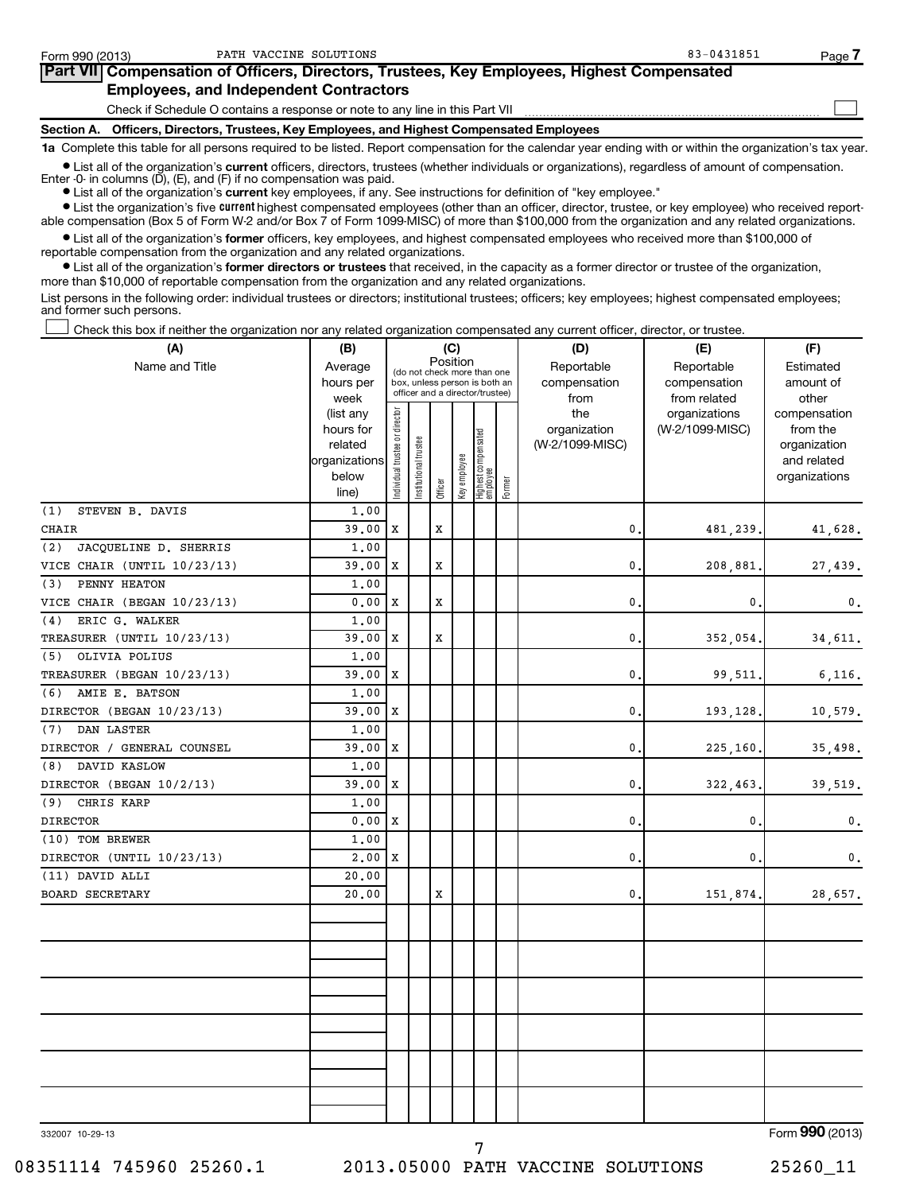| Form 990 (2013)                                                                                                                                            | PATH VACCINE SOLUTIONS                                                                     | 83-0431851 | Page 7 |  |  |  |  |
|------------------------------------------------------------------------------------------------------------------------------------------------------------|--------------------------------------------------------------------------------------------|------------|--------|--|--|--|--|
|                                                                                                                                                            | Part VII Compensation of Officers, Directors, Trustees, Key Employees, Highest Compensated |            |        |  |  |  |  |
|                                                                                                                                                            | <b>Employees, and Independent Contractors</b>                                              |            |        |  |  |  |  |
|                                                                                                                                                            | Check if Schedule O contains a response or note to any line in this Part VII               |            |        |  |  |  |  |
| Section A. Officers, Directors, Trustees, Key Employees, and Highest Compensated Employees                                                                 |                                                                                            |            |        |  |  |  |  |
| 1a Complete this table for all persons required to be listed. Report compensation for the calendar year ending with or within the organization's tax year. |                                                                                            |            |        |  |  |  |  |

**•** List all of the organization's current officers, directors, trustees (whether individuals or organizations), regardless of amount of compensation. Enter -0- in columns (D), (E), and (F) if no compensation was paid.

**•** List all of the organization's **current** key employees, if any. See instructions for definition of "key employee."

**•** List the organization's five *current* highest compensated employees (other than an officer, director, trustee, or key employee) who received reportable compensation (Box 5 of Form W-2 and/or Box 7 of Form 1099-MISC) of more than \$100,000 from the organization and any related organizations.

 $\bullet$  List all of the organization's former officers, key employees, and highest compensated employees who received more than \$100,000 of reportable compensation from the organization and any related organizations.

**•** List all of the organization's former directors or trustees that received, in the capacity as a former director or trustee of the organization, more than \$10,000 of reportable compensation from the organization and any related organizations.

List persons in the following order: individual trustees or directors; institutional trustees; officers; key employees; highest compensated employees; and former such persons.

Check this box if neither the organization nor any related organization compensated any current officer, director, or trustee.  $\left\vert \cdot\right\vert$ 

| (A)                          | (B)                    | (C)                            |                                                                  |             |              |                                 |        | (D)                 | (E)                              | (F)                                 |
|------------------------------|------------------------|--------------------------------|------------------------------------------------------------------|-------------|--------------|---------------------------------|--------|---------------------|----------------------------------|-------------------------------------|
| Name and Title               | Average                |                                |                                                                  | Position    |              | (do not check more than one     |        | Reportable          | Reportable                       | Estimated                           |
|                              | hours per              |                                | box, unless person is both an<br>officer and a director/trustee) |             |              |                                 |        | compensation        | compensation                     | amount of                           |
|                              | week                   |                                |                                                                  |             |              |                                 |        | from                | from related                     | other                               |
|                              | (list any<br>hours for |                                |                                                                  |             |              |                                 |        | the<br>organization | organizations<br>(W-2/1099-MISC) | compensation<br>from the            |
|                              | related                |                                |                                                                  |             |              |                                 |        | (W-2/1099-MISC)     |                                  | organization                        |
|                              | organizations          |                                |                                                                  |             |              |                                 |        |                     |                                  | and related                         |
|                              | below                  | Individual trustee or director | Institutional trustee                                            |             | Key employee | Highest compensated<br>employee |        |                     |                                  | organizations                       |
|                              | line)                  |                                |                                                                  | Officer     |              |                                 | Former |                     |                                  |                                     |
| (1)<br>STEVEN B. DAVIS       | 1.00                   |                                |                                                                  |             |              |                                 |        |                     |                                  |                                     |
| CHAIR                        | 39.00                  | Х                              |                                                                  | X           |              |                                 |        | 0.                  | 481,239.                         | 41,628.                             |
| (2)<br>JACQUELINE D. SHERRIS | 1.00                   |                                |                                                                  |             |              |                                 |        |                     |                                  |                                     |
| VICE CHAIR (UNTIL 10/23/13)  | 39.00                  | X                              |                                                                  | X           |              |                                 |        | $\mathbf{0}$ .      | 208,881                          | 27,439.                             |
| PENNY HEATON<br>(3)          | 1,00                   |                                |                                                                  |             |              |                                 |        |                     |                                  |                                     |
| VICE CHAIR (BEGAN 10/23/13)  | 0.00                   | X                              |                                                                  | X           |              |                                 |        | $\mathbf{0}$ .      | 0                                | $\mathbf{0}$ .                      |
| ERIC G. WALKER<br>(4)        | 1.00                   |                                |                                                                  |             |              |                                 |        |                     |                                  |                                     |
| TREASURER (UNTIL 10/23/13)   | 39.00                  | X                              |                                                                  | $\mathbf x$ |              |                                 |        | 0.                  | 352,054.                         | 34,611.                             |
| OLIVIA POLIUS<br>(5)         | 1.00                   |                                |                                                                  |             |              |                                 |        |                     |                                  |                                     |
| TREASURER (BEGAN 10/23/13)   | 39.00                  | X                              |                                                                  |             |              |                                 |        | $\mathbf{0}$ .      | 99,511.                          | 6,116.                              |
| AMIE E. BATSON<br>(6)        | 1,00                   |                                |                                                                  |             |              |                                 |        |                     |                                  |                                     |
| DIRECTOR (BEGAN 10/23/13)    | 39.00                  | X                              |                                                                  |             |              |                                 |        | 0.                  | 193,128.                         | 10,579.                             |
| DAN LASTER<br>(7)            | 1.00                   |                                |                                                                  |             |              |                                 |        |                     |                                  |                                     |
| DIRECTOR / GENERAL COUNSEL   | 39.00                  | X                              |                                                                  |             |              |                                 |        | 0                   | 225,160.                         | 35,498.                             |
| DAVID KASLOW<br>(8)          | 1.00                   |                                |                                                                  |             |              |                                 |        |                     |                                  |                                     |
| DIRECTOR (BEGAN 10/2/13)     | 39.00                  | X                              |                                                                  |             |              |                                 |        | 0.                  | 322,463                          | 39,519.                             |
| CHRIS KARP<br>(9)            | 1,00                   |                                |                                                                  |             |              |                                 |        |                     |                                  |                                     |
| <b>DIRECTOR</b>              | 0.00                   | X                              |                                                                  |             |              |                                 |        | 0.                  | 0.                               | 0.                                  |
| (10) TOM BREWER              | 1.00                   |                                |                                                                  |             |              |                                 |        |                     |                                  |                                     |
| DIRECTOR (UNTIL 10/23/13)    | 2,00                   | X                              |                                                                  |             |              |                                 |        | 0.                  | 0.                               | 0.                                  |
| (11) DAVID ALLI              | 20.00                  |                                |                                                                  |             |              |                                 |        |                     |                                  |                                     |
| <b>BOARD SECRETARY</b>       | 20.00                  |                                |                                                                  | X           |              |                                 |        | 0.                  | 151,874.                         | 28,657.                             |
|                              |                        |                                |                                                                  |             |              |                                 |        |                     |                                  |                                     |
|                              |                        |                                |                                                                  |             |              |                                 |        |                     |                                  |                                     |
|                              |                        |                                |                                                                  |             |              |                                 |        |                     |                                  |                                     |
|                              |                        |                                |                                                                  |             |              |                                 |        |                     |                                  |                                     |
|                              |                        |                                |                                                                  |             |              |                                 |        |                     |                                  |                                     |
|                              |                        |                                |                                                                  |             |              |                                 |        |                     |                                  |                                     |
|                              |                        |                                |                                                                  |             |              |                                 |        |                     |                                  |                                     |
|                              |                        |                                |                                                                  |             |              |                                 |        |                     |                                  |                                     |
|                              |                        |                                |                                                                  |             |              |                                 |        |                     |                                  |                                     |
|                              |                        |                                |                                                                  |             |              |                                 |        |                     |                                  |                                     |
|                              |                        |                                |                                                                  |             |              |                                 |        |                     |                                  |                                     |
|                              |                        |                                |                                                                  |             |              |                                 |        |                     |                                  |                                     |
| $220007 - 10.00 - 12$        |                        |                                |                                                                  |             |              |                                 |        |                     |                                  | $F_{\text{arm}}$ QQ $\Omega$ (2012) |

332007 10-29-13

Form (2013) **990**

7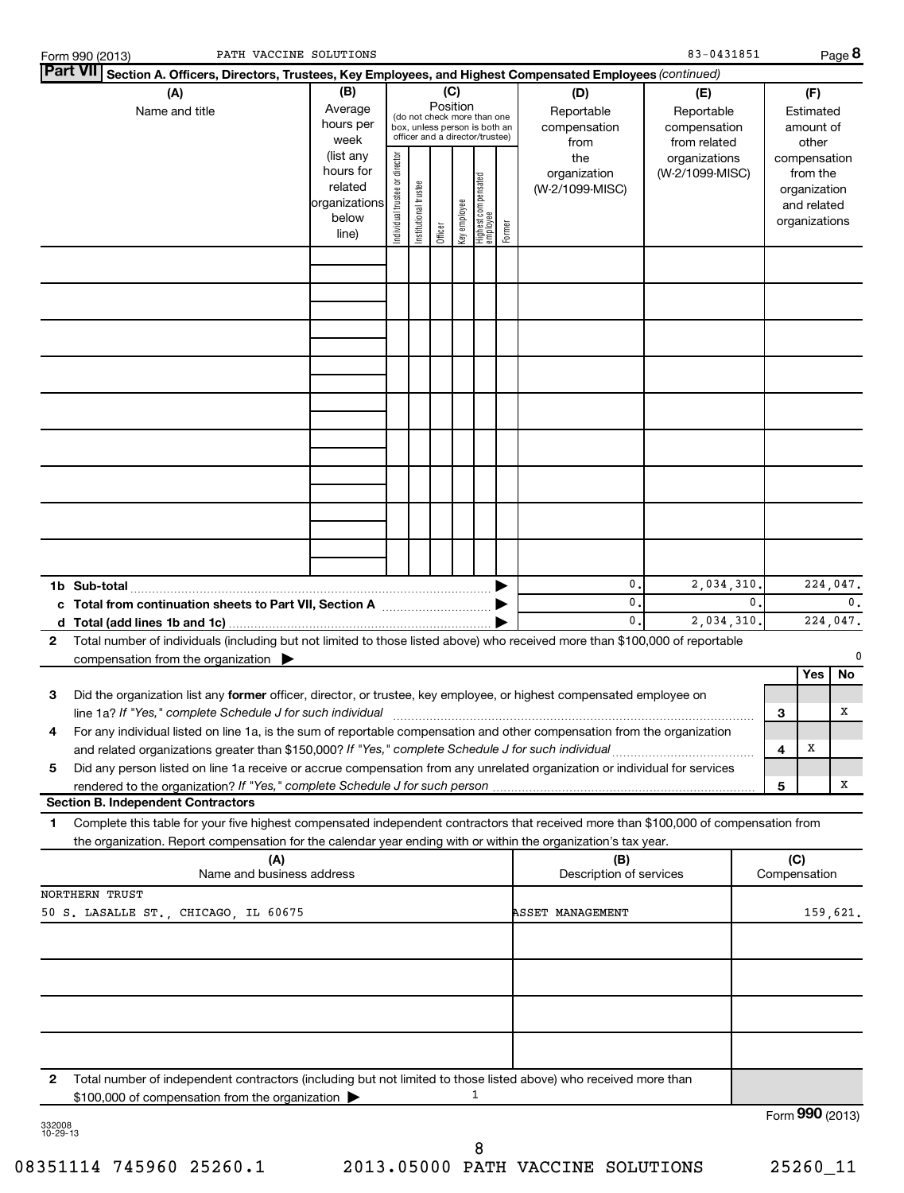| PATH VACCINE SOLUTIONS<br>Form 990 (2013)                                                                                                                                                                                                                   |                                                                      |                                |                                                                                                 |         |                 |                                  |        |                                           | 83-0431851                                        |                |                     |                                                                          | Page 8                     |
|-------------------------------------------------------------------------------------------------------------------------------------------------------------------------------------------------------------------------------------------------------------|----------------------------------------------------------------------|--------------------------------|-------------------------------------------------------------------------------------------------|---------|-----------------|----------------------------------|--------|-------------------------------------------|---------------------------------------------------|----------------|---------------------|--------------------------------------------------------------------------|----------------------------|
| <b>Part VII</b><br>Section A. Officers, Directors, Trustees, Key Employees, and Highest Compensated Employees (continued)                                                                                                                                   |                                                                      |                                |                                                                                                 |         |                 |                                  |        |                                           |                                                   |                |                     |                                                                          |                            |
| (A)<br>Name and title                                                                                                                                                                                                                                       | (B)<br>Average<br>hours per<br>week                                  |                                | (do not check more than one<br>box, unless person is both an<br>officer and a director/trustee) |         | (C)<br>Position |                                  |        | (D)<br>Reportable<br>compensation<br>from | (E)<br>Reportable<br>compensation<br>from related |                |                     | (F)<br>Estimated<br>amount of<br>other                                   |                            |
|                                                                                                                                                                                                                                                             | (list any<br>hours for<br>related<br>organizations<br>below<br>line) | Individual trustee or director | Institutional trustee                                                                           | Officer | Key employee    | Highest compensated<br> employee | Former | the<br>organization<br>(W-2/1099-MISC)    | organizations<br>(W-2/1099-MISC)                  |                |                     | compensation<br>from the<br>organization<br>and related<br>organizations |                            |
|                                                                                                                                                                                                                                                             |                                                                      |                                |                                                                                                 |         |                 |                                  |        |                                           |                                                   |                |                     |                                                                          |                            |
|                                                                                                                                                                                                                                                             |                                                                      |                                |                                                                                                 |         |                 |                                  |        |                                           |                                                   |                |                     |                                                                          |                            |
|                                                                                                                                                                                                                                                             |                                                                      |                                |                                                                                                 |         |                 |                                  |        |                                           |                                                   |                |                     |                                                                          |                            |
|                                                                                                                                                                                                                                                             |                                                                      |                                |                                                                                                 |         |                 |                                  |        |                                           |                                                   |                |                     |                                                                          |                            |
|                                                                                                                                                                                                                                                             |                                                                      |                                |                                                                                                 |         |                 |                                  |        |                                           |                                                   |                |                     |                                                                          |                            |
|                                                                                                                                                                                                                                                             |                                                                      |                                |                                                                                                 |         |                 |                                  |        |                                           |                                                   |                |                     |                                                                          |                            |
|                                                                                                                                                                                                                                                             |                                                                      |                                |                                                                                                 |         |                 |                                  |        |                                           |                                                   |                |                     |                                                                          |                            |
|                                                                                                                                                                                                                                                             |                                                                      |                                |                                                                                                 |         |                 |                                  |        | 0.<br>$\mathbf{0}$ .                      | 2,034,310.                                        | $\mathbf{0}$ . |                     |                                                                          | 224,047.<br>0 <sub>1</sub> |
| Total number of individuals (including but not limited to those listed above) who received more than \$100,000 of reportable<br>$\mathbf{2}$<br>compensation from the organization $\blacktriangleright$                                                    |                                                                      |                                |                                                                                                 |         |                 |                                  |        | $\mathbf{0}$ .                            | 2,034,310.                                        |                |                     |                                                                          | 224,047.<br>0              |
|                                                                                                                                                                                                                                                             |                                                                      |                                |                                                                                                 |         |                 |                                  |        |                                           |                                                   |                |                     | Yes                                                                      | No                         |
| Did the organization list any former officer, director, or trustee, key employee, or highest compensated employee on<br>З<br>line 1a? If "Yes," complete Schedule J for such individual                                                                     |                                                                      |                                |                                                                                                 |         |                 |                                  |        |                                           |                                                   |                | 3                   |                                                                          | х                          |
| 4<br>For any individual listed on line 1a, is the sum of reportable compensation and other compensation from the organization<br>and related organizations greater than \$150,000? If "Yes," complete Schedule J for such individual                        |                                                                      |                                |                                                                                                 |         |                 |                                  |        |                                           |                                                   |                | 4                   | Х                                                                        |                            |
| Did any person listed on line 1a receive or accrue compensation from any unrelated organization or individual for services<br>5<br>rendered to the organization? If "Yes," complete Schedule J for such person                                              |                                                                      |                                |                                                                                                 |         |                 |                                  |        |                                           |                                                   |                | 5                   |                                                                          | х                          |
| <b>Section B. Independent Contractors</b>                                                                                                                                                                                                                   |                                                                      |                                |                                                                                                 |         |                 |                                  |        |                                           |                                                   |                |                     |                                                                          |                            |
| Complete this table for your five highest compensated independent contractors that received more than \$100,000 of compensation from<br>1<br>the organization. Report compensation for the calendar year ending with or within the organization's tax year. |                                                                      |                                |                                                                                                 |         |                 |                                  |        |                                           |                                                   |                |                     |                                                                          |                            |
| (A)<br>Name and business address                                                                                                                                                                                                                            |                                                                      |                                |                                                                                                 |         |                 |                                  |        | (B)<br>Description of services            |                                                   |                | (C)<br>Compensation |                                                                          |                            |
| <b>NORTHERN TRUST</b>                                                                                                                                                                                                                                       |                                                                      |                                |                                                                                                 |         |                 |                                  |        | <b>ASSET MANAGEMENT</b>                   |                                                   |                |                     |                                                                          |                            |
| 50 S. LASALLE ST., CHICAGO, IL 60675                                                                                                                                                                                                                        |                                                                      |                                |                                                                                                 |         |                 |                                  |        |                                           |                                                   |                |                     |                                                                          | 159,621.                   |
|                                                                                                                                                                                                                                                             |                                                                      |                                |                                                                                                 |         |                 |                                  |        |                                           |                                                   |                |                     |                                                                          |                            |
|                                                                                                                                                                                                                                                             |                                                                      |                                |                                                                                                 |         |                 |                                  |        |                                           |                                                   |                |                     |                                                                          |                            |
|                                                                                                                                                                                                                                                             |                                                                      |                                |                                                                                                 |         |                 |                                  |        |                                           |                                                   |                |                     |                                                                          |                            |
| $\mathbf{2}$<br>Total number of independent contractors (including but not limited to those listed above) who received more than<br>\$100,000 of compensation from the organization                                                                         |                                                                      |                                |                                                                                                 |         |                 | 1                                |        |                                           |                                                   |                |                     |                                                                          |                            |
| 332008                                                                                                                                                                                                                                                      |                                                                      |                                |                                                                                                 |         |                 |                                  |        |                                           |                                                   |                |                     |                                                                          | Form 990 (2013)            |

332008 10-29-13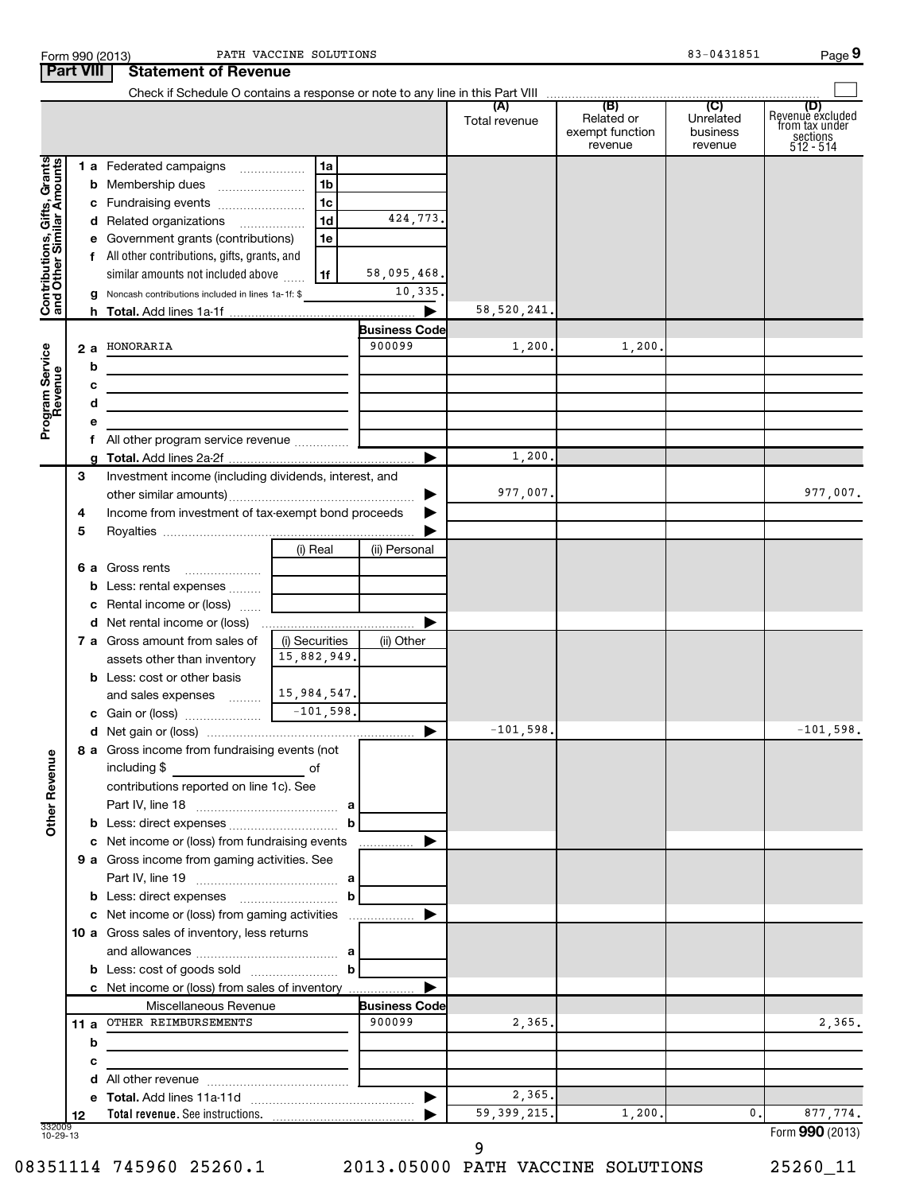|                                                           | <b>Part VIII</b> | <b>Statement of Revenue</b>                                                                                           |                |                                |                             |                                                 |                                                    |                                                                      |
|-----------------------------------------------------------|------------------|-----------------------------------------------------------------------------------------------------------------------|----------------|--------------------------------|-----------------------------|-------------------------------------------------|----------------------------------------------------|----------------------------------------------------------------------|
|                                                           |                  | Check if Schedule O contains a response or note to any line in this Part VIII                                         |                |                                |                             |                                                 |                                                    |                                                                      |
|                                                           |                  |                                                                                                                       |                |                                | (A)<br>Total revenue        | (B)<br>Related or<br>exempt function<br>revenue | $\overline{C}$<br>Unrelated<br>business<br>revenue | (D)<br>Revenue excluded<br>from tax under<br>sections<br>$512 - 514$ |
| Contributions, Gifts, Grants<br>and Other Similar Amounts |                  | 1 a Federated campaigns                                                                                               | 1a             |                                |                             |                                                 |                                                    |                                                                      |
|                                                           |                  | <b>b</b> Membership dues                                                                                              | 1b             |                                |                             |                                                 |                                                    |                                                                      |
|                                                           |                  | c Fundraising events                                                                                                  | 1c             |                                |                             |                                                 |                                                    |                                                                      |
|                                                           |                  | d Related organizations                                                                                               | 1 <sub>d</sub> | 424,773.                       |                             |                                                 |                                                    |                                                                      |
|                                                           |                  | e Government grants (contributions)                                                                                   | 1e             |                                |                             |                                                 |                                                    |                                                                      |
|                                                           |                  | f All other contributions, gifts, grants, and                                                                         |                |                                |                             |                                                 |                                                    |                                                                      |
|                                                           |                  | similar amounts not included above                                                                                    | 1f             | 58,095,468.                    |                             |                                                 |                                                    |                                                                      |
|                                                           |                  | g Noncash contributions included in lines 1a-1f: \$                                                                   |                | 10,335.<br>▶                   |                             |                                                 |                                                    |                                                                      |
|                                                           | h.               |                                                                                                                       |                |                                | 58, 520, 241.               |                                                 |                                                    |                                                                      |
|                                                           | 2a               | HONORARIA                                                                                                             |                | <b>Business Code</b><br>900099 | 1,200.                      | 1,200.                                          |                                                    |                                                                      |
|                                                           | b                |                                                                                                                       |                |                                |                             |                                                 |                                                    |                                                                      |
|                                                           | c                |                                                                                                                       |                |                                |                             |                                                 |                                                    |                                                                      |
|                                                           | d                | <u> 1989 - Johann Barbara, martin amerikan basar dan berasal dalam basar dalam basar dalam basar dalam basar dala</u> |                |                                |                             |                                                 |                                                    |                                                                      |
| Program Service<br>Revenue                                |                  | <u> 1989 - Johann Barbara, martin amerikan basar dan berasal dalam basa dalam basar dalam basar dalam basa dalam</u>  |                |                                |                             |                                                 |                                                    |                                                                      |
|                                                           |                  | All other program service revenue                                                                                     |                |                                |                             |                                                 |                                                    |                                                                      |
|                                                           |                  |                                                                                                                       |                | ▶                              | 1,200.                      |                                                 |                                                    |                                                                      |
|                                                           | 3                | Investment income (including dividends, interest, and                                                                 |                |                                |                             |                                                 |                                                    |                                                                      |
|                                                           |                  |                                                                                                                       |                |                                | 977,007.                    |                                                 |                                                    | 977,007.                                                             |
|                                                           | 4                | Income from investment of tax-exempt bond proceeds                                                                    |                |                                |                             |                                                 |                                                    |                                                                      |
|                                                           | 5                |                                                                                                                       |                |                                |                             |                                                 |                                                    |                                                                      |
|                                                           |                  |                                                                                                                       | (i) Real       | (ii) Personal                  |                             |                                                 |                                                    |                                                                      |
|                                                           |                  | 6 a Gross rents                                                                                                       |                |                                |                             |                                                 |                                                    |                                                                      |
|                                                           |                  | <b>b</b> Less: rental expenses                                                                                        |                |                                |                             |                                                 |                                                    |                                                                      |
|                                                           |                  | c Rental income or (loss)                                                                                             |                |                                |                             |                                                 |                                                    |                                                                      |
|                                                           |                  |                                                                                                                       |                | Þ                              |                             |                                                 |                                                    |                                                                      |
|                                                           |                  | <b>7 a</b> Gross amount from sales of                                                                                 | (i) Securities | (ii) Other                     |                             |                                                 |                                                    |                                                                      |
|                                                           |                  | assets other than inventory                                                                                           | 15,882,949.    |                                |                             |                                                 |                                                    |                                                                      |
|                                                           |                  | <b>b</b> Less: cost or other basis                                                                                    | 15,984,547.    |                                |                             |                                                 |                                                    |                                                                      |
|                                                           |                  | and sales expenses                                                                                                    |                |                                |                             |                                                 |                                                    |                                                                      |
|                                                           |                  |                                                                                                                       |                | ▶                              | $-101,598.$                 |                                                 |                                                    | $-101,598.$                                                          |
|                                                           |                  | 8 a Gross income from fundraising events (not                                                                         |                |                                |                             |                                                 |                                                    |                                                                      |
|                                                           |                  | including \$                                                                                                          | of             |                                |                             |                                                 |                                                    |                                                                      |
|                                                           |                  | contributions reported on line 1c). See                                                                               |                |                                |                             |                                                 |                                                    |                                                                      |
|                                                           |                  |                                                                                                                       |                |                                |                             |                                                 |                                                    |                                                                      |
| <b>Other Revenue</b>                                      |                  |                                                                                                                       | b              |                                |                             |                                                 |                                                    |                                                                      |
|                                                           |                  | c Net income or (loss) from fundraising events                                                                        |                | ▶<br>.                         |                             |                                                 |                                                    |                                                                      |
|                                                           |                  | 9 a Gross income from gaming activities. See                                                                          |                |                                |                             |                                                 |                                                    |                                                                      |
|                                                           |                  |                                                                                                                       |                |                                |                             |                                                 |                                                    |                                                                      |
|                                                           |                  |                                                                                                                       | b              |                                |                             |                                                 |                                                    |                                                                      |
|                                                           |                  | c Net income or (loss) from gaming activities                                                                         |                | ▶                              |                             |                                                 |                                                    |                                                                      |
|                                                           |                  | 10 a Gross sales of inventory, less returns                                                                           |                |                                |                             |                                                 |                                                    |                                                                      |
|                                                           |                  |                                                                                                                       |                |                                |                             |                                                 |                                                    |                                                                      |
|                                                           |                  |                                                                                                                       | b              |                                |                             |                                                 |                                                    |                                                                      |
|                                                           |                  | c Net income or (loss) from sales of inventory                                                                        |                |                                |                             |                                                 |                                                    |                                                                      |
|                                                           |                  | Miscellaneous Revenue<br>11 a OTHER REIMBURSEMENTS                                                                    |                | <b>Business Code</b><br>900099 | 2,365.                      |                                                 |                                                    | 2,365.                                                               |
|                                                           | b                |                                                                                                                       |                |                                |                             |                                                 |                                                    |                                                                      |
|                                                           | с                |                                                                                                                       |                |                                |                             |                                                 |                                                    |                                                                      |
|                                                           |                  |                                                                                                                       |                |                                |                             |                                                 |                                                    |                                                                      |
|                                                           |                  |                                                                                                                       |                | ▶                              | 2,365.                      |                                                 |                                                    |                                                                      |
|                                                           | 12               |                                                                                                                       |                |                                | $\overline{59}$ , 399, 215. | 1,200.                                          | 0.                                                 | 877,774.                                                             |
| 332009<br>10-29-13                                        |                  |                                                                                                                       |                |                                |                             |                                                 |                                                    | Form 990 (2013)                                                      |

9

08351114 745960 25260.1 2013.05000 PATH VACCINE SOLUTIONS 25260\_11

**9**

Form 990 (2013) Page PATH VACCINE SOLUTIONS 83-0431851

|  | าt of Revenue |  |  |
|--|---------------|--|--|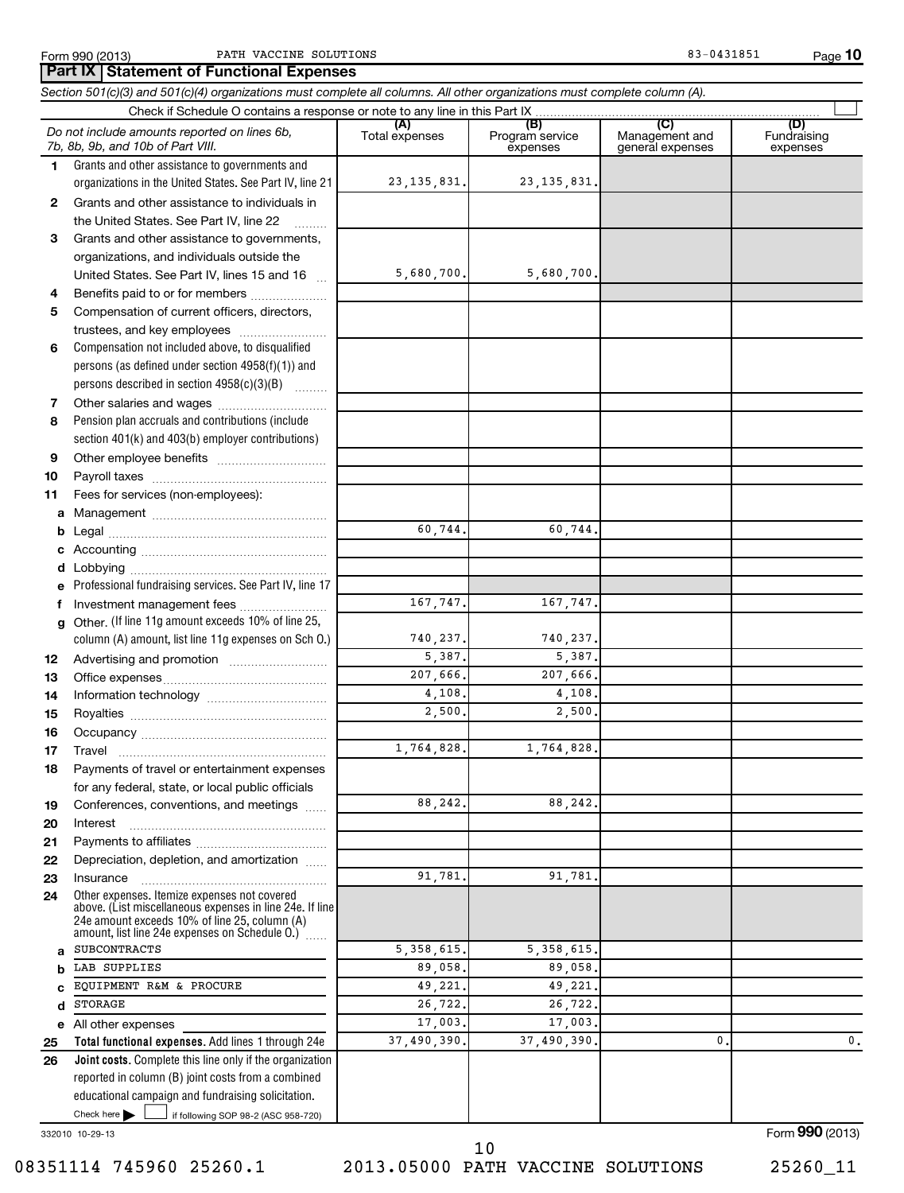**10**

 $\sim$ 

Fundraising expenses

**(A) (B) (C) (D) 1 2 3 4 5 6 7 8 9 10 11 a b c d e f g 12 13 14 15 16 17 18 19** *Section 501(c)(3) and 501(c)(4) organizations must complete all columns. All other organizations must complete column (A).* Grants and other assistance to governments and organizations in the United States. See Part IV, line 21 Compensation not included above, to disqualified persons (as defined under section 4958(f)(1)) and persons described in section 4958(c)(3)(B)  $\quad \quad \ldots \ldots \ldots$ Pension plan accruals and contributions (include section 401(k) and 403(b) employer contributions) Professional fundraising services. See Part IV, line 17 Other. (If line 11g amount exceeds 10% of line 25, column (A) amount, list line 11g expenses on Sch O.) Form 990 (2013) Page PATH VACCINE SOLUTIONS 83-0431851 Check if Schedule O contains a response or note to any line in this Part IX Total expenses | Program service expenses Management and general expenses Grants and other assistance to individuals in the United States. See Part IV, line 22 Grants and other assistance to governments, organizations, and individuals outside the United States. See Part IV, lines 15 and 16 ~ Benefits paid to or for members .................... Compensation of current officers, directors, trustees, and key employees ......................... Other salaries and wages ~~~~~~~~~~ Other employee benefits ~~~~~~~~~~ Payroll taxes ~~~~~~~~~~~~~~~~ Fees for services (non-employees): Management ~~~~~~~~~~~~~~~~ Legal ~~~~~~~~~~~~~~~~~~~~ Accounting ~~~~~~~~~~~~~~~~~ Lobbying ~~~~~~~~~~~~~~~~~~ Investment management fees ........................ Advertising and promotion ~~~~~~~~~ Office expenses ~~~~~~~~~~~~~~~ Information technology ~~~~~~~~~~~ Royalties ~~~~~~~~~~~~~~~~~~ Occupancy ~~~~~~~~~~~~~~~~~ Travel ………………………………………………… Payments of travel or entertainment expenses for any federal, state, or local public officials Conferences, conventions, and meetings ...... *Do not include amounts reported on lines 6b, 7b, 8b, 9b, and 10b of Part VIII.* **Part IX Statement of Functional Expenses** 23,135,831. 23,135,831. 5,680,700. 5,680,700. 60,744. 60,744. 167,747. 167,747. 740,237. 740,237. 5,387. 5,387. 207,666. 207,666. 4,108. 2,500. 2,500. 1,764,828. 1,764,828. 88,242. 88,242.

**20 21 22 23 24** Other expenses. Itemize expenses not covered above. (List miscellaneous expenses in line 24e. If line 24e amount exceeds 10% of line 25, column (A) Interest Payments to affiliates ~~~~~~~~~~~~ ~~~~~~~~~~~~~~~~~~ Depreciation, depletion, and amortization ...... Insurance ~~~~~~~~~~~~~~~~~

amount, list line 24e expenses on Schedule O.) ~<br>…… All other expenses SUBCONTRACTS 5,358,615. 5,358,615. LAB SUPPLIES 89,058. 89,058. EQUIPMENT R&M & PROCURE 49,221. 49,221.  $STORAGE$  26,722. 26,722. 37,490,390. 37,490,390. 0. 0.

 $\frac{1}{2}$  if following SOP 98-2 (ASC 958-720) **Total functional expenses.**  Add lines 1 through 24e **Joint costs.** Complete this line only if the organization **25 26** reported in column (B) joint costs from a combined educational campaign and fundraising solicitation. Check here  $\Box$ 

332010 10-29-13

**a b c d e**

Form **990** (2013)

08351114 745960 25260.1 2013.05000 PATH VACCINE SOLUTIONS 25260\_11

10

91,781. 91,781

17,003. 17,003.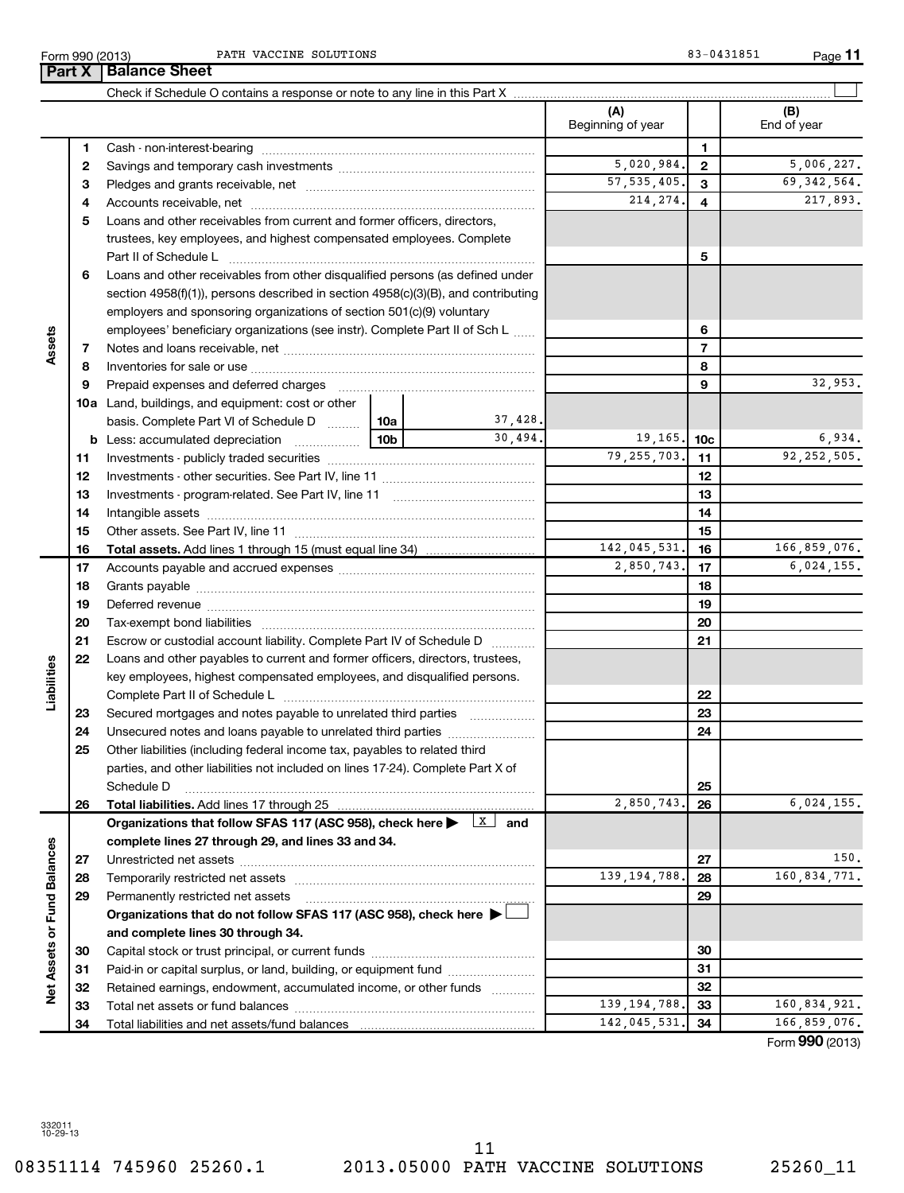Form 990 (2013) Page PATH VACCINE SOLUTIONS 83-0431851

**11**

|                             |    | <b>Part X   Balance Sheet</b>                                                     |                 |                     |                          |                 |                    |
|-----------------------------|----|-----------------------------------------------------------------------------------|-----------------|---------------------|--------------------------|-----------------|--------------------|
|                             |    |                                                                                   |                 |                     |                          |                 |                    |
|                             |    |                                                                                   |                 |                     | (A)<br>Beginning of year |                 | (B)<br>End of year |
|                             | 1  |                                                                                   |                 |                     |                          | 1               |                    |
|                             | 2  |                                                                                   |                 |                     | 5,020,984.               | $\mathbf{2}$    | 5,006,227.         |
|                             | З  |                                                                                   |                 |                     | 57, 535, 405.            | 3               | 69, 342, 564.      |
|                             | 4  |                                                                                   |                 |                     | 214, 274.                | 4               | 217,893.           |
|                             | 5  | Loans and other receivables from current and former officers, directors,          |                 |                     |                          |                 |                    |
|                             |    | trustees, key employees, and highest compensated employees. Complete              |                 |                     |                          |                 |                    |
|                             |    | Part II of Schedule L                                                             |                 |                     |                          | 5               |                    |
|                             | 6  | Loans and other receivables from other disqualified persons (as defined under     |                 |                     |                          |                 |                    |
|                             |    | section 4958(f)(1)), persons described in section 4958(c)(3)(B), and contributing |                 |                     |                          |                 |                    |
|                             |    | employers and sponsoring organizations of section 501(c)(9) voluntary             |                 |                     |                          |                 |                    |
|                             |    | employees' beneficiary organizations (see instr). Complete Part II of Sch L       |                 |                     |                          | 6               |                    |
| Assets                      | 7  |                                                                                   |                 |                     |                          | $\overline{7}$  |                    |
|                             | 8  |                                                                                   |                 |                     |                          | 8               |                    |
|                             | 9  | Prepaid expenses and deferred charges                                             |                 |                     |                          | 9               | 32,953.            |
|                             |    | <b>10a</b> Land, buildings, and equipment: cost or other                          |                 |                     |                          |                 |                    |
|                             |    | basis. Complete Part VI of Schedule D    10a                                      |                 | 37,428.             |                          |                 |                    |
|                             | b  | Less: accumulated depreciation<br>.                                               | 10 <sub>b</sub> | 30,494.             | 19, 165.                 | 10 <sub>c</sub> | 6,934.             |
|                             | 11 |                                                                                   |                 |                     | 79, 255, 703.            | 11              | 92, 252, 505.      |
|                             | 12 |                                                                                   |                 |                     |                          | 12              |                    |
|                             | 13 |                                                                                   |                 |                     |                          | 13              |                    |
|                             | 14 |                                                                                   |                 |                     |                          | 14              |                    |
|                             | 15 |                                                                                   |                 |                     |                          | 15              |                    |
|                             | 16 |                                                                                   |                 |                     | 142,045,531.             | 16              | 166,859,076.       |
|                             | 17 |                                                                                   |                 |                     | 2,850,743.               | 17              | 6,024,155.         |
|                             | 18 |                                                                                   |                 |                     |                          | 18              |                    |
|                             | 19 |                                                                                   |                 |                     |                          | 19              |                    |
|                             | 20 |                                                                                   |                 |                     |                          | 20              |                    |
|                             | 21 | Escrow or custodial account liability. Complete Part IV of Schedule D             |                 |                     |                          | 21              |                    |
|                             | 22 | Loans and other payables to current and former officers, directors, trustees,     |                 |                     |                          |                 |                    |
|                             |    | key employees, highest compensated employees, and disqualified persons.           |                 |                     |                          |                 |                    |
| Liabilities                 |    |                                                                                   |                 |                     |                          | 22              |                    |
|                             | 23 | Secured mortgages and notes payable to unrelated third parties                    |                 |                     |                          | 23              |                    |
|                             | 24 |                                                                                   |                 |                     |                          | 24              |                    |
|                             | 25 | Other liabilities (including federal income tax, payables to related third        |                 |                     |                          |                 |                    |
|                             |    | parties, and other liabilities not included on lines 17-24). Complete Part X of   |                 |                     |                          |                 |                    |
|                             |    | Schedule D                                                                        |                 |                     |                          | 25              |                    |
|                             | 26 | Total liabilities. Add lines 17 through 25                                        |                 |                     | 2,850,743.               | 26              | 6,024,155.         |
|                             |    | Organizations that follow SFAS 117 (ASC 958), check here                          |                 | $\mathbf{x}$<br>and |                          |                 |                    |
|                             |    | complete lines 27 through 29, and lines 33 and 34.                                |                 |                     |                          |                 |                    |
|                             | 27 |                                                                                   |                 |                     |                          | 27              | 150.               |
|                             | 28 |                                                                                   |                 |                     | 139, 194, 788.           | 28              | 160,834,771.       |
|                             | 29 | Permanently restricted net assets                                                 |                 |                     |                          | 29              |                    |
|                             |    | Organizations that do not follow SFAS 117 (ASC 958), check here >                 |                 |                     |                          |                 |                    |
|                             |    | and complete lines 30 through 34.                                                 |                 |                     |                          |                 |                    |
|                             | 30 |                                                                                   |                 |                     |                          | 30              |                    |
|                             | 31 | Paid-in or capital surplus, or land, building, or equipment fund                  |                 |                     |                          | 31              |                    |
| Net Assets or Fund Balances | 32 | Retained earnings, endowment, accumulated income, or other funds                  |                 |                     |                          | 32              |                    |
|                             | 33 |                                                                                   |                 |                     | 139, 194, 788.           | 33              | 160,834,921.       |
|                             | 34 |                                                                                   |                 |                     | 142,045,531.             | 34              | 166,859,076.       |

Form (2013) **990**

332011 10-29-13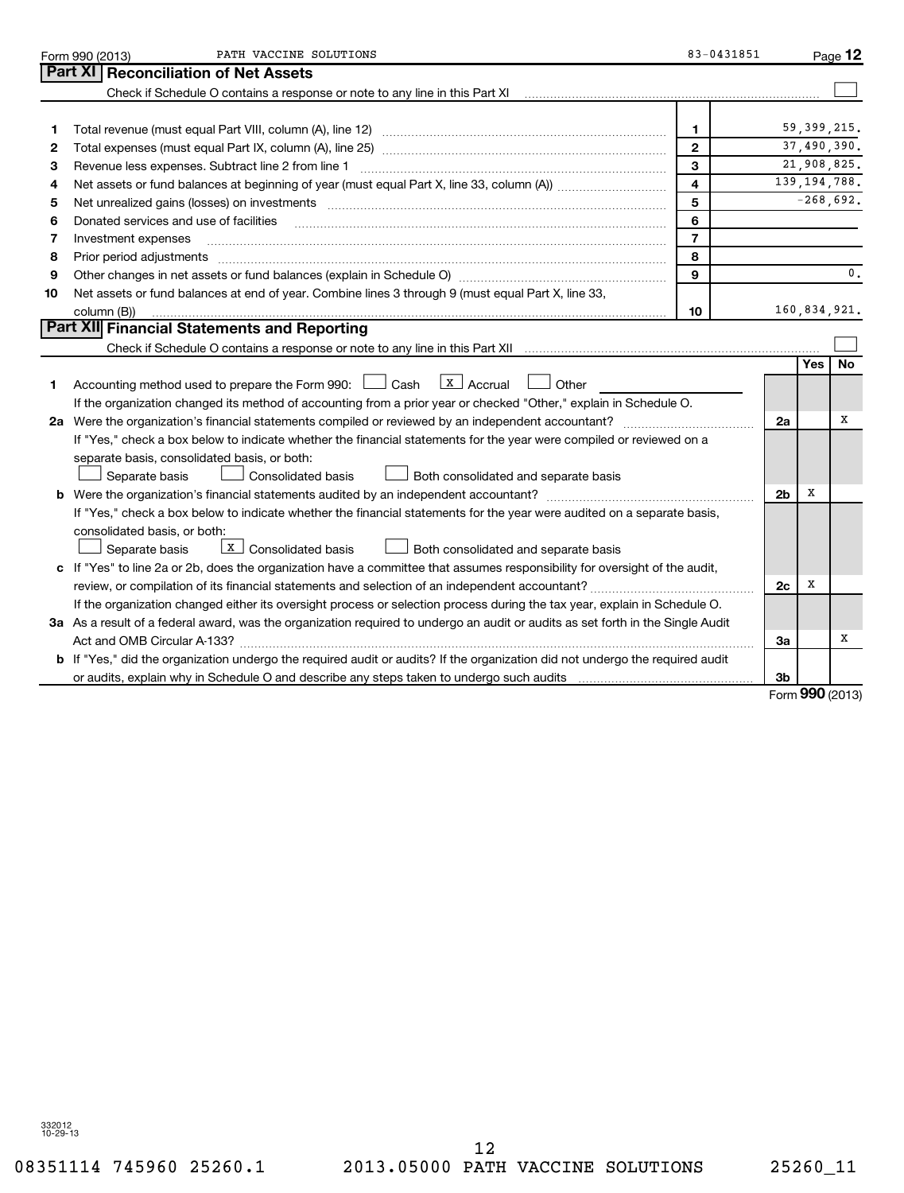|    | PATH VACCINE SOLUTIONS<br>Form 990 (2013)                                                                                                                                                                                      | 83-0431851              |                |     | Page 12        |
|----|--------------------------------------------------------------------------------------------------------------------------------------------------------------------------------------------------------------------------------|-------------------------|----------------|-----|----------------|
|    | Part XI<br><b>Reconciliation of Net Assets</b>                                                                                                                                                                                 |                         |                |     |                |
|    | Check if Schedule O contains a response or note to any line in this Part XI [11] [12] Check if Schedule O contains a response or note to any line in this Part XI                                                              |                         |                |     |                |
|    |                                                                                                                                                                                                                                |                         |                |     |                |
| 1  |                                                                                                                                                                                                                                | 1                       |                |     | 59, 399, 215.  |
| 2  |                                                                                                                                                                                                                                | $\mathbf{2}$            |                |     | 37,490,390.    |
| 3  | Revenue less expenses. Subtract line 2 from line 1                                                                                                                                                                             | 3                       |                |     | 21,908,825.    |
| 4  |                                                                                                                                                                                                                                | $\overline{\mathbf{4}}$ |                |     | 139, 194, 788. |
| 5  | Net unrealized gains (losses) on investments [11] matter contracts and the state of the state of the state of the state of the state of the state of the state of the state of the state of the state of the state of the stat | 5                       |                |     | $-268,692.$    |
| 6  | Donated services and use of facilities                                                                                                                                                                                         | 6                       |                |     |                |
| 7  | Investment expenses                                                                                                                                                                                                            | $\overline{7}$          |                |     |                |
| 8  | Prior period adjustments                                                                                                                                                                                                       | 8                       |                |     |                |
| 9  |                                                                                                                                                                                                                                | 9                       |                |     | 0.             |
| 10 | Net assets or fund balances at end of year. Combine lines 3 through 9 (must equal Part X, line 33,                                                                                                                             |                         |                |     |                |
|    | column (B))                                                                                                                                                                                                                    | 10                      |                |     | 160,834,921.   |
|    | Part XII Financial Statements and Reporting                                                                                                                                                                                    |                         |                |     |                |
|    |                                                                                                                                                                                                                                |                         |                |     |                |
|    |                                                                                                                                                                                                                                |                         |                | Yes | <b>No</b>      |
| 1  | $\lfloor x \rfloor$ Accrual<br>Accounting method used to prepare the Form 990: $\Box$ Cash<br>Other                                                                                                                            |                         |                |     |                |
|    | If the organization changed its method of accounting from a prior year or checked "Other," explain in Schedule O.                                                                                                              |                         |                |     |                |
|    | 2a Were the organization's financial statements compiled or reviewed by an independent accountant?                                                                                                                             |                         | 2a             |     | х              |
|    | If "Yes," check a box below to indicate whether the financial statements for the year were compiled or reviewed on a                                                                                                           |                         |                |     |                |
|    | separate basis, consolidated basis, or both:                                                                                                                                                                                   |                         |                |     |                |
|    | Consolidated basis<br>Separate basis<br>Both consolidated and separate basis                                                                                                                                                   |                         |                |     |                |
|    |                                                                                                                                                                                                                                |                         | 2 <sub>b</sub> | х   |                |
|    | If "Yes," check a box below to indicate whether the financial statements for the year were audited on a separate basis,                                                                                                        |                         |                |     |                |
|    | consolidated basis, or both:                                                                                                                                                                                                   |                         |                |     |                |
|    | $\boxed{\text{x}}$ Consolidated basis<br>Both consolidated and separate basis<br>Separate basis                                                                                                                                |                         |                |     |                |
|    | c If "Yes" to line 2a or 2b, does the organization have a committee that assumes responsibility for oversight of the audit,                                                                                                    |                         |                |     |                |
|    |                                                                                                                                                                                                                                |                         | 2c             | x   |                |
|    | If the organization changed either its oversight process or selection process during the tax year, explain in Schedule O.                                                                                                      |                         |                |     |                |
|    | 3a As a result of a federal award, was the organization required to undergo an audit or audits as set forth in the Single Audit                                                                                                |                         |                |     |                |
|    | Act and OMB Circular A-133?                                                                                                                                                                                                    |                         | За             |     | х              |
|    | b If "Yes," did the organization undergo the required audit or audits? If the organization did not undergo the required audit                                                                                                  |                         |                |     |                |
|    |                                                                                                                                                                                                                                |                         | 3b             |     |                |
|    |                                                                                                                                                                                                                                |                         |                |     | $000$ (2012)   |

Form **990** (2013)

08351114 745960 25260.1 2013.05000 PATH VACCINE SOLUTIONS 25260\_11 12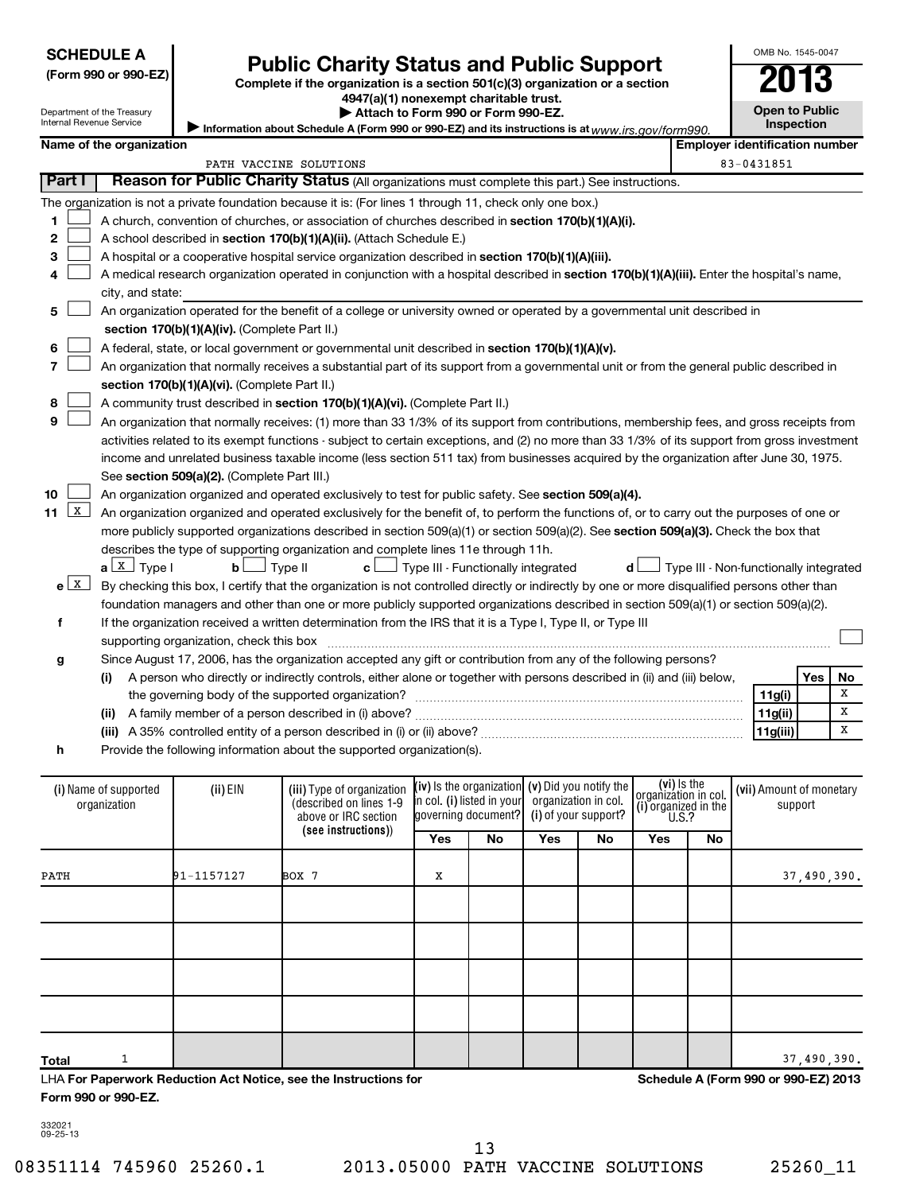| <b>SCHEDULE A</b> |  |
|-------------------|--|
|                   |  |

| <b>SCHEDULE A</b><br>(Form 990 or 990-EZ)<br>Department of the Treasury<br><b>Internal Revenue Service</b> |                        |                          | <b>Public Charity Status and Public Support</b>                                                                                                                                                                                                                                                                                                                                                                                                                                                                                                                                                                                                                                                                                                                                                                                                                                                                                                                                                                                                                                                                                                                                                                                                                                                                                                                                                                                                          |                                        | OMB No. 1545-0047                   |            |    |
|------------------------------------------------------------------------------------------------------------|------------------------|--------------------------|----------------------------------------------------------------------------------------------------------------------------------------------------------------------------------------------------------------------------------------------------------------------------------------------------------------------------------------------------------------------------------------------------------------------------------------------------------------------------------------------------------------------------------------------------------------------------------------------------------------------------------------------------------------------------------------------------------------------------------------------------------------------------------------------------------------------------------------------------------------------------------------------------------------------------------------------------------------------------------------------------------------------------------------------------------------------------------------------------------------------------------------------------------------------------------------------------------------------------------------------------------------------------------------------------------------------------------------------------------------------------------------------------------------------------------------------------------|----------------------------------------|-------------------------------------|------------|----|
|                                                                                                            |                        |                          | Complete if the organization is a section 501(c)(3) organization or a section<br>4947(a)(1) nonexempt charitable trust.<br>Attach to Form 990 or Form 990-EZ.<br>Information about Schedule A (Form 990 or 990-EZ) and its instructions is at $www.irs.gov/form990.$                                                                                                                                                                                                                                                                                                                                                                                                                                                                                                                                                                                                                                                                                                                                                                                                                                                                                                                                                                                                                                                                                                                                                                                     |                                        | <b>Open to Public</b><br>Inspection |            |    |
|                                                                                                            |                        | Name of the organization |                                                                                                                                                                                                                                                                                                                                                                                                                                                                                                                                                                                                                                                                                                                                                                                                                                                                                                                                                                                                                                                                                                                                                                                                                                                                                                                                                                                                                                                          | <b>Employer identification number</b>  |                                     |            |    |
|                                                                                                            |                        |                          | PATH VACCINE SOLUTIONS                                                                                                                                                                                                                                                                                                                                                                                                                                                                                                                                                                                                                                                                                                                                                                                                                                                                                                                                                                                                                                                                                                                                                                                                                                                                                                                                                                                                                                   |                                        | 83-0431851                          |            |    |
|                                                                                                            | Part I                 |                          | Reason for Public Charity Status (All organizations must complete this part.) See instructions.                                                                                                                                                                                                                                                                                                                                                                                                                                                                                                                                                                                                                                                                                                                                                                                                                                                                                                                                                                                                                                                                                                                                                                                                                                                                                                                                                          |                                        |                                     |            |    |
| 1<br>$\mathbf{2}$<br>3<br>4                                                                                |                        | city, and state:         | The organization is not a private foundation because it is: (For lines 1 through 11, check only one box.)<br>A church, convention of churches, or association of churches described in section 170(b)(1)(A)(i).<br>A school described in section 170(b)(1)(A)(ii). (Attach Schedule E.)<br>A hospital or a cooperative hospital service organization described in section 170(b)(1)(A)(iii).<br>A medical research organization operated in conjunction with a hospital described in section 170(b)(1)(A)(iii). Enter the hospital's name,                                                                                                                                                                                                                                                                                                                                                                                                                                                                                                                                                                                                                                                                                                                                                                                                                                                                                                               |                                        |                                     |            |    |
| 5<br>6<br>7<br>8<br>9<br>10<br>11                                                                          | $\mathbf{X}$           |                          | An organization operated for the benefit of a college or university owned or operated by a governmental unit described in<br>section 170(b)(1)(A)(iv). (Complete Part II.)<br>A federal, state, or local government or governmental unit described in section 170(b)(1)(A)(v).<br>An organization that normally receives a substantial part of its support from a governmental unit or from the general public described in<br>section 170(b)(1)(A)(vi). (Complete Part II.)<br>A community trust described in section 170(b)(1)(A)(vi). (Complete Part II.)<br>An organization that normally receives: (1) more than 33 1/3% of its support from contributions, membership fees, and gross receipts from<br>activities related to its exempt functions - subject to certain exceptions, and (2) no more than 33 1/3% of its support from gross investment<br>income and unrelated business taxable income (less section 511 tax) from businesses acquired by the organization after June 30, 1975.<br>See section 509(a)(2). (Complete Part III.)<br>An organization organized and operated exclusively to test for public safety. See section 509(a)(4).<br>An organization organized and operated exclusively for the benefit of, to perform the functions of, or to carry out the purposes of one or<br>more publicly supported organizations described in section $509(a)(1)$ or section $509(a)(2)$ . See section $509(a)(3)$ . Check the box that |                                        |                                     |            |    |
| f                                                                                                          | $e$ $\boxed{\text{X}}$ | $a \perp X$ Type I       | describes the type of supporting organization and complete lines 11e through 11h.<br>b <sub>l</sub><br>$\Box$ Type II<br>$\mathbf{c}$ $\Box$ Type III - Functionally integrated<br>d l<br>By checking this box, I certify that the organization is not controlled directly or indirectly by one or more disqualified persons other than<br>foundation managers and other than one or more publicly supported organizations described in section 509(a)(1) or section 509(a)(2).<br>If the organization received a written determination from the IRS that it is a Type I, Type II, or Type III<br>supporting organization, check this box                                                                                                                                                                                                                                                                                                                                                                                                                                                                                                                                                                                                                                                                                                                                                                                                                | Type III - Non-functionally integrated |                                     |            |    |
| g                                                                                                          |                        |                          | Since August 17, 2006, has the organization accepted any gift or contribution from any of the following persons?                                                                                                                                                                                                                                                                                                                                                                                                                                                                                                                                                                                                                                                                                                                                                                                                                                                                                                                                                                                                                                                                                                                                                                                                                                                                                                                                         |                                        |                                     |            |    |
|                                                                                                            |                        | (i)                      | A person who directly or indirectly controls, either alone or together with persons described in (ii) and (iii) below,                                                                                                                                                                                                                                                                                                                                                                                                                                                                                                                                                                                                                                                                                                                                                                                                                                                                                                                                                                                                                                                                                                                                                                                                                                                                                                                                   |                                        |                                     | <b>Yes</b> | No |
|                                                                                                            |                        |                          | the governing body of the supported organization?                                                                                                                                                                                                                                                                                                                                                                                                                                                                                                                                                                                                                                                                                                                                                                                                                                                                                                                                                                                                                                                                                                                                                                                                                                                                                                                                                                                                        |                                        | 11g(i)                              |            | X  |
|                                                                                                            |                        |                          |                                                                                                                                                                                                                                                                                                                                                                                                                                                                                                                                                                                                                                                                                                                                                                                                                                                                                                                                                                                                                                                                                                                                                                                                                                                                                                                                                                                                                                                          |                                        | 11g(ii)                             |            | X  |
|                                                                                                            |                        |                          |                                                                                                                                                                                                                                                                                                                                                                                                                                                                                                                                                                                                                                                                                                                                                                                                                                                                                                                                                                                                                                                                                                                                                                                                                                                                                                                                                                                                                                                          |                                        | 11g(iii)                            |            | X  |
| h                                                                                                          |                        |                          | Provide the following information about the supported organization(s).                                                                                                                                                                                                                                                                                                                                                                                                                                                                                                                                                                                                                                                                                                                                                                                                                                                                                                                                                                                                                                                                                                                                                                                                                                                                                                                                                                                   |                                        |                                     |            |    |

**h**

| (i) Name of supported<br>organization | $(ii)$ EIN | (iii) Type of organization<br>(described on lines 1-9<br>above or IRC section |     | $(iv)$ is the organization $(v)$ Did you notify the<br>in col. (i) listed in your<br>governing document? |     | organization in col.<br>(i) of your support? | (vi) Is the<br>organization in col.<br>(i) organized in the<br>U.S.? |    | (vii) Amount of monetary<br>support  |
|---------------------------------------|------------|-------------------------------------------------------------------------------|-----|----------------------------------------------------------------------------------------------------------|-----|----------------------------------------------|----------------------------------------------------------------------|----|--------------------------------------|
|                                       |            | (see instructions))                                                           | Yes | No                                                                                                       | Yes | No                                           | Yes                                                                  | No |                                      |
| PATH                                  | 91-1157127 | BOX 7                                                                         | х   |                                                                                                          |     |                                              |                                                                      |    | 37,490,390.                          |
|                                       |            |                                                                               |     |                                                                                                          |     |                                              |                                                                      |    |                                      |
|                                       |            |                                                                               |     |                                                                                                          |     |                                              |                                                                      |    |                                      |
|                                       |            |                                                                               |     |                                                                                                          |     |                                              |                                                                      |    |                                      |
|                                       |            |                                                                               |     |                                                                                                          |     |                                              |                                                                      |    |                                      |
| Total                                 |            |                                                                               |     |                                                                                                          |     |                                              |                                                                      |    | 37,490,390.                          |
|                                       |            | LHA For Paperwork Reduction Act Notice, see the Instructions for              |     |                                                                                                          |     |                                              |                                                                      |    | Schedule A (Form 990 or 990-EZ) 2013 |

**Form 990 or 990-EZ.**

332021 09-25-13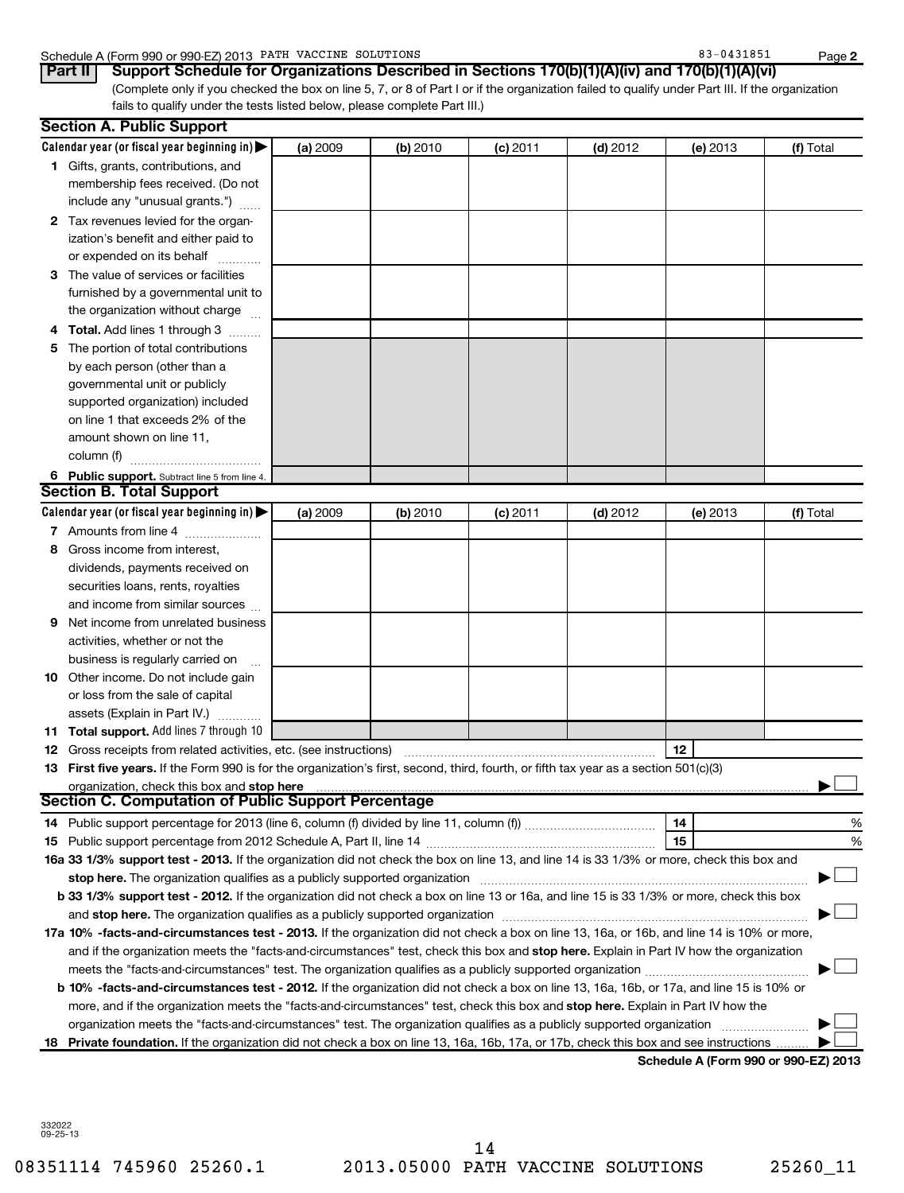### Schedule A (Form 990 or 990-EZ) 2013 PATH VACCINE SOLUTIONS 83 - 83-0431851 Page

| 1431851 |  |  |  |  |
|---------|--|--|--|--|
|         |  |  |  |  |

(Complete only if you checked the box on line 5, 7, or 8 of Part I or if the organization failed to qualify under Part III. If the organization fails to qualify under the tests listed below, please complete Part III.) **Part II Support Schedule for Organizations Described in Sections 170(b)(1)(A)(iv) and 170(b)(1)(A)(vi)**

|    | <b>Section A. Public Support</b>                                                                                                                                                                                               |          |          |            |            |          |                                      |
|----|--------------------------------------------------------------------------------------------------------------------------------------------------------------------------------------------------------------------------------|----------|----------|------------|------------|----------|--------------------------------------|
|    | Calendar year (or fiscal year beginning in) $\blacktriangleright$                                                                                                                                                              | (a) 2009 | (b) 2010 | $(c)$ 2011 | $(d)$ 2012 | (e) 2013 | (f) Total                            |
|    | 1 Gifts, grants, contributions, and<br>membership fees received. (Do not                                                                                                                                                       |          |          |            |            |          |                                      |
|    | include any "unusual grants.")                                                                                                                                                                                                 |          |          |            |            |          |                                      |
|    | 2 Tax revenues levied for the organ-<br>ization's benefit and either paid to<br>or expended on its behalf                                                                                                                      |          |          |            |            |          |                                      |
|    | 3 The value of services or facilities                                                                                                                                                                                          |          |          |            |            |          |                                      |
|    | furnished by a governmental unit to                                                                                                                                                                                            |          |          |            |            |          |                                      |
|    | the organization without charge                                                                                                                                                                                                |          |          |            |            |          |                                      |
|    | Total. Add lines 1 through 3                                                                                                                                                                                                   |          |          |            |            |          |                                      |
| 5  | The portion of total contributions                                                                                                                                                                                             |          |          |            |            |          |                                      |
|    | by each person (other than a                                                                                                                                                                                                   |          |          |            |            |          |                                      |
|    | governmental unit or publicly                                                                                                                                                                                                  |          |          |            |            |          |                                      |
|    | supported organization) included                                                                                                                                                                                               |          |          |            |            |          |                                      |
|    | on line 1 that exceeds 2% of the                                                                                                                                                                                               |          |          |            |            |          |                                      |
|    | amount shown on line 11,                                                                                                                                                                                                       |          |          |            |            |          |                                      |
|    | column (f)                                                                                                                                                                                                                     |          |          |            |            |          |                                      |
|    | 6 Public support. Subtract line 5 from line 4.                                                                                                                                                                                 |          |          |            |            |          |                                      |
|    | <b>Section B. Total Support</b>                                                                                                                                                                                                |          |          |            |            |          |                                      |
|    | Calendar year (or fiscal year beginning in)                                                                                                                                                                                    | (a) 2009 | (b) 2010 | $(c)$ 2011 | $(d)$ 2012 | (e) 2013 | (f) Total                            |
|    | 7 Amounts from line 4                                                                                                                                                                                                          |          |          |            |            |          |                                      |
| 8  | Gross income from interest,                                                                                                                                                                                                    |          |          |            |            |          |                                      |
|    | dividends, payments received on                                                                                                                                                                                                |          |          |            |            |          |                                      |
|    | securities loans, rents, royalties                                                                                                                                                                                             |          |          |            |            |          |                                      |
|    | and income from similar sources                                                                                                                                                                                                |          |          |            |            |          |                                      |
| 9  | Net income from unrelated business                                                                                                                                                                                             |          |          |            |            |          |                                      |
|    | activities, whether or not the                                                                                                                                                                                                 |          |          |            |            |          |                                      |
|    | business is regularly carried on                                                                                                                                                                                               |          |          |            |            |          |                                      |
|    | <b>10</b> Other income. Do not include gain                                                                                                                                                                                    |          |          |            |            |          |                                      |
|    | or loss from the sale of capital                                                                                                                                                                                               |          |          |            |            |          |                                      |
|    | assets (Explain in Part IV.)                                                                                                                                                                                                   |          |          |            |            |          |                                      |
|    | 11 Total support. Add lines 7 through 10                                                                                                                                                                                       |          |          |            |            |          |                                      |
|    | <b>12</b> Gross receipts from related activities, etc. (see instructions)<br>13 First five years. If the Form 990 is for the organization's first, second, third, fourth, or fifth tax year as a section 501(c)(3)             |          |          |            |            | 12       |                                      |
|    | organization, check this box and stop here manufactured and according to the state of the state of the state of the state of the state of the state of the state of the state of the state of the state of the state of the st |          |          |            |            |          |                                      |
|    | <b>Section C. Computation of Public Support Percentage</b>                                                                                                                                                                     |          |          |            |            |          |                                      |
|    |                                                                                                                                                                                                                                |          |          |            |            | 14       | %                                    |
|    |                                                                                                                                                                                                                                |          |          |            |            | 15       | %                                    |
|    | 16a 33 1/3% support test - 2013. If the organization did not check the box on line 13, and line 14 is 33 1/3% or more, check this box and                                                                                      |          |          |            |            |          |                                      |
|    | stop here. The organization qualifies as a publicly supported organization                                                                                                                                                     |          |          |            |            |          |                                      |
|    | b 33 1/3% support test - 2012. If the organization did not check a box on line 13 or 16a, and line 15 is 33 1/3% or more, check this box                                                                                       |          |          |            |            |          |                                      |
|    |                                                                                                                                                                                                                                |          |          |            |            |          |                                      |
|    | 17a 10% -facts-and-circumstances test - 2013. If the organization did not check a box on line 13, 16a, or 16b, and line 14 is 10% or more,                                                                                     |          |          |            |            |          |                                      |
|    | and if the organization meets the "facts-and-circumstances" test, check this box and stop here. Explain in Part IV how the organization                                                                                        |          |          |            |            |          |                                      |
|    |                                                                                                                                                                                                                                |          |          |            |            |          |                                      |
|    | b 10% -facts-and-circumstances test - 2012. If the organization did not check a box on line 13, 16a, 16b, or 17a, and line 15 is 10% or                                                                                        |          |          |            |            |          |                                      |
|    | more, and if the organization meets the "facts-and-circumstances" test, check this box and stop here. Explain in Part IV how the                                                                                               |          |          |            |            |          |                                      |
|    | organization meets the "facts-and-circumstances" test. The organization qualifies as a publicly supported organization                                                                                                         |          |          |            |            |          |                                      |
| 18 | Private foundation. If the organization did not check a box on line 13, 16a, 16b, 17a, or 17b, check this box and see instructions                                                                                             |          |          |            |            |          |                                      |
|    |                                                                                                                                                                                                                                |          |          |            |            |          | Schedule A (Form 990 or 990-EZ) 2013 |

332022 09-25-13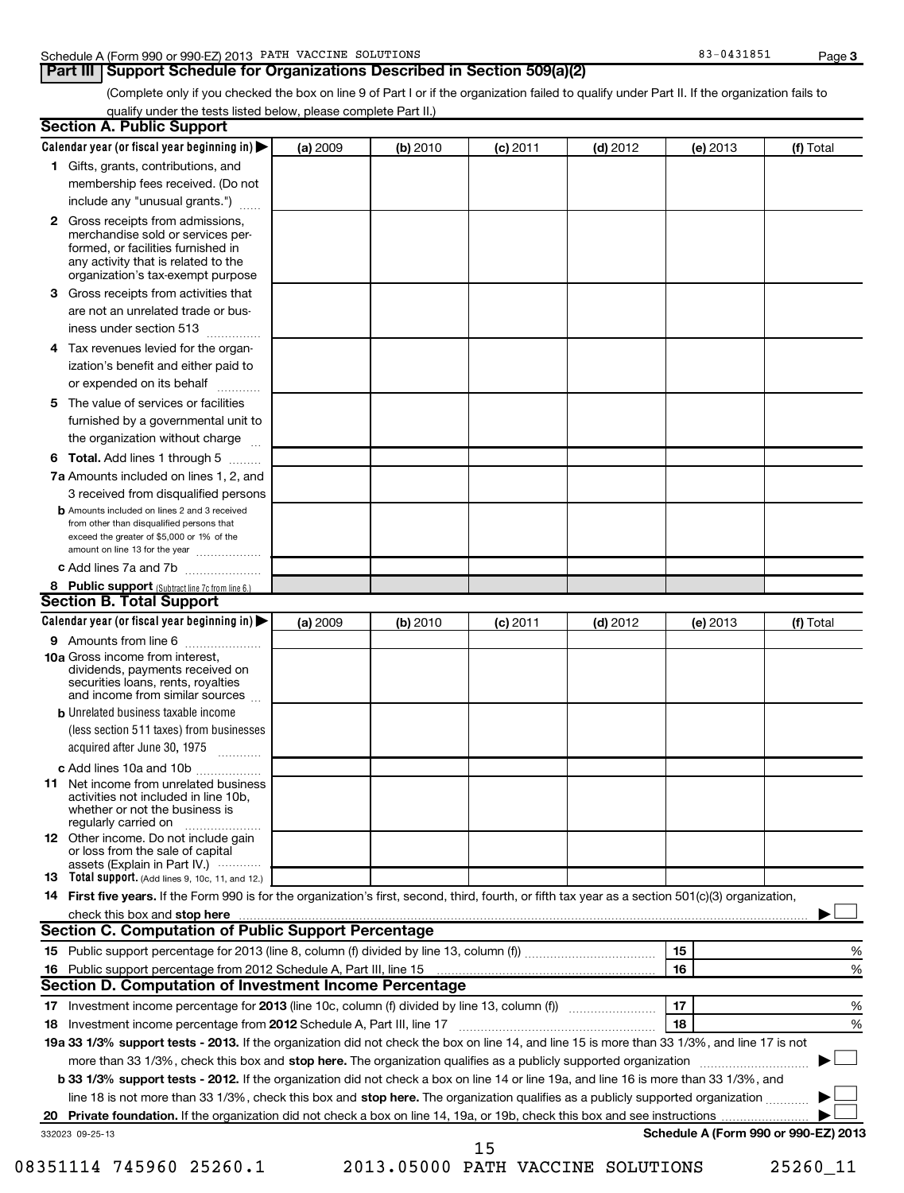### Schedule A (Form 990 or 990-EZ) 2013 PATH VACCINE SOLUTIONS 83 - 83-0431851 Page

### **Part III** Support Schedule for Organizations Described in Section 509(a)(2)

(Complete only if you checked the box on line 9 of Part I or if the organization failed to qualify under Part II. If the organization fails to qualify under the tests listed below, please complete Part II.)

| <b>Section A. Public Support</b>                                                                                                                                                         |          |          |            |            |          |                                      |
|------------------------------------------------------------------------------------------------------------------------------------------------------------------------------------------|----------|----------|------------|------------|----------|--------------------------------------|
| Calendar year (or fiscal year beginning in) $\blacktriangleright$                                                                                                                        | (a) 2009 | (b) 2010 | $(c)$ 2011 | $(d)$ 2012 | (e) 2013 | (f) Total                            |
| 1 Gifts, grants, contributions, and                                                                                                                                                      |          |          |            |            |          |                                      |
| membership fees received. (Do not                                                                                                                                                        |          |          |            |            |          |                                      |
| include any "unusual grants.")                                                                                                                                                           |          |          |            |            |          |                                      |
| 2 Gross receipts from admissions.<br>merchandise sold or services per-<br>formed, or facilities furnished in<br>any activity that is related to the<br>organization's tax-exempt purpose |          |          |            |            |          |                                      |
| Gross receipts from activities that<br>3.<br>are not an unrelated trade or bus-                                                                                                          |          |          |            |            |          |                                      |
| iness under section 513                                                                                                                                                                  |          |          |            |            |          |                                      |
| 4 Tax revenues levied for the organ-                                                                                                                                                     |          |          |            |            |          |                                      |
| ization's benefit and either paid to<br>or expended on its behalf                                                                                                                        |          |          |            |            |          |                                      |
| The value of services or facilities<br>5                                                                                                                                                 |          |          |            |            |          |                                      |
| furnished by a governmental unit to                                                                                                                                                      |          |          |            |            |          |                                      |
| the organization without charge                                                                                                                                                          |          |          |            |            |          |                                      |
| <b>6 Total.</b> Add lines 1 through 5                                                                                                                                                    |          |          |            |            |          |                                      |
| 7a Amounts included on lines 1, 2, and                                                                                                                                                   |          |          |            |            |          |                                      |
| 3 received from disqualified persons                                                                                                                                                     |          |          |            |            |          |                                      |
| <b>b</b> Amounts included on lines 2 and 3 received<br>from other than disqualified persons that<br>exceed the greater of \$5,000 or 1% of the<br>amount on line 13 for the year         |          |          |            |            |          |                                      |
| c Add lines 7a and 7b                                                                                                                                                                    |          |          |            |            |          |                                      |
| 8 Public support (Subtract line 7c from line 6.)                                                                                                                                         |          |          |            |            |          |                                      |
| <b>Section B. Total Support</b>                                                                                                                                                          |          |          |            |            |          |                                      |
| Calendar year (or fiscal year beginning in)                                                                                                                                              | (a) 2009 | (b) 2010 | (c) 2011   | $(d)$ 2012 | (e) 2013 | (f) Total                            |
| 9 Amounts from line 6                                                                                                                                                                    |          |          |            |            |          |                                      |
| <b>10a</b> Gross income from interest,<br>dividends, payments received on<br>securities loans, rents, royalties<br>and income from similar sources                                       |          |          |            |            |          |                                      |
| <b>b</b> Unrelated business taxable income                                                                                                                                               |          |          |            |            |          |                                      |
| (less section 511 taxes) from businesses<br>acquired after June 30, 1975<br>1.1.1.1.1.1.1.1.1.1                                                                                          |          |          |            |            |          |                                      |
| c Add lines 10a and 10b                                                                                                                                                                  |          |          |            |            |          |                                      |
| <b>11</b> Net income from unrelated business<br>activities not included in line 10b.<br>whether or not the business is<br>regularly carried on                                           |          |          |            |            |          |                                      |
| <b>12</b> Other income. Do not include gain<br>or loss from the sale of capital                                                                                                          |          |          |            |            |          |                                      |
| assets (Explain in Part IV.)<br>13 Total support. (Add lines 9, 10c, 11, and 12.)                                                                                                        |          |          |            |            |          |                                      |
| 14 First five years. If the Form 990 is for the organization's first, second, third, fourth, or fifth tax year as a section 501(c)(3) organization,                                      |          |          |            |            |          |                                      |
| check this box and stop here www.altamana.com/manual/community/community/community/community/community/communi                                                                           |          |          |            |            |          |                                      |
| <b>Section C. Computation of Public Support Percentage</b>                                                                                                                               |          |          |            |            |          |                                      |
|                                                                                                                                                                                          |          |          |            |            | 15       | %                                    |
|                                                                                                                                                                                          |          |          |            |            | 16       | %                                    |
| Section D. Computation of Investment Income Percentage                                                                                                                                   |          |          |            |            |          |                                      |
|                                                                                                                                                                                          |          |          |            |            | 17       | %                                    |
| Investment income percentage from 2012 Schedule A, Part III, line 17<br>18                                                                                                               |          |          |            |            | 18       | %                                    |
| 19a 33 1/3% support tests - 2013. If the organization did not check the box on line 14, and line 15 is more than 33 1/3%, and line 17 is not                                             |          |          |            |            |          |                                      |
| more than 33 1/3%, check this box and stop here. The organization qualifies as a publicly supported organization                                                                         |          |          |            |            |          |                                      |
| b 33 1/3% support tests - 2012. If the organization did not check a box on line 14 or line 19a, and line 16 is more than 33 1/3%, and                                                    |          |          |            |            |          |                                      |
| line 18 is not more than 33 1/3%, check this box and stop here. The organization qualifies as a publicly supported organization                                                          |          |          |            |            |          |                                      |
| 20                                                                                                                                                                                       |          |          |            |            |          |                                      |
| 332023 09-25-13                                                                                                                                                                          |          |          | 15         |            |          | Schedule A (Form 990 or 990-EZ) 2013 |
|                                                                                                                                                                                          |          |          |            |            |          |                                      |

<sup>08351114 745960 25260.1 2013.05000</sup> PATH VACCINE SOLUTIONS 25260\_11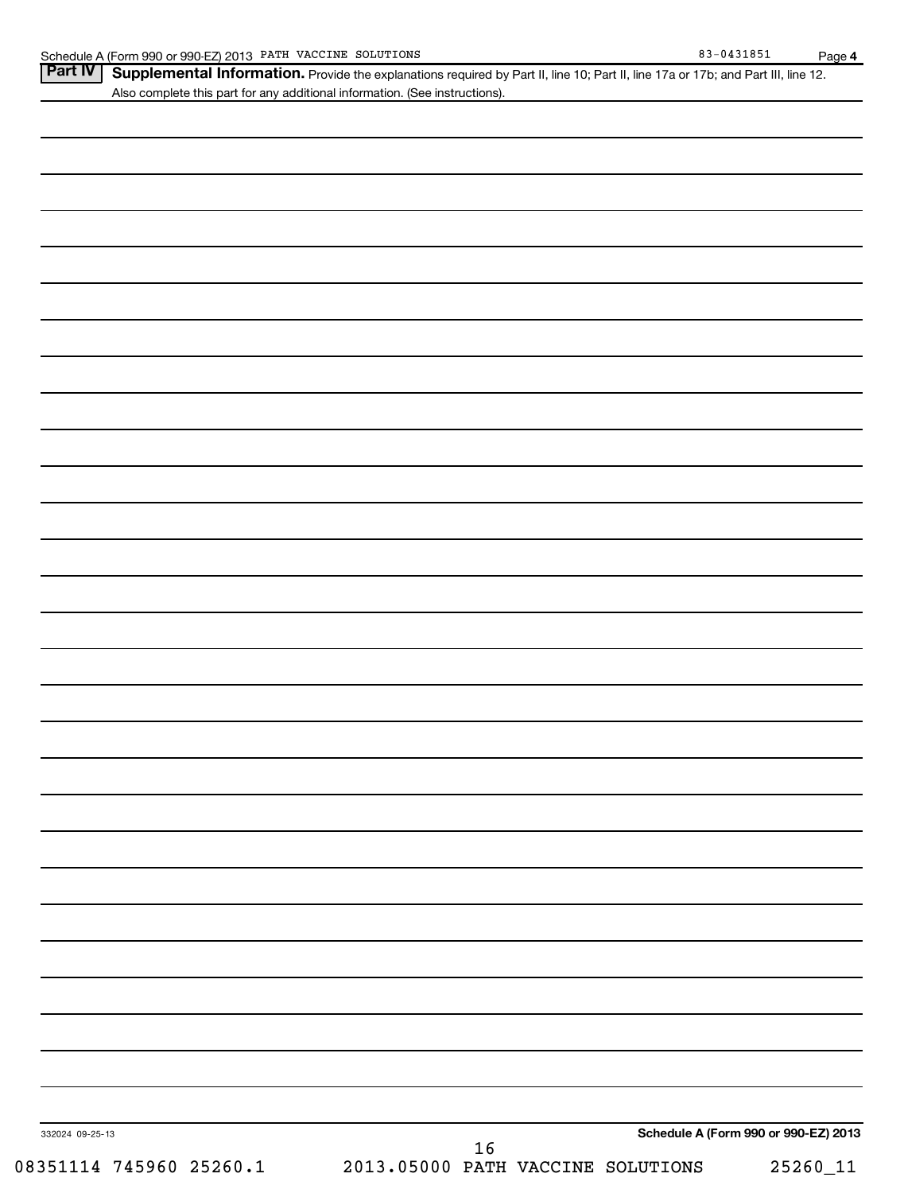|--|

Schedule A (Form 990 or 990-EZ) 2013 PATH VACCINE SOLUTIONS 83 - 83-0431851 Page Part IV | Supplemental Information. Provide the explanations required by Part II, line 10; Part II, line 17a or 17b; and Part III, line 12. Also complete this part for any additional information. (See instructions).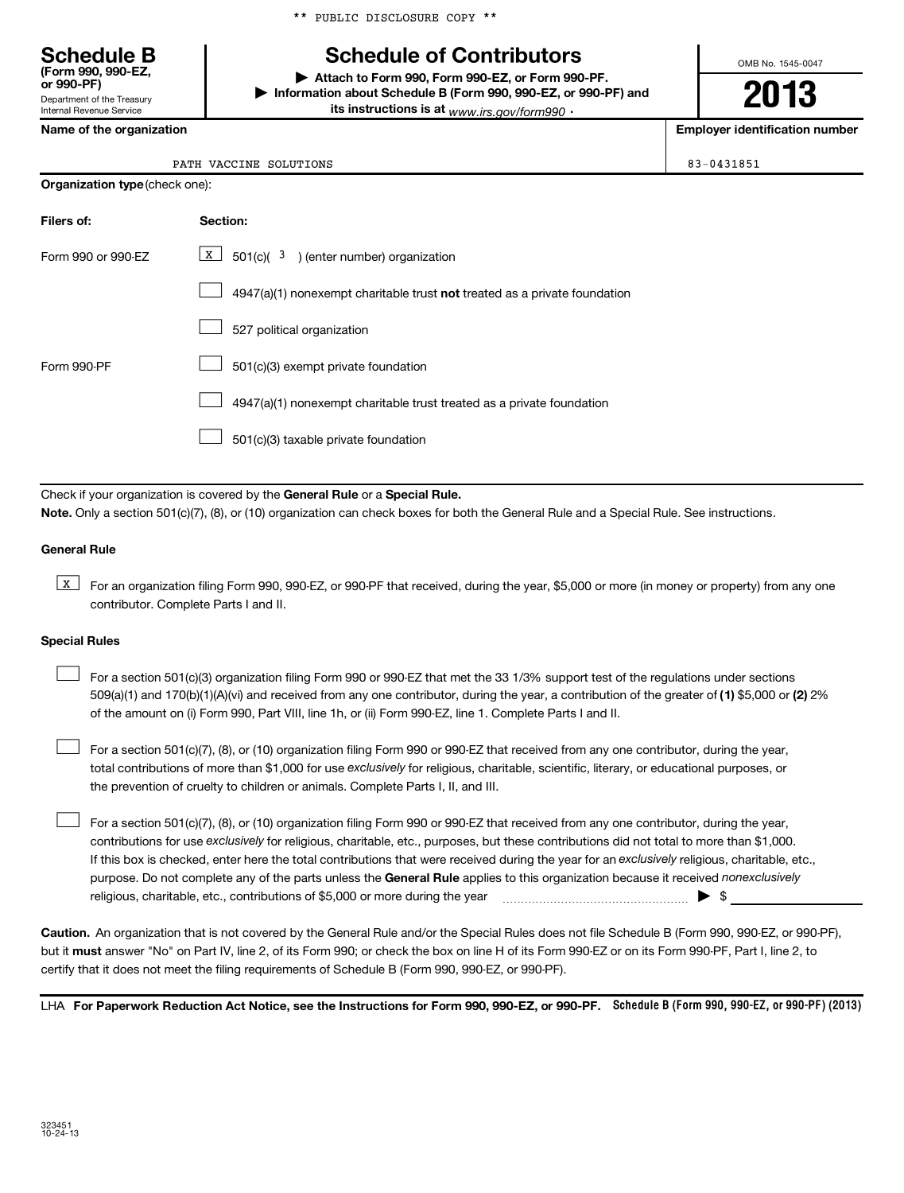|  |  | ** PUBLIC DISCLOSURE COPY ** |  |  |
|--|--|------------------------------|--|--|
|--|--|------------------------------|--|--|

# **Schedule B Schedule of Contributors**

**or 990-PF) | Attach to Form 990, Form 990-EZ, or Form 990-PF. | Information about Schedule B (Form 990, 990-EZ, or 990-PF) and its instructions is at** <sub>www.irs.gov/form990  $\cdot$ </sub>

**2013**

OMB No. 1545-0047

**Name of the organization Employer identification number**

Department of the Treasury Internal Revenue Service

**(Form 990, 990-EZ,**

| PATH VACCINE SOLUTIONS | 83-0431851 |
|------------------------|------------|

**Organization type** (check one):

| Filers of:         | Section:                                                                           |
|--------------------|------------------------------------------------------------------------------------|
| Form 990 or 990-FZ | $\underline{x}$ 501(c)( <sup>3</sup> ) (enter number) organization                 |
|                    | $4947(a)(1)$ nonexempt charitable trust <b>not</b> treated as a private foundation |
|                    | 527 political organization                                                         |
| Form 990-PF        | 501(c)(3) exempt private foundation                                                |
|                    | 4947(a)(1) nonexempt charitable trust treated as a private foundation              |
|                    | 501(c)(3) taxable private foundation                                               |

Check if your organization is covered by the General Rule or a Special Rule. **Note.**  Only a section 501(c)(7), (8), or (10) organization can check boxes for both the General Rule and a Special Rule. See instructions.

#### **General Rule**

**K** For an organization filing Form 990, 990-EZ, or 990-PF that received, during the year, \$5,000 or more (in money or property) from any one contributor. Complete Parts I and II.

#### **Special Rules**

509(a)(1) and 170(b)(1)(A)(vi) and received from any one contributor, during the year, a contribution of the greater of (1**)** \$5,000 or (**2**) 2% For a section 501(c)(3) organization filing Form 990 or 990-EZ that met the 33 1/3% support test of the regulations under sections of the amount on (i) Form 990, Part VIII, line 1h, or (ii) Form 990-EZ, line 1. Complete Parts I and II.  $\left\vert \cdot\right\vert$ 

total contributions of more than \$1,000 for use exclusively for religious, charitable, scientific, literary, or educational purposes, or For a section 501(c)(7), (8), or (10) organization filing Form 990 or 990-EZ that received from any one contributor, during the year, the prevention of cruelty to children or animals. Complete Parts I, II, and III.  $\left\vert \cdot\right\vert$ 

purpose. Do not complete any of the parts unless the General Rule applies to this organization because it received nonexclusively contributions for use exclusively for religious, charitable, etc., purposes, but these contributions did not total to more than \$1,000. If this box is checked, enter here the total contributions that were received during the year for an exclusively religious, charitable, etc., For a section 501(c)(7), (8), or (10) organization filing Form 990 or 990-EZ that received from any one contributor, during the year, religious, charitable, etc., contributions of \$5,000 or more during the year  $\Box$   $\Box$   $\Box$   $\Box$  $\left\vert \cdot\right\vert$ 

**Caution.** An organization that is not covered by the General Rule and/or the Special Rules does not file Schedule B (Form 990, 990-EZ, or 990-PF),  **must** but it answer "No" on Part IV, line 2, of its Form 990; or check the box on line H of its Form 990-EZ or on its Form 990-PF, Part I, line 2, to certify that it does not meet the filing requirements of Schedule B (Form 990, 990-EZ, or 990-PF).

LHA For Paperwork Reduction Act Notice, see the Instructions for Form 990, 990-EZ, or 990-PF. Schedule B (Form 990, 990-EZ, or 990-PF) (2013)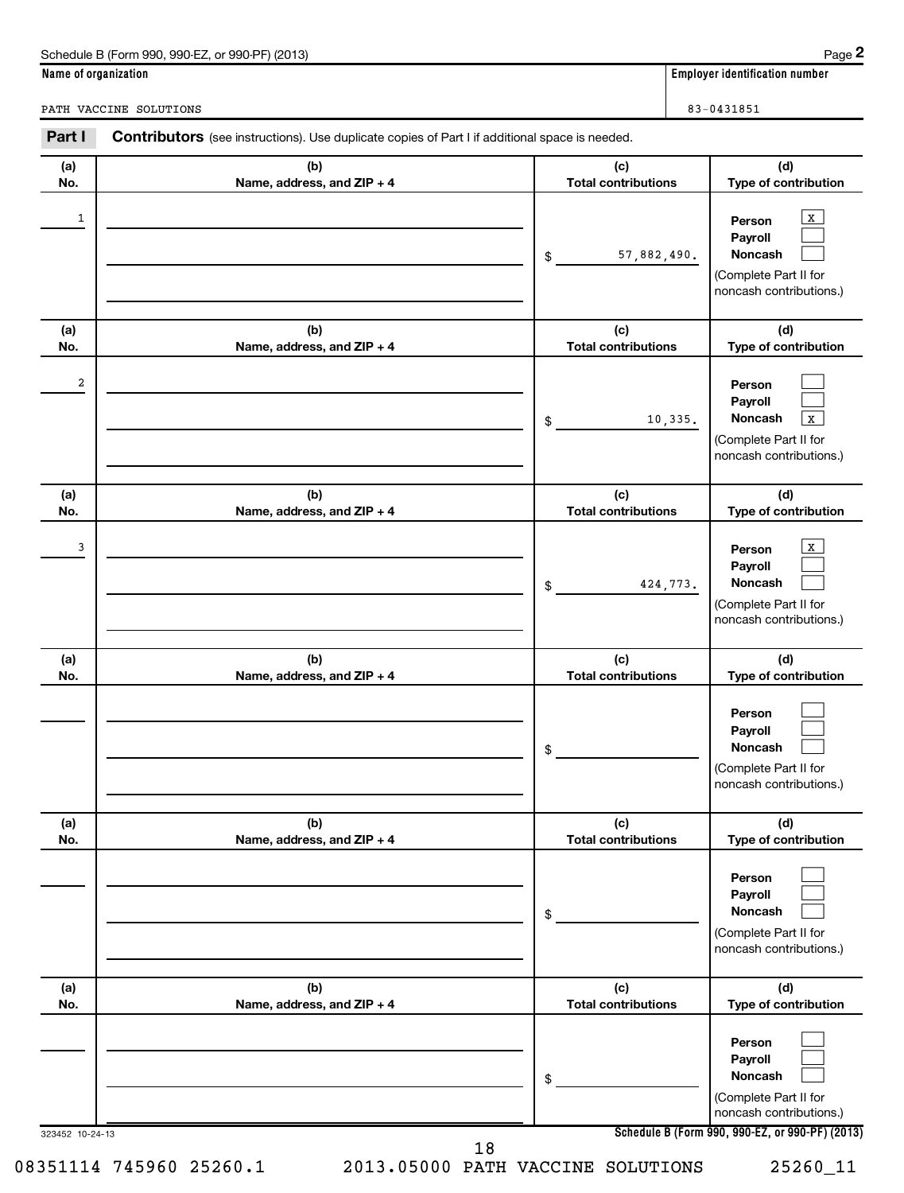| Schedule B (Form 990, 990-EZ, or 990-PF) (2013) | Page |
|-------------------------------------------------|------|
|-------------------------------------------------|------|

**(a) No.**

**(a) No.**

**Name of organization Employer identification number**

PATH VACCINE SOLUTIONS 83-0431851

**(b) Name, address, and ZIP + 4 (c) Total contributions (d) Type of contribution Person Payroll Noncash (b) Name, address, and ZIP + 4 (c) Total contributions (d) Type of contribution Person Payroll Noncash (b) (c) (d)** Part I Contributors (see instructions). Use duplicate copies of Part I if additional space is needed. \$ (Complete Part II for noncash contributions.) \$  $\boxed{\mathbf{X}}$  $\Box$  $\Box$  $\begin{array}{|c|c|c|c|c|c|c|c|c|}\hline \ \text{1} & \text{Person} & \text{X} \ \hline \end{array}$ 57,882,490.

| 2                       |                                   | 10,335.<br>\$                     | Person<br>Payroll<br>Noncash<br>X<br>(Complete Part II for<br>noncash contributions.)           |
|-------------------------|-----------------------------------|-----------------------------------|-------------------------------------------------------------------------------------------------|
| (a)<br>No.              | (b)<br>Name, address, and ZIP + 4 | (c)<br><b>Total contributions</b> | (d)<br>Type of contribution                                                                     |
| 3                       |                                   | 424,773.<br>\$                    | $\mathbf X$<br>Person<br>Payroll<br>Noncash<br>(Complete Part II for<br>noncash contributions.) |
| (a)<br>No.              | (b)<br>Name, address, and ZIP + 4 | (c)<br><b>Total contributions</b> | (d)<br>Type of contribution                                                                     |
|                         |                                   | \$                                | Person<br>Payroll<br><b>Noncash</b><br>(Complete Part II for<br>noncash contributions.)         |
| (a)<br>No.              | (b)<br>Name, address, and ZIP + 4 | (c)<br><b>Total contributions</b> | (d)<br>Type of contribution                                                                     |
|                         |                                   | \$                                | Person<br>Payroll<br>Noncash<br>(Complete Part II for<br>noncash contributions.)                |
| (a)<br>No.              | (b)<br>Name, address, and ZIP + 4 | (c)<br><b>Total contributions</b> | (d)<br>Type of contribution                                                                     |
|                         |                                   | \$                                | Person<br>Payroll<br>Noncash<br>(Complete Part II for<br>noncash contributions.)                |
| 323452 10-24-13         |                                   | 18                                | Schedule B (Form 990, 990-EZ, or 990-PF) (2013)                                                 |
| 08351114 745960 25260.1 |                                   | 2013.05000 PATH VACCINE SOLUTIONS | 25260_11                                                                                        |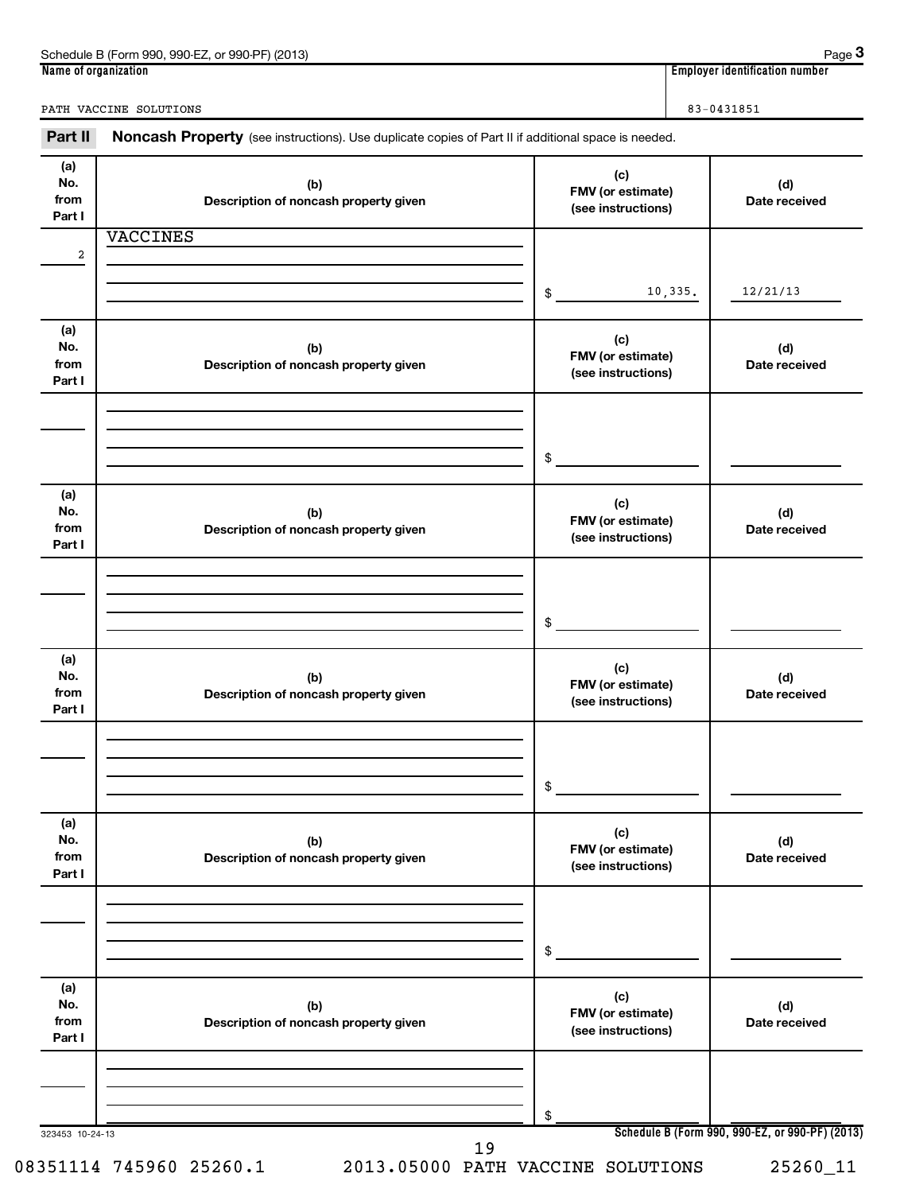| 990-EZ<br>Schedule B<br>(2013)<br>े (Form 990.<br>$QQ0$ . $PF$<br>or<br><u>JJU</u> | Page                                    |
|------------------------------------------------------------------------------------|-----------------------------------------|
| Name of organization                                                               | <br>. identification number<br>Emplovei |

**3**

PATH VACCINE SOLUTIONS 83-0431851

| Part II                      | Noncash Property (see instructions). Use duplicate copies of Part II if additional space is needed. |                                                |                                                 |
|------------------------------|-----------------------------------------------------------------------------------------------------|------------------------------------------------|-------------------------------------------------|
| (a)<br>No.<br>from<br>Part I | (b)<br>Description of noncash property given                                                        | (c)<br>FMV (or estimate)<br>(see instructions) | (d)<br>Date received                            |
|                              | <b>VACCINES</b>                                                                                     |                                                |                                                 |
| $\overline{\mathbf{c}}$      |                                                                                                     |                                                |                                                 |
|                              |                                                                                                     | 10,335.<br>\$                                  | 12/21/13                                        |
| (a)<br>No.<br>from<br>Part I | (b)<br>Description of noncash property given                                                        | (c)<br>FMV (or estimate)<br>(see instructions) | (d)<br>Date received                            |
|                              |                                                                                                     |                                                |                                                 |
|                              |                                                                                                     | \$                                             |                                                 |
| (a)<br>No.<br>from<br>Part I | (b)<br>Description of noncash property given                                                        | (c)<br>FMV (or estimate)<br>(see instructions) | (d)<br>Date received                            |
|                              |                                                                                                     |                                                |                                                 |
|                              |                                                                                                     | \$                                             |                                                 |
| (a)<br>No.<br>from<br>Part I | (b)<br>Description of noncash property given                                                        | (c)<br>FMV (or estimate)<br>(see instructions) | (d)<br>Date received                            |
|                              |                                                                                                     |                                                |                                                 |
|                              |                                                                                                     | \$                                             |                                                 |
| (a)<br>No.<br>from<br>Part I | (b)<br>Description of noncash property given                                                        | (c)<br>FMV (or estimate)<br>(see instructions) | (d)<br>Date received                            |
|                              |                                                                                                     |                                                |                                                 |
|                              |                                                                                                     | \$                                             |                                                 |
| (a)<br>No.<br>from<br>Part I | (b)<br>Description of noncash property given                                                        | (c)<br>FMV (or estimate)<br>(see instructions) | (d)<br>Date received                            |
|                              |                                                                                                     |                                                |                                                 |
|                              |                                                                                                     | \$                                             |                                                 |
| 323453 10-24-13              | 19                                                                                                  |                                                | Schedule B (Form 990, 990-EZ, or 990-PF) (2013) |

08351114 745960 25260.1 2013.05000 PATH VACCINE SOLUTIONS 25260\_11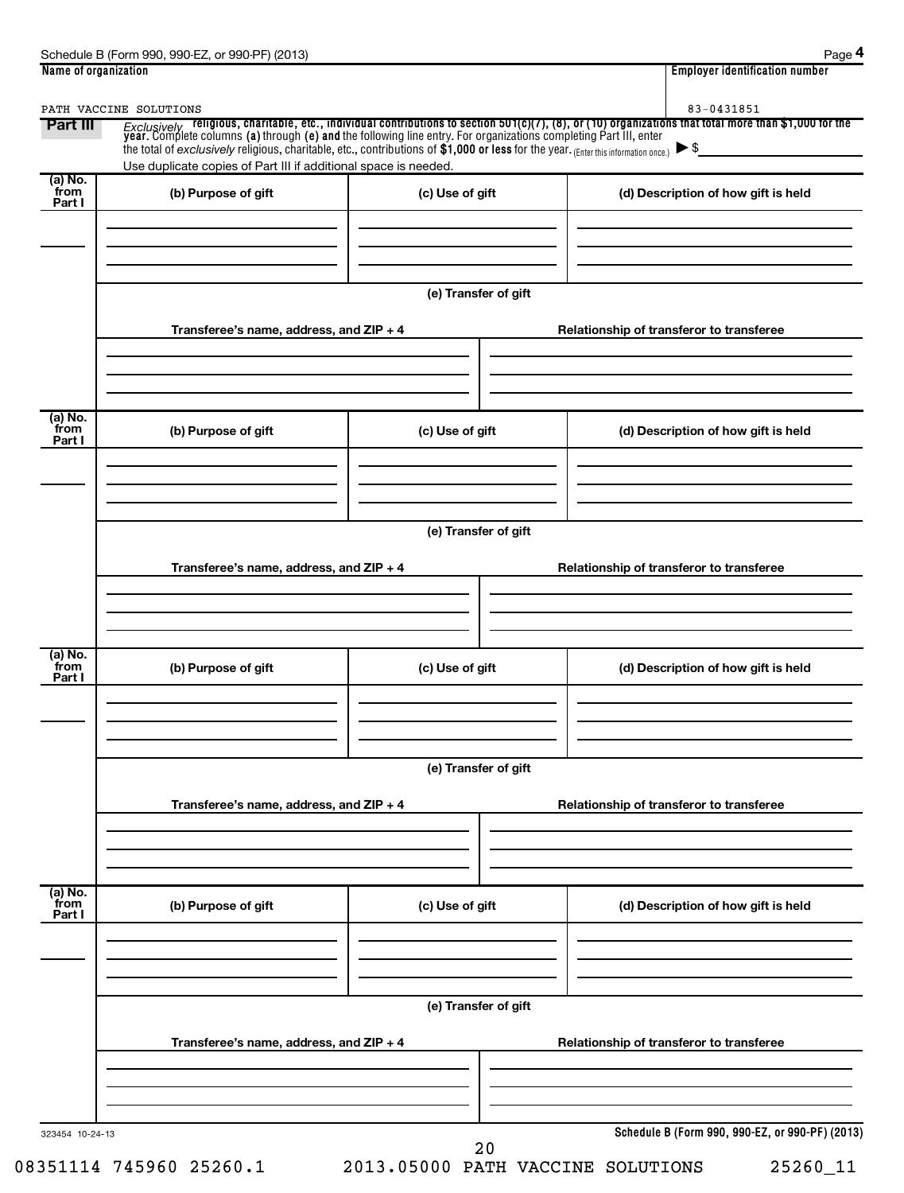|                 | PATH VACCINE SOLUTIONS                                          |                                          | 83-0431851                                                                                                                                                                                                                          |  |  |
|-----------------|-----------------------------------------------------------------|------------------------------------------|-------------------------------------------------------------------------------------------------------------------------------------------------------------------------------------------------------------------------------------|--|--|
| Part III        |                                                                 |                                          | <i>Exclusively</i> religious, charitable, etc., individual contributions to section 501(c)(7), (8), or (10) organizations that total more than \$1,000 for the year. Complete columns (a) through (e) and the following line entry. |  |  |
|                 | Use duplicate copies of Part III if additional space is needed. |                                          |                                                                                                                                                                                                                                     |  |  |
| (a) No.<br>from | (b) Purpose of gift                                             | (c) Use of gift                          | (d) Description of how gift is held                                                                                                                                                                                                 |  |  |
| Part I          |                                                                 |                                          |                                                                                                                                                                                                                                     |  |  |
|                 |                                                                 |                                          |                                                                                                                                                                                                                                     |  |  |
|                 |                                                                 |                                          |                                                                                                                                                                                                                                     |  |  |
|                 |                                                                 | (e) Transfer of gift                     |                                                                                                                                                                                                                                     |  |  |
|                 |                                                                 |                                          |                                                                                                                                                                                                                                     |  |  |
|                 | Transferee's name, address, and ZIP + 4                         |                                          | Relationship of transferor to transferee                                                                                                                                                                                            |  |  |
|                 |                                                                 |                                          |                                                                                                                                                                                                                                     |  |  |
|                 |                                                                 |                                          |                                                                                                                                                                                                                                     |  |  |
| (a) No.         |                                                                 |                                          |                                                                                                                                                                                                                                     |  |  |
| from<br>Part I  | (b) Purpose of gift                                             | (c) Use of gift                          | (d) Description of how gift is held                                                                                                                                                                                                 |  |  |
|                 |                                                                 |                                          |                                                                                                                                                                                                                                     |  |  |
|                 |                                                                 |                                          |                                                                                                                                                                                                                                     |  |  |
|                 |                                                                 |                                          |                                                                                                                                                                                                                                     |  |  |
|                 |                                                                 | (e) Transfer of gift                     |                                                                                                                                                                                                                                     |  |  |
|                 | Transferee's name, address, and ZIP + 4                         |                                          | Relationship of transferor to transferee                                                                                                                                                                                            |  |  |
|                 |                                                                 |                                          |                                                                                                                                                                                                                                     |  |  |
|                 |                                                                 |                                          |                                                                                                                                                                                                                                     |  |  |
|                 |                                                                 |                                          |                                                                                                                                                                                                                                     |  |  |
| (a) No.<br>from | (b) Purpose of gift                                             | (c) Use of gift                          | (d) Description of how gift is held                                                                                                                                                                                                 |  |  |
| Part I          |                                                                 |                                          |                                                                                                                                                                                                                                     |  |  |
|                 |                                                                 |                                          |                                                                                                                                                                                                                                     |  |  |
|                 |                                                                 |                                          |                                                                                                                                                                                                                                     |  |  |
|                 |                                                                 |                                          |                                                                                                                                                                                                                                     |  |  |
|                 | (e) Transfer of gift                                            |                                          |                                                                                                                                                                                                                                     |  |  |
|                 | Transferee's name, address, and ZIP + 4                         |                                          | Relationship of transferor to transferee                                                                                                                                                                                            |  |  |
|                 |                                                                 |                                          |                                                                                                                                                                                                                                     |  |  |
|                 |                                                                 |                                          |                                                                                                                                                                                                                                     |  |  |
| (a) No.         |                                                                 |                                          |                                                                                                                                                                                                                                     |  |  |
| from<br>Part I  | (b) Purpose of gift                                             | (c) Use of gift                          | (d) Description of how gift is held                                                                                                                                                                                                 |  |  |
|                 |                                                                 |                                          |                                                                                                                                                                                                                                     |  |  |
|                 |                                                                 |                                          |                                                                                                                                                                                                                                     |  |  |
|                 |                                                                 |                                          |                                                                                                                                                                                                                                     |  |  |
|                 | (e) Transfer of gift                                            |                                          |                                                                                                                                                                                                                                     |  |  |
|                 | Transferee's name, address, and ZIP + 4                         | Relationship of transferor to transferee |                                                                                                                                                                                                                                     |  |  |
|                 |                                                                 |                                          |                                                                                                                                                                                                                                     |  |  |
|                 |                                                                 |                                          |                                                                                                                                                                                                                                     |  |  |
|                 |                                                                 |                                          |                                                                                                                                                                                                                                     |  |  |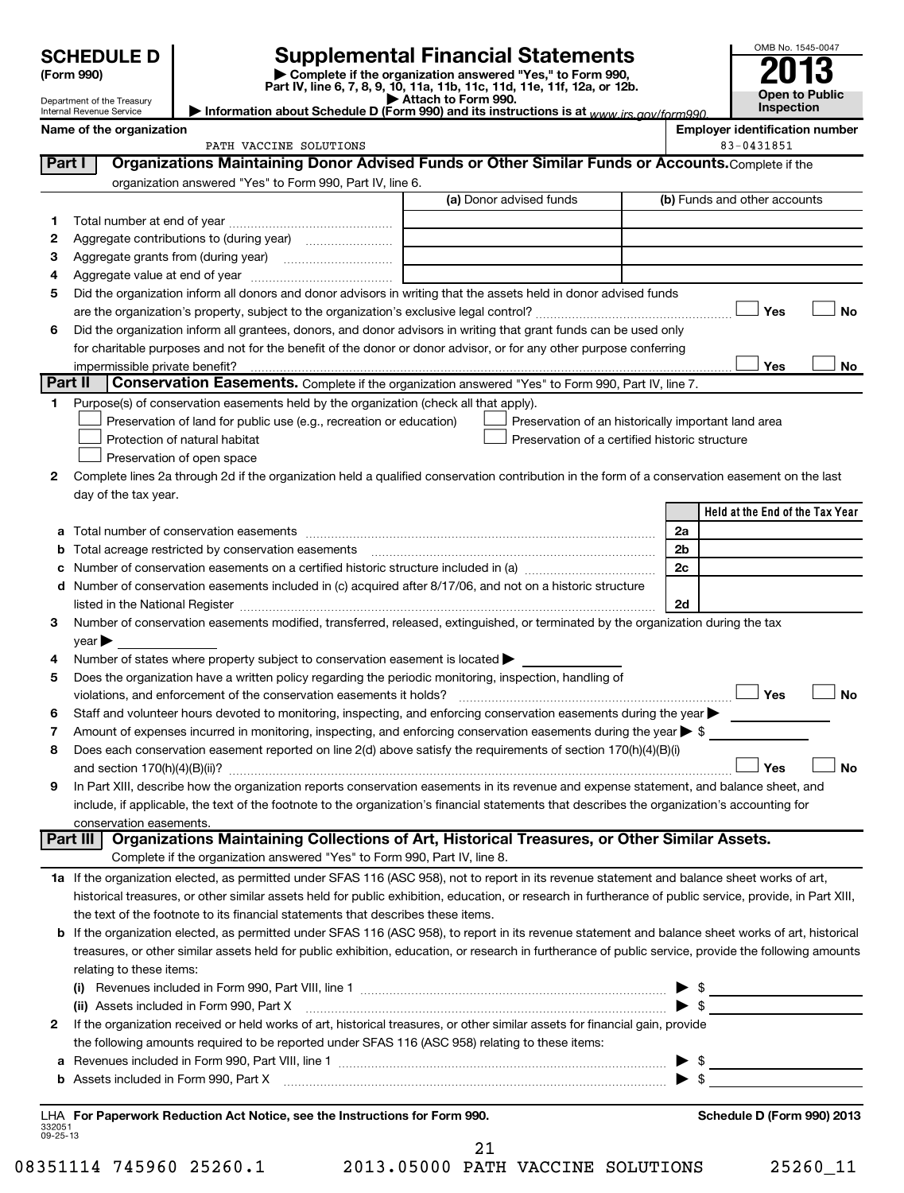| <b>SCHEDULE D</b> |  |
|-------------------|--|
|-------------------|--|

**(Form 990) | Complete if the organization answered "Yes," to Form 990, Part IV, line 6, 7, 8, 9, 10, 11a, 11b, 11c, 11d, 11e, 11f, 12a, or 12b. | Attach to Form 990. | Information about Schedule D (Form 990) and its instructions is at**  *www.irs.gov/form990.* **SCHEDULE D Supplemental Financial Statements**<br> **Form 990 2013**<br>
Part IV line 6.7.8.9.10, 11a, 11b, 11d, 11d, 11d, 11d, 11d, 12a, 0r, 12b

| OMB No. 1545-0047     |
|-----------------------|
| ◢<br>0                |
|                       |
| <b>Open to Public</b> |
| Inspection            |

Department of the Treasury Internal Revenue Service

**Name of the organization** 

|                    | PATH VACCINE SOLUTIONS                                                                                                                                                                                      |                                                | 83-0431851                                          |
|--------------------|-------------------------------------------------------------------------------------------------------------------------------------------------------------------------------------------------------------|------------------------------------------------|-----------------------------------------------------|
| Part I             | Organizations Maintaining Donor Advised Funds or Other Similar Funds or Accounts. Complete if the                                                                                                           |                                                |                                                     |
|                    | organization answered "Yes" to Form 990, Part IV, line 6.                                                                                                                                                   |                                                |                                                     |
|                    |                                                                                                                                                                                                             | (a) Donor advised funds                        | (b) Funds and other accounts                        |
| 1.                 |                                                                                                                                                                                                             |                                                |                                                     |
| 2                  |                                                                                                                                                                                                             |                                                |                                                     |
| З                  |                                                                                                                                                                                                             |                                                |                                                     |
| 4                  |                                                                                                                                                                                                             |                                                |                                                     |
| 5                  | Did the organization inform all donors and donor advisors in writing that the assets held in donor advised funds                                                                                            |                                                |                                                     |
|                    |                                                                                                                                                                                                             |                                                | Yes<br>No                                           |
| 6                  | Did the organization inform all grantees, donors, and donor advisors in writing that grant funds can be used only                                                                                           |                                                |                                                     |
|                    | for charitable purposes and not for the benefit of the donor or donor advisor, or for any other purpose conferring                                                                                          |                                                |                                                     |
| Part II            |                                                                                                                                                                                                             |                                                | Yes<br>No                                           |
|                    | <b>Conservation Easements.</b> Complete if the organization answered "Yes" to Form 990, Part IV, line 7.                                                                                                    |                                                |                                                     |
| 1.                 | Purpose(s) of conservation easements held by the organization (check all that apply).                                                                                                                       |                                                |                                                     |
|                    | Preservation of land for public use (e.g., recreation or education)                                                                                                                                         |                                                | Preservation of an historically important land area |
|                    | Protection of natural habitat                                                                                                                                                                               | Preservation of a certified historic structure |                                                     |
|                    | Preservation of open space                                                                                                                                                                                  |                                                |                                                     |
| 2                  | Complete lines 2a through 2d if the organization held a qualified conservation contribution in the form of a conservation easement on the last                                                              |                                                |                                                     |
|                    | day of the tax year.                                                                                                                                                                                        |                                                | Held at the End of the Tax Year                     |
|                    |                                                                                                                                                                                                             |                                                |                                                     |
| а                  | Total number of conservation easements                                                                                                                                                                      |                                                | 2a                                                  |
| b                  | Total acreage restricted by conservation easements                                                                                                                                                          |                                                | 2b                                                  |
| с                  | Number of conservation easements on a certified historic structure included in (a) manufacture included in (a)                                                                                              |                                                | 2c                                                  |
| d                  | Number of conservation easements included in (c) acquired after 8/17/06, and not on a historic structure                                                                                                    |                                                | 2d                                                  |
| 3                  | Number of conservation easements modified, transferred, released, extinguished, or terminated by the organization during the tax                                                                            |                                                |                                                     |
|                    | $year \blacktriangleright$                                                                                                                                                                                  |                                                |                                                     |
| 4                  | Number of states where property subject to conservation easement is located >                                                                                                                               |                                                |                                                     |
| 5                  | Does the organization have a written policy regarding the periodic monitoring, inspection, handling of                                                                                                      |                                                |                                                     |
|                    | violations, and enforcement of the conservation easements it holds?                                                                                                                                         |                                                | Yes<br><b>No</b>                                    |
| 6                  | Staff and volunteer hours devoted to monitoring, inspecting, and enforcing conservation easements during the year                                                                                           |                                                |                                                     |
| 7                  | Amount of expenses incurred in monitoring, inspecting, and enforcing conservation easements during the year $\triangleright$ \$                                                                             |                                                |                                                     |
| 8                  | Does each conservation easement reported on line 2(d) above satisfy the requirements of section 170(h)(4)(B)(i)                                                                                             |                                                |                                                     |
|                    |                                                                                                                                                                                                             |                                                | <b>No</b><br>Yes                                    |
| 9                  | In Part XIII, describe how the organization reports conservation easements in its revenue and expense statement, and balance sheet, and                                                                     |                                                |                                                     |
|                    | include, if applicable, the text of the footnote to the organization's financial statements that describes the organization's accounting for                                                                |                                                |                                                     |
|                    | conservation easements.                                                                                                                                                                                     |                                                |                                                     |
|                    | Organizations Maintaining Collections of Art, Historical Treasures, or Other Similar Assets.<br>Part III                                                                                                    |                                                |                                                     |
|                    | Complete if the organization answered "Yes" to Form 990, Part IV, line 8.                                                                                                                                   |                                                |                                                     |
|                    | 1a If the organization elected, as permitted under SFAS 116 (ASC 958), not to report in its revenue statement and balance sheet works of art,                                                               |                                                |                                                     |
|                    | historical treasures, or other similar assets held for public exhibition, education, or research in furtherance of public service, provide, in Part XIII,                                                   |                                                |                                                     |
|                    | the text of the footnote to its financial statements that describes these items.                                                                                                                            |                                                |                                                     |
|                    | b If the organization elected, as permitted under SFAS 116 (ASC 958), to report in its revenue statement and balance sheet works of art, historical                                                         |                                                |                                                     |
|                    | treasures, or other similar assets held for public exhibition, education, or research in furtherance of public service, provide the following amounts                                                       |                                                |                                                     |
|                    | relating to these items:                                                                                                                                                                                    |                                                |                                                     |
|                    | (i) Revenues included in Form 990, Part VIII, line 1 $\ldots$ $\ldots$ $\ldots$ $\ldots$ $\ldots$ $\ldots$ $\ldots$ $\ldots$ $\ldots$ $\ldots$ $\ldots$ $\ldots$ $\ldots$                                   |                                                |                                                     |
|                    |                                                                                                                                                                                                             |                                                |                                                     |
| 2                  | If the organization received or held works of art, historical treasures, or other similar assets for financial gain, provide                                                                                |                                                |                                                     |
|                    | the following amounts required to be reported under SFAS 116 (ASC 958) relating to these items:                                                                                                             |                                                |                                                     |
|                    | a Revenues included in Form 990, Part VIII, line 1 $\ldots$ $\ldots$ $\ldots$ $\ldots$ $\ldots$ $\ldots$ $\ldots$ $\ldots$ $\ldots$ $\ldots$ $\ldots$ $\ldots$ $\ldots$ $\ldots$ $\ldots$ $\ldots$ $\ldots$ |                                                |                                                     |
|                    |                                                                                                                                                                                                             |                                                |                                                     |
|                    |                                                                                                                                                                                                             |                                                |                                                     |
|                    | LHA For Paperwork Reduction Act Notice, see the Instructions for Form 990.                                                                                                                                  |                                                | Schedule D (Form 990) 2013                          |
| 332051<br>09-25-13 |                                                                                                                                                                                                             |                                                |                                                     |
|                    |                                                                                                                                                                                                             | 21                                             |                                                     |

08351114 745960 25260.1 2013.05000 PATH VACCINE SOLUTIONS 25260\_11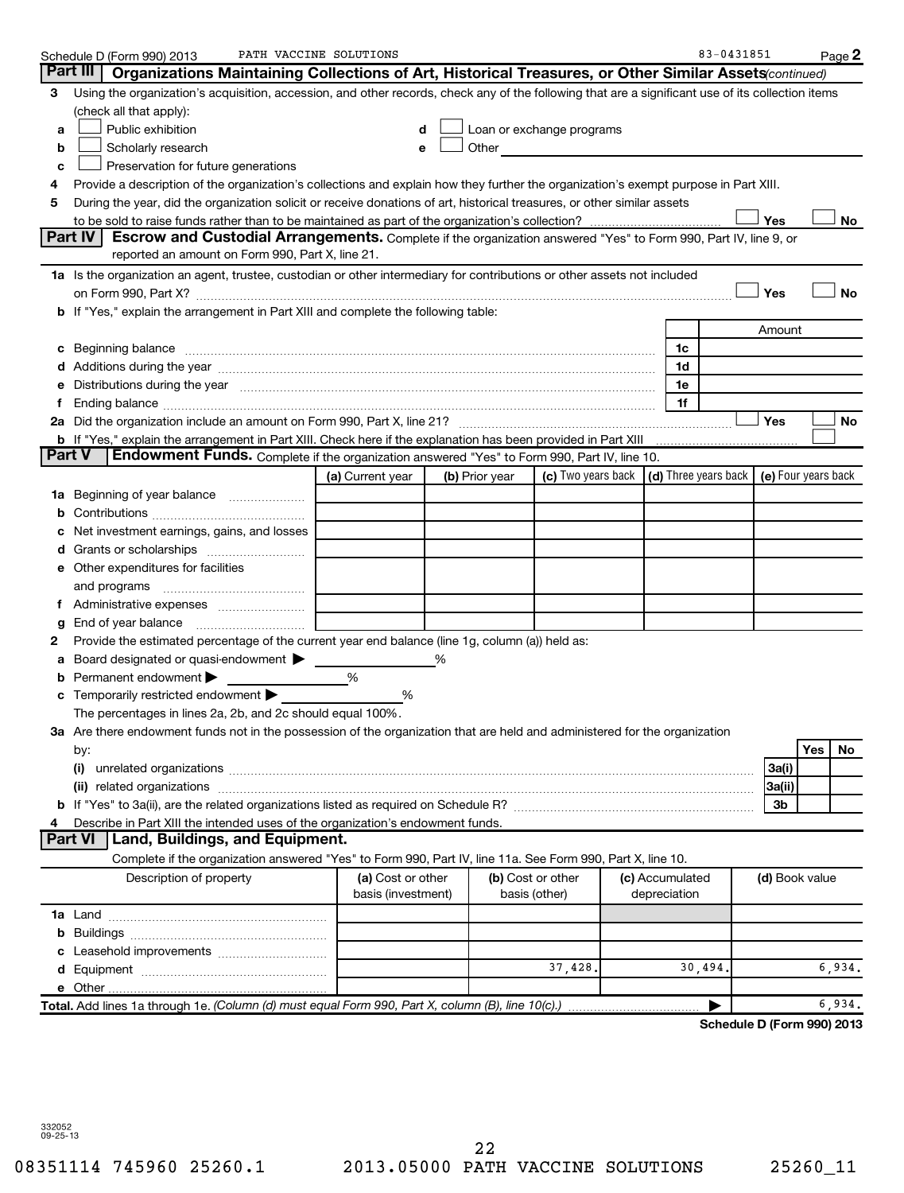|    | Schedule D (Form 990) 2013                                                                                                                                                                                                     | PATH VACCINE SOLUTIONS |   |                |                                                                                                                                                                                                                                |                                                         | 83-0431851                 |     | Page 2     |
|----|--------------------------------------------------------------------------------------------------------------------------------------------------------------------------------------------------------------------------------|------------------------|---|----------------|--------------------------------------------------------------------------------------------------------------------------------------------------------------------------------------------------------------------------------|---------------------------------------------------------|----------------------------|-----|------------|
|    | Part III<br>Organizations Maintaining Collections of Art, Historical Treasures, or Other Similar Assets (continued)                                                                                                            |                        |   |                |                                                                                                                                                                                                                                |                                                         |                            |     |            |
| 3  | Using the organization's acquisition, accession, and other records, check any of the following that are a significant use of its collection items                                                                              |                        |   |                |                                                                                                                                                                                                                                |                                                         |                            |     |            |
|    | (check all that apply):                                                                                                                                                                                                        |                        |   |                |                                                                                                                                                                                                                                |                                                         |                            |     |            |
| a  | Public exhibition                                                                                                                                                                                                              |                        | d |                | Loan or exchange programs                                                                                                                                                                                                      |                                                         |                            |     |            |
| b  | Scholarly research                                                                                                                                                                                                             |                        |   |                | Other and the control of the control of the control of the control of the control of the control of the control of the control of the control of the control of the control of the control of the control of the control of th |                                                         |                            |     |            |
| c  | Preservation for future generations                                                                                                                                                                                            |                        |   |                |                                                                                                                                                                                                                                |                                                         |                            |     |            |
| 4  | Provide a description of the organization's collections and explain how they further the organization's exempt purpose in Part XIII.                                                                                           |                        |   |                |                                                                                                                                                                                                                                |                                                         |                            |     |            |
| 5  | During the year, did the organization solicit or receive donations of art, historical treasures, or other similar assets                                                                                                       |                        |   |                |                                                                                                                                                                                                                                |                                                         |                            |     |            |
|    |                                                                                                                                                                                                                                |                        |   |                |                                                                                                                                                                                                                                |                                                         | Yes                        |     | No         |
|    | Part IV<br><b>Escrow and Custodial Arrangements.</b> Complete if the organization answered "Yes" to Form 990, Part IV, line 9, or                                                                                              |                        |   |                |                                                                                                                                                                                                                                |                                                         |                            |     |            |
|    | reported an amount on Form 990, Part X, line 21.                                                                                                                                                                               |                        |   |                |                                                                                                                                                                                                                                |                                                         |                            |     |            |
|    | 1a Is the organization an agent, trustee, custodian or other intermediary for contributions or other assets not included                                                                                                       |                        |   |                |                                                                                                                                                                                                                                |                                                         |                            |     |            |
|    |                                                                                                                                                                                                                                |                        |   |                |                                                                                                                                                                                                                                |                                                         | Yes                        |     | <b>No</b>  |
|    | b If "Yes," explain the arrangement in Part XIII and complete the following table:                                                                                                                                             |                        |   |                |                                                                                                                                                                                                                                |                                                         |                            |     |            |
|    |                                                                                                                                                                                                                                |                        |   |                |                                                                                                                                                                                                                                |                                                         |                            |     |            |
|    |                                                                                                                                                                                                                                |                        |   |                |                                                                                                                                                                                                                                |                                                         | Amount                     |     |            |
|    | c Beginning balance measurements and the contract of the contract of the contract of the contract of the contract of the contract of the contract of the contract of the contract of the contract of the contract of the contr |                        |   |                |                                                                                                                                                                                                                                | 1c                                                      |                            |     |            |
|    |                                                                                                                                                                                                                                |                        |   |                |                                                                                                                                                                                                                                | 1d                                                      |                            |     |            |
| е  | Distributions during the year manufactured and an account of the year manufactured and the year manufactured and the year manufactured and the year manufactured and the year manufactured and the year manufactured and the y |                        |   |                |                                                                                                                                                                                                                                | 1e                                                      |                            |     |            |
| f. | Ending balance <i>www.communicality.communicality.communicality.communicality.communicality.communicality.com</i>                                                                                                              |                        |   |                |                                                                                                                                                                                                                                | 1f                                                      |                            |     |            |
|    |                                                                                                                                                                                                                                |                        |   |                |                                                                                                                                                                                                                                |                                                         | Yes                        |     | ${\sf No}$ |
|    |                                                                                                                                                                                                                                |                        |   |                |                                                                                                                                                                                                                                |                                                         |                            |     |            |
|    | <b>Part V</b><br><b>Endowment Funds.</b> Complete if the organization answered "Yes" to Form 990, Part IV, line 10.                                                                                                            |                        |   |                |                                                                                                                                                                                                                                |                                                         |                            |     |            |
|    |                                                                                                                                                                                                                                | (a) Current year       |   | (b) Prior year |                                                                                                                                                                                                                                | (c) Two years back $\vert$ (d) Three years back $\vert$ | (e) Four years back        |     |            |
|    | 1a Beginning of year balance                                                                                                                                                                                                   |                        |   |                |                                                                                                                                                                                                                                |                                                         |                            |     |            |
| b  |                                                                                                                                                                                                                                |                        |   |                |                                                                                                                                                                                                                                |                                                         |                            |     |            |
|    | Net investment earnings, gains, and losses                                                                                                                                                                                     |                        |   |                |                                                                                                                                                                                                                                |                                                         |                            |     |            |
| d  |                                                                                                                                                                                                                                |                        |   |                |                                                                                                                                                                                                                                |                                                         |                            |     |            |
|    | e Other expenditures for facilities                                                                                                                                                                                            |                        |   |                |                                                                                                                                                                                                                                |                                                         |                            |     |            |
|    | and programs                                                                                                                                                                                                                   |                        |   |                |                                                                                                                                                                                                                                |                                                         |                            |     |            |
| Ť. |                                                                                                                                                                                                                                |                        |   |                |                                                                                                                                                                                                                                |                                                         |                            |     |            |
| g  | End of year balance                                                                                                                                                                                                            |                        |   |                |                                                                                                                                                                                                                                |                                                         |                            |     |            |
| 2  | Provide the estimated percentage of the current year end balance (line 1g, column (a)) held as:                                                                                                                                |                        |   |                |                                                                                                                                                                                                                                |                                                         |                            |     |            |
| а  | Board designated or quasi-endowment >                                                                                                                                                                                          |                        |   |                |                                                                                                                                                                                                                                |                                                         |                            |     |            |
| b  | Permanent endowment                                                                                                                                                                                                            | %                      |   |                |                                                                                                                                                                                                                                |                                                         |                            |     |            |
|    | c Temporarily restricted endowment $\blacktriangleright$                                                                                                                                                                       | %                      |   |                |                                                                                                                                                                                                                                |                                                         |                            |     |            |
|    | The percentages in lines 2a, 2b, and 2c should equal 100%.                                                                                                                                                                     |                        |   |                |                                                                                                                                                                                                                                |                                                         |                            |     |            |
|    | 3a Are there endowment funds not in the possession of the organization that are held and administered for the organization                                                                                                     |                        |   |                |                                                                                                                                                                                                                                |                                                         |                            |     |            |
|    | by:                                                                                                                                                                                                                            |                        |   |                |                                                                                                                                                                                                                                |                                                         |                            | Yes | No         |
|    | (i)                                                                                                                                                                                                                            |                        |   |                |                                                                                                                                                                                                                                |                                                         | 3a(i)                      |     |            |
|    |                                                                                                                                                                                                                                |                        |   |                |                                                                                                                                                                                                                                |                                                         | 3a(ii)                     |     |            |
|    |                                                                                                                                                                                                                                |                        |   |                |                                                                                                                                                                                                                                |                                                         | 3b                         |     |            |
|    |                                                                                                                                                                                                                                |                        |   |                |                                                                                                                                                                                                                                |                                                         |                            |     |            |
| 4  | Describe in Part XIII the intended uses of the organization's endowment funds.<br><b>Part VI</b><br>Land, Buildings, and Equipment.                                                                                            |                        |   |                |                                                                                                                                                                                                                                |                                                         |                            |     |            |
|    |                                                                                                                                                                                                                                |                        |   |                |                                                                                                                                                                                                                                |                                                         |                            |     |            |
|    | Complete if the organization answered "Yes" to Form 990, Part IV, line 11a. See Form 990, Part X, line 10.                                                                                                                     |                        |   |                |                                                                                                                                                                                                                                |                                                         |                            |     |            |
|    | Description of property                                                                                                                                                                                                        | (a) Cost or other      |   |                | (b) Cost or other                                                                                                                                                                                                              | (c) Accumulated                                         | (d) Book value             |     |            |
|    |                                                                                                                                                                                                                                | basis (investment)     |   |                | basis (other)                                                                                                                                                                                                                  | depreciation                                            |                            |     |            |
|    |                                                                                                                                                                                                                                |                        |   |                |                                                                                                                                                                                                                                |                                                         |                            |     |            |
|    |                                                                                                                                                                                                                                |                        |   |                |                                                                                                                                                                                                                                |                                                         |                            |     |            |
|    |                                                                                                                                                                                                                                |                        |   |                |                                                                                                                                                                                                                                |                                                         |                            |     |            |
|    |                                                                                                                                                                                                                                |                        |   |                | 37,428.                                                                                                                                                                                                                        | 30,494.                                                 |                            |     | 6,934.     |
|    |                                                                                                                                                                                                                                |                        |   |                |                                                                                                                                                                                                                                |                                                         |                            |     |            |
|    | Total. Add lines 1a through 1e. (Column (d) must equal Form 990, Part X, column (B), line 10(c).)                                                                                                                              |                        |   |                |                                                                                                                                                                                                                                | ▶                                                       |                            |     | 6,934.     |
|    |                                                                                                                                                                                                                                |                        |   |                |                                                                                                                                                                                                                                |                                                         | Schedule D (Form 990) 2013 |     |            |

332052 09-25-13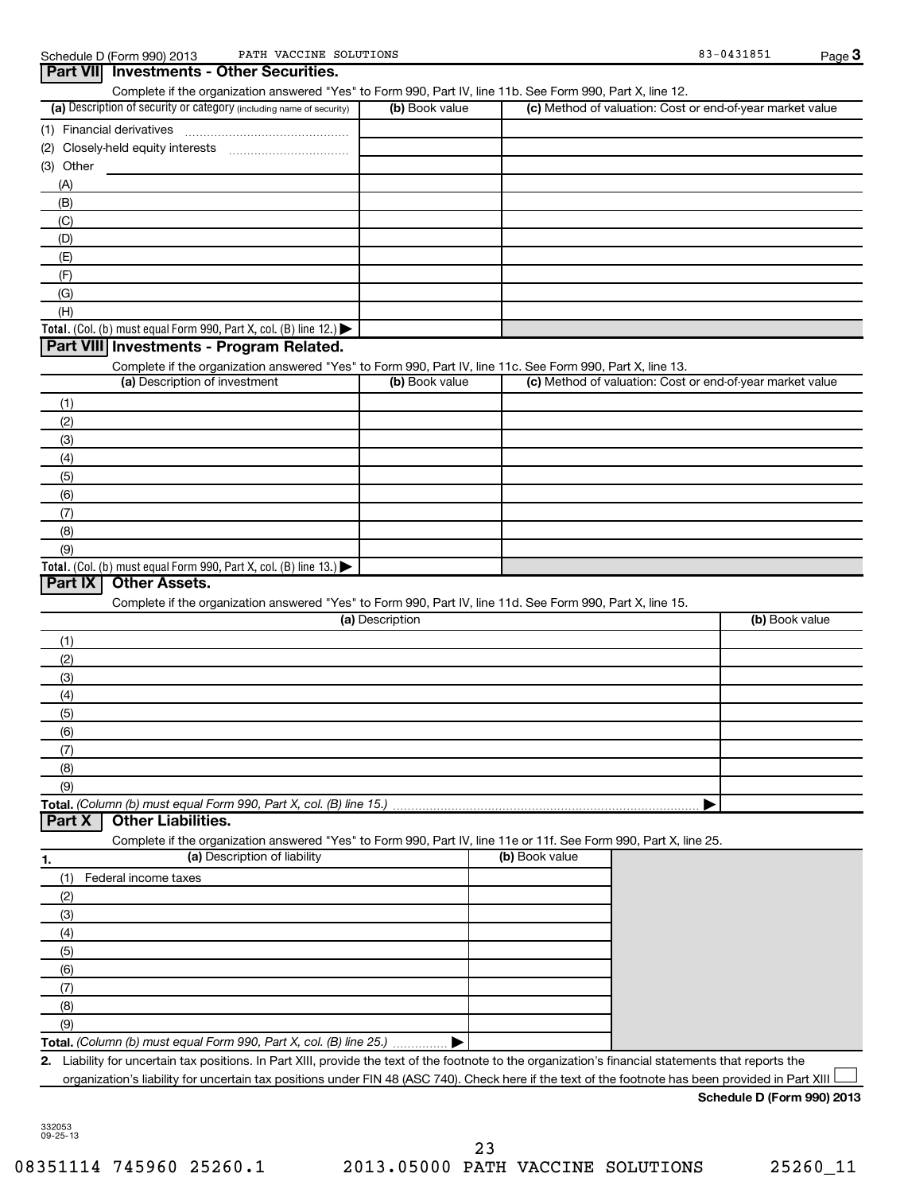| PATH VACCINE SOLUTIONS<br>Schedule D (Form 990) 2013                                                       |                 |                                                           | 83-0431851     | Page 3 |
|------------------------------------------------------------------------------------------------------------|-----------------|-----------------------------------------------------------|----------------|--------|
| <b>Investments - Other Securities.</b><br><b>Part VIII</b>                                                 |                 |                                                           |                |        |
| Complete if the organization answered "Yes" to Form 990, Part IV, line 11b. See Form 990, Part X, line 12. |                 |                                                           |                |        |
| (a) Description of security or category (including name of security)                                       | (b) Book value  | (c) Method of valuation: Cost or end-of-year market value |                |        |
| (1) Financial derivatives                                                                                  |                 |                                                           |                |        |
|                                                                                                            |                 |                                                           |                |        |
| (3) Other                                                                                                  |                 |                                                           |                |        |
| (A)                                                                                                        |                 |                                                           |                |        |
| (B)                                                                                                        |                 |                                                           |                |        |
| (C)                                                                                                        |                 |                                                           |                |        |
| (D)                                                                                                        |                 |                                                           |                |        |
| (E)                                                                                                        |                 |                                                           |                |        |
| (F)                                                                                                        |                 |                                                           |                |        |
| (G)                                                                                                        |                 |                                                           |                |        |
| (H)                                                                                                        |                 |                                                           |                |        |
| Total. (Col. (b) must equal Form 990, Part X, col. (B) line 12.) $\blacktriangleright$                     |                 |                                                           |                |        |
| Part VIII Investments - Program Related.                                                                   |                 |                                                           |                |        |
| Complete if the organization answered "Yes" to Form 990, Part IV, line 11c. See Form 990, Part X, line 13. |                 |                                                           |                |        |
| (a) Description of investment                                                                              | (b) Book value  | (c) Method of valuation: Cost or end-of-year market value |                |        |
| (1)                                                                                                        |                 |                                                           |                |        |
| (2)                                                                                                        |                 |                                                           |                |        |
| (3)                                                                                                        |                 |                                                           |                |        |
| (4)                                                                                                        |                 |                                                           |                |        |
| (5)                                                                                                        |                 |                                                           |                |        |
| (6)                                                                                                        |                 |                                                           |                |        |
| (7)                                                                                                        |                 |                                                           |                |        |
| (8)                                                                                                        |                 |                                                           |                |        |
| (9)                                                                                                        |                 |                                                           |                |        |
| Total. (Col. (b) must equal Form 990, Part X, col. (B) line 13.)                                           |                 |                                                           |                |        |
| Part IX<br><b>Other Assets.</b>                                                                            |                 |                                                           |                |        |
| Complete if the organization answered "Yes" to Form 990, Part IV, line 11d. See Form 990, Part X, line 15. |                 |                                                           |                |        |
|                                                                                                            | (a) Description |                                                           | (b) Book value |        |
| (1)                                                                                                        |                 |                                                           |                |        |
| $\sim$                                                                                                     |                 |                                                           |                |        |

| (2) |  |
|-----|--|
| (3) |  |
| (4) |  |
| (5) |  |
| (6) |  |
|     |  |
| (8) |  |
| (9) |  |
|     |  |

#### **Part X Other Liabilities.**

Complete if the organization answered "Yes" to Form 990, Part IV, line 11e or 11f. See Form 990, Part X, line 25.

| 1.  | (a) Description of liability                                       | (b) Book value |
|-----|--------------------------------------------------------------------|----------------|
| (1) | Federal income taxes                                               |                |
| (2) |                                                                    |                |
| (3) |                                                                    |                |
| (4) |                                                                    |                |
| (5) |                                                                    |                |
| (6) |                                                                    |                |
|     |                                                                    |                |
| (8) |                                                                    |                |
| (9) |                                                                    |                |
|     | Total. (Column (b) must equal Form 990, Part X, col. (B) line 25.) |                |

**2.** Liability for uncertain tax positions. In Part XIII, provide the text of the footnote to the organization's financial statements that reports the organization's liability for uncertain tax positions under FIN 48 (ASC 740). Check here if the text of the footnote has been provided in Part XIII  $\Box$ 

#### **Schedule D (Form 990) 2013**

08351114 745960 25260.1 2013.05000 PATH VACCINE SOLUTIONS 25260\_11 23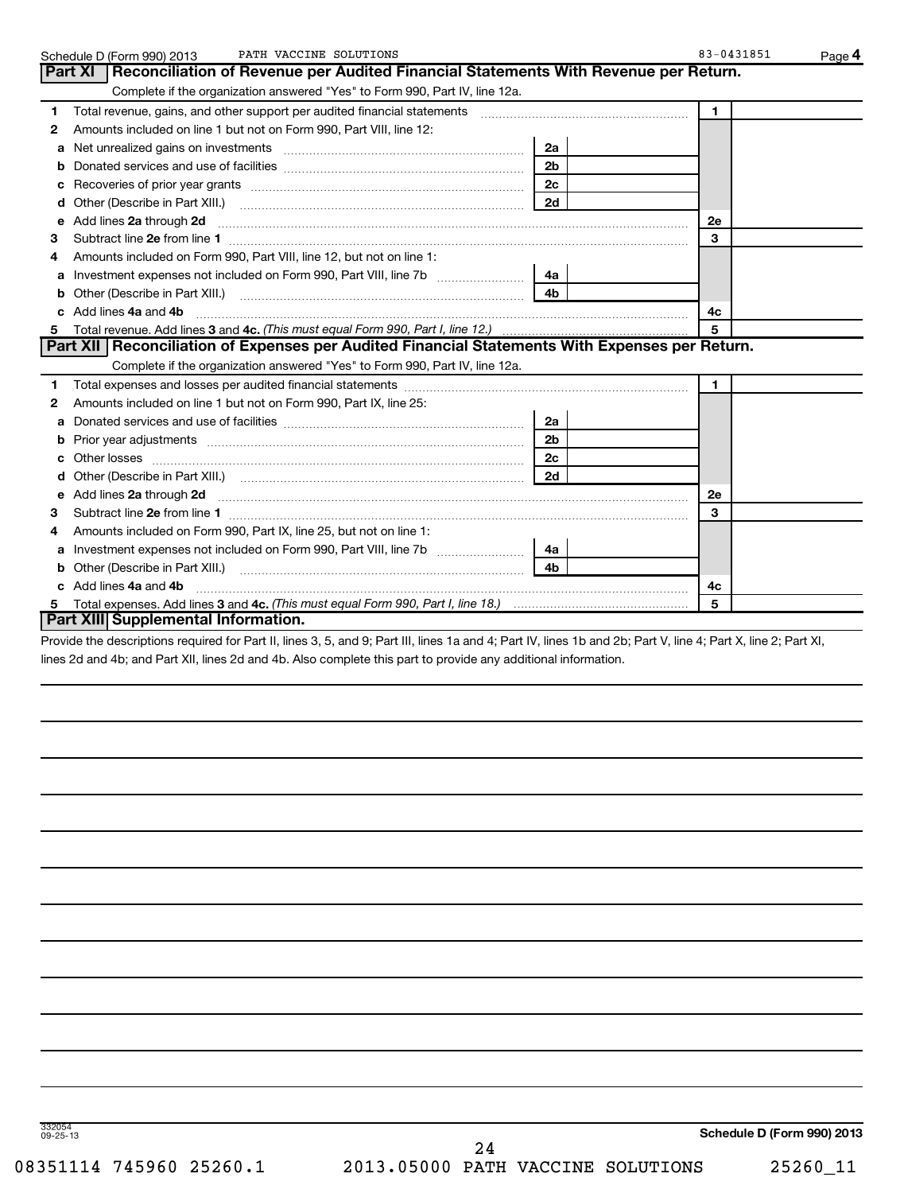|    | PATH VACCINE SOLUTIONS<br>Schedule D (Form 990) 2013                                                                                                                                                                               |                | 83-0431851     | Page 4 |
|----|------------------------------------------------------------------------------------------------------------------------------------------------------------------------------------------------------------------------------------|----------------|----------------|--------|
|    | Part XI<br>Reconciliation of Revenue per Audited Financial Statements With Revenue per Return.                                                                                                                                     |                |                |        |
|    | Complete if the organization answered "Yes" to Form 990, Part IV, line 12a.                                                                                                                                                        |                |                |        |
| 1  | Total revenue, gains, and other support per audited financial statements                                                                                                                                                           |                | $\blacksquare$ |        |
| 2  | Amounts included on line 1 but not on Form 990, Part VIII, line 12:                                                                                                                                                                |                |                |        |
| a  |                                                                                                                                                                                                                                    | 2a             |                |        |
|    |                                                                                                                                                                                                                                    | 2 <sub>b</sub> |                |        |
|    |                                                                                                                                                                                                                                    | 2 <sub>c</sub> |                |        |
| d  |                                                                                                                                                                                                                                    | 2d             |                |        |
| е  | Add lines 2a through 2d                                                                                                                                                                                                            |                | 2е             |        |
| 3  |                                                                                                                                                                                                                                    |                | 3              |        |
| 4  | Amounts included on Form 990, Part VIII, line 12, but not on line 1:                                                                                                                                                               |                |                |        |
| a  |                                                                                                                                                                                                                                    | 4a             |                |        |
|    |                                                                                                                                                                                                                                    | 4 <sub>h</sub> |                |        |
|    | Add lines 4a and 4b                                                                                                                                                                                                                |                | 4с             |        |
| 5  |                                                                                                                                                                                                                                    |                | 5              |        |
|    | Part XII   Reconciliation of Expenses per Audited Financial Statements With Expenses per Return.                                                                                                                                   |                |                |        |
|    | Complete if the organization answered "Yes" to Form 990, Part IV, line 12a.                                                                                                                                                        |                |                |        |
| 1  |                                                                                                                                                                                                                                    |                | $\blacksquare$ |        |
| 2  | Amounts included on line 1 but not on Form 990, Part IX, line 25:                                                                                                                                                                  |                |                |        |
| a  |                                                                                                                                                                                                                                    | 2a             |                |        |
| b  |                                                                                                                                                                                                                                    | 2 <sub>b</sub> |                |        |
| c  | Other losses                                                                                                                                                                                                                       | 2 <sub>c</sub> |                |        |
| d  | Other (Describe in Part XIII.) (COLORGIAL COMMODIAL CONTROL)                                                                                                                                                                       | 2d             |                |        |
| е  | Add lines 2a through 2d <b>manufactures</b> in the contract of the contract of the contract of the contract of the contract of the contract of the contract of the contract of the contract of the contract of the contract of the |                | 2е             |        |
| з  |                                                                                                                                                                                                                                    |                | 3              |        |
|    | Amounts included on Form 990, Part IX, line 25, but not on line 1:                                                                                                                                                                 |                |                |        |
| a  |                                                                                                                                                                                                                                    | 4a             |                |        |
| b  |                                                                                                                                                                                                                                    | 4 <sub>b</sub> |                |        |
|    | Add lines 4a and 4b                                                                                                                                                                                                                |                | 4с             |        |
| 5. |                                                                                                                                                                                                                                    |                | 5              |        |
|    | Part XIII Supplemental Information.                                                                                                                                                                                                |                |                |        |
|    | die Heralder deutschen der Beitritteren Grenzen Beitritten der auf de Beitritten als ein Gerbeitt der Arbeit Volken Gerbeit                                                                                                        |                |                |        |

Provide the descriptions required for Part II, lines 3, 5, and 9; Part III, lines 1a and 4; Part IV, lines 1b and 2b; Part V, line 4; Part X, line 2; Part XI, lines 2d and 4b; and Part XII, lines 2d and 4b. Also complete this part to provide any additional information.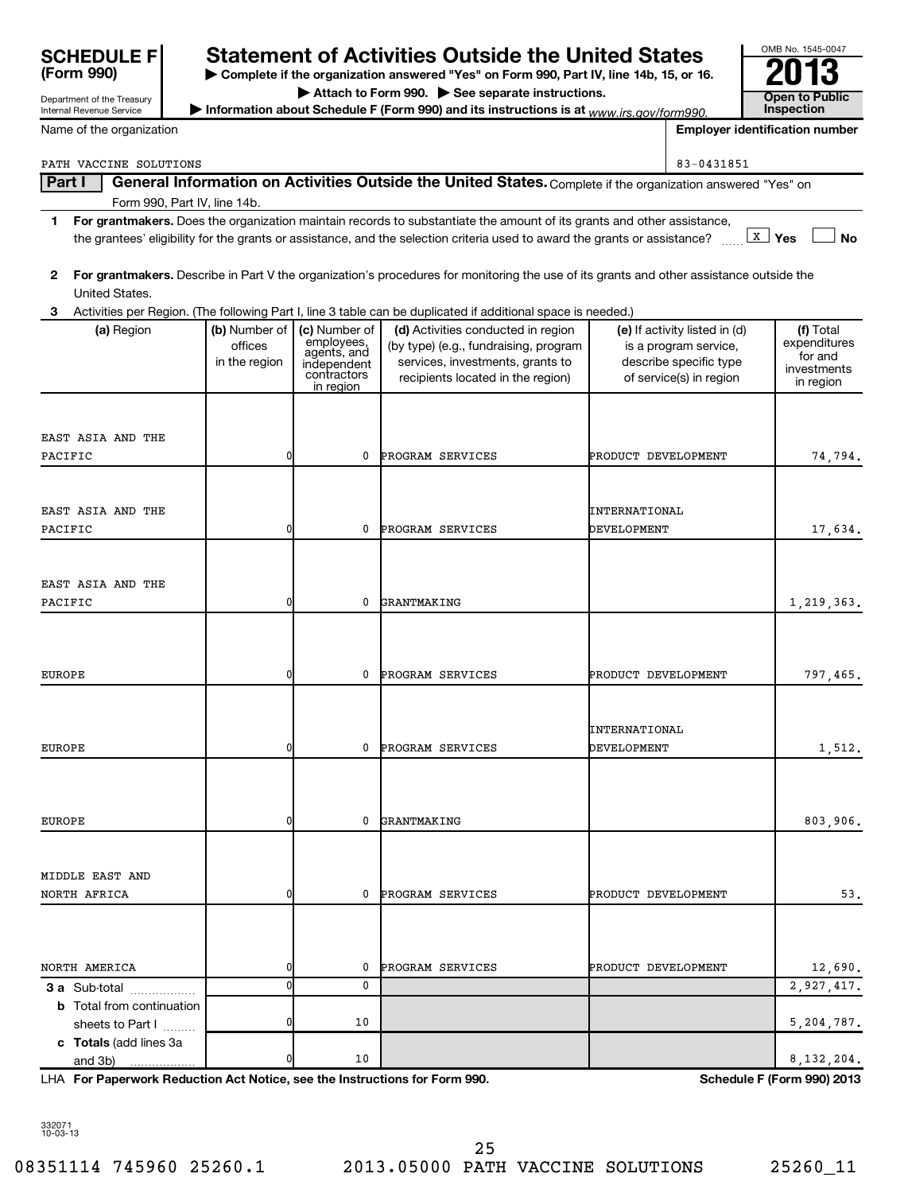| <b>SCHEDULE F</b>                                      |                                           |                                                                                       | <b>Statement of Activities Outside the United States</b>                                                                                                                                                                                             |                              |                                                                                                             | OMB No. 1545-0047                     |                                                                  |
|--------------------------------------------------------|-------------------------------------------|---------------------------------------------------------------------------------------|------------------------------------------------------------------------------------------------------------------------------------------------------------------------------------------------------------------------------------------------------|------------------------------|-------------------------------------------------------------------------------------------------------------|---------------------------------------|------------------------------------------------------------------|
| (Form 990)                                             |                                           |                                                                                       | > Complete if the organization answered "Yes" on Form 990, Part IV, line 14b, 15, or 16.<br>Attach to Form 990. See separate instructions.                                                                                                           |                              |                                                                                                             |                                       |                                                                  |
| Department of the Treasury<br>Internal Revenue Service |                                           |                                                                                       | Information about Schedule F (Form 990) and its instructions is at www.irs.gov/form990.                                                                                                                                                              |                              |                                                                                                             | <b>Open to Public</b><br>Inspection   |                                                                  |
| Name of the organization                               |                                           |                                                                                       |                                                                                                                                                                                                                                                      |                              |                                                                                                             | <b>Employer identification number</b> |                                                                  |
| PATH VACCINE SOLUTIONS                                 |                                           |                                                                                       |                                                                                                                                                                                                                                                      |                              | 83-0431851                                                                                                  |                                       |                                                                  |
| Part I                                                 |                                           |                                                                                       | General Information on Activities Outside the United States. Complete if the organization answered "Yes" on                                                                                                                                          |                              |                                                                                                             |                                       |                                                                  |
| Form 990, Part IV, line 14b.                           |                                           |                                                                                       |                                                                                                                                                                                                                                                      |                              |                                                                                                             |                                       |                                                                  |
| 1                                                      |                                           |                                                                                       | For grantmakers. Does the organization maintain records to substantiate the amount of its grants and other assistance,<br>the grantees' eligibility for the grants or assistance, and the selection criteria used to award the grants or assistance? |                              |                                                                                                             | $\lfloor x \rfloor$ Yes               | <b>No</b>                                                        |
| 2<br>United States.                                    |                                           |                                                                                       | For grantmakers. Describe in Part V the organization's procedures for monitoring the use of its grants and other assistance outside the                                                                                                              |                              |                                                                                                             |                                       |                                                                  |
| 3                                                      |                                           |                                                                                       | Activities per Region. (The following Part I, line 3 table can be duplicated if additional space is needed.)                                                                                                                                         |                              |                                                                                                             |                                       |                                                                  |
| (a) Region                                             | (b) Number of<br>offices<br>in the region | (c) Number of<br>employees,<br>agents, and<br>independent<br>contractors<br>in region | (d) Activities conducted in region<br>(by type) (e.g., fundraising, program<br>services, investments, grants to<br>recipients located in the region)                                                                                                 |                              | (e) If activity listed in (d)<br>is a program service,<br>describe specific type<br>of service(s) in region |                                       | (f) Total<br>expenditures<br>for and<br>investments<br>in region |
| EAST ASIA AND THE                                      |                                           |                                                                                       |                                                                                                                                                                                                                                                      |                              |                                                                                                             |                                       |                                                                  |
| PACIFIC                                                | $\mathbf{0}$                              | 0                                                                                     | PROGRAM SERVICES                                                                                                                                                                                                                                     | PRODUCT DEVELOPMENT          |                                                                                                             |                                       | 74,794.                                                          |
|                                                        |                                           |                                                                                       |                                                                                                                                                                                                                                                      |                              |                                                                                                             |                                       |                                                                  |
| EAST ASIA AND THE                                      |                                           |                                                                                       |                                                                                                                                                                                                                                                      | INTERNATIONAL                |                                                                                                             |                                       |                                                                  |
| PACIFIC                                                | $\mathbf{0}$                              | 0                                                                                     | PROGRAM SERVICES                                                                                                                                                                                                                                     | DEVELOPMENT                  |                                                                                                             |                                       | 17,634.                                                          |
| EAST ASIA AND THE<br>PACIFIC                           | $\mathbf{0}$                              | 0                                                                                     | GRANTMAKING                                                                                                                                                                                                                                          |                              |                                                                                                             |                                       | 1,219,363.                                                       |
|                                                        |                                           |                                                                                       |                                                                                                                                                                                                                                                      |                              |                                                                                                             |                                       |                                                                  |
| EUROPE                                                 | 0                                         | 0                                                                                     | PROGRAM SERVICES                                                                                                                                                                                                                                     | PRODUCT DEVELOPMENT          |                                                                                                             |                                       | 797,465.                                                         |
| EUROPE                                                 | 0                                         | 0                                                                                     | PROGRAM SERVICES                                                                                                                                                                                                                                     | INTERNATIONAL<br>DEVELOPMENT |                                                                                                             |                                       | 1,512.                                                           |
| EUROPE                                                 | 0                                         | 0                                                                                     | GRANTMAKING                                                                                                                                                                                                                                          |                              |                                                                                                             |                                       | 803,906.                                                         |
| MIDDLE EAST AND<br>NORTH AFRICA                        | 0                                         | 0                                                                                     | PROGRAM SERVICES                                                                                                                                                                                                                                     | PRODUCT DEVELOPMENT          |                                                                                                             |                                       | 53.                                                              |
|                                                        |                                           |                                                                                       |                                                                                                                                                                                                                                                      |                              |                                                                                                             |                                       |                                                                  |
|                                                        |                                           |                                                                                       |                                                                                                                                                                                                                                                      |                              |                                                                                                             |                                       |                                                                  |
| NORTH AMERICA                                          | 0                                         | 0                                                                                     | PROGRAM SERVICES                                                                                                                                                                                                                                     | PRODUCT DEVELOPMENT          |                                                                                                             |                                       | 12,690.                                                          |
| <b>3 a</b> Sub-total                                   | 0                                         | 0                                                                                     |                                                                                                                                                                                                                                                      |                              |                                                                                                             |                                       | 2,927,417.                                                       |
| <b>b</b> Total from continuation<br>sheets to Part I   | 0                                         | 10                                                                                    |                                                                                                                                                                                                                                                      |                              |                                                                                                             |                                       | 5,204,787.                                                       |
| c Totals (add lines 3a<br>and 3b)                      |                                           | 10                                                                                    |                                                                                                                                                                                                                                                      |                              |                                                                                                             |                                       | 8, 132, 204.                                                     |

**For Paperwork Reduction Act Notice, see the Instructions for Form 990. Schedule F (Form 990) 2013** LHA

332071 10-03-13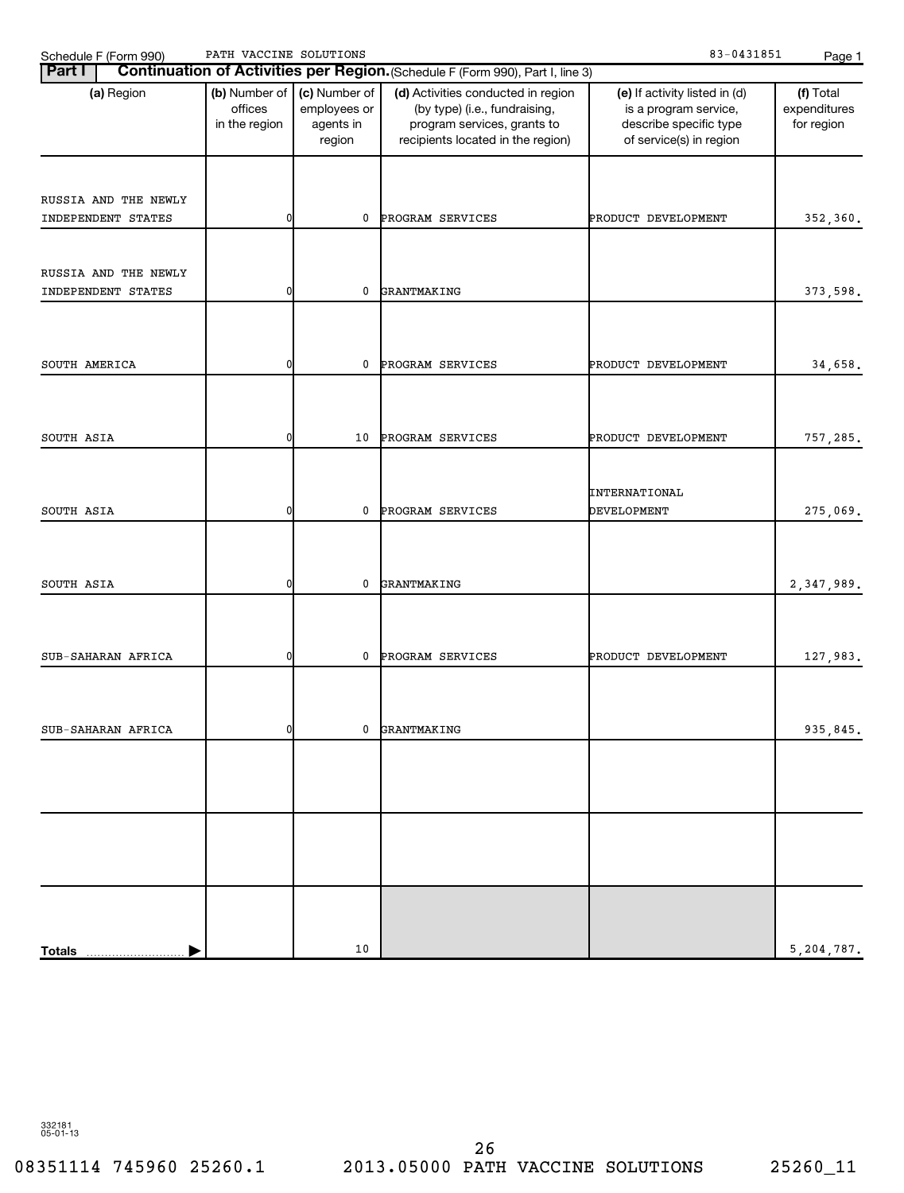| $-0431851$<br>SOLUTIONS<br>ACCINE<br>טחגם<br>$\sqrt{\Delta}C$<br><u>_</u><br>Schedule<br>(990 ا<br>∙orm<br>ບ.<br>. | Page |
|--------------------------------------------------------------------------------------------------------------------|------|
|--------------------------------------------------------------------------------------------------------------------|------|

| Continuation of Activities per Region. (Schedule F (Form 990), Part I, line 3)<br><b>Part I</b> |                                           |                                                      |                                                                                                                                         |                                                                                                             |                                         |  |  |  |
|-------------------------------------------------------------------------------------------------|-------------------------------------------|------------------------------------------------------|-----------------------------------------------------------------------------------------------------------------------------------------|-------------------------------------------------------------------------------------------------------------|-----------------------------------------|--|--|--|
| (a) Region                                                                                      | (b) Number of<br>offices<br>in the region | (c) Number of<br>employees or<br>agents in<br>region | (d) Activities conducted in region<br>(by type) (i.e., fundraising,<br>program services, grants to<br>recipients located in the region) | (e) If activity listed in (d)<br>is a program service,<br>describe specific type<br>of service(s) in region | (f) Total<br>expenditures<br>for region |  |  |  |
|                                                                                                 |                                           |                                                      |                                                                                                                                         |                                                                                                             |                                         |  |  |  |
| RUSSIA AND THE NEWLY                                                                            |                                           |                                                      |                                                                                                                                         |                                                                                                             |                                         |  |  |  |
| INDEPENDENT STATES                                                                              | 0                                         | 0                                                    | PROGRAM SERVICES                                                                                                                        | PRODUCT DEVELOPMENT                                                                                         | 352,360.                                |  |  |  |
| RUSSIA AND THE NEWLY                                                                            |                                           |                                                      |                                                                                                                                         |                                                                                                             |                                         |  |  |  |
| INDEPENDENT STATES                                                                              | 0                                         | 0                                                    | GRANTMAKING                                                                                                                             |                                                                                                             | 373,598.                                |  |  |  |
|                                                                                                 |                                           |                                                      |                                                                                                                                         |                                                                                                             |                                         |  |  |  |
| SOUTH AMERICA                                                                                   | 0                                         | 0                                                    | PROGRAM SERVICES                                                                                                                        | PRODUCT DEVELOPMENT                                                                                         | 34,658.                                 |  |  |  |
|                                                                                                 |                                           |                                                      |                                                                                                                                         |                                                                                                             |                                         |  |  |  |
| SOUTH ASIA                                                                                      | 0                                         | 10                                                   | PROGRAM SERVICES                                                                                                                        | PRODUCT DEVELOPMENT                                                                                         | 757,285.                                |  |  |  |
|                                                                                                 |                                           |                                                      |                                                                                                                                         |                                                                                                             |                                         |  |  |  |
|                                                                                                 |                                           |                                                      |                                                                                                                                         | INTERNATIONAL                                                                                               |                                         |  |  |  |
| SOUTH ASIA                                                                                      | 0                                         | 0                                                    | PROGRAM SERVICES                                                                                                                        | DEVELOPMENT                                                                                                 | 275,069.                                |  |  |  |
|                                                                                                 |                                           |                                                      |                                                                                                                                         |                                                                                                             |                                         |  |  |  |
| SOUTH ASIA                                                                                      | 0                                         | 0                                                    | GRANTMAKING                                                                                                                             |                                                                                                             | 2,347,989.                              |  |  |  |
|                                                                                                 |                                           |                                                      |                                                                                                                                         |                                                                                                             |                                         |  |  |  |
| SUB-SAHARAN AFRICA                                                                              | 0                                         | 0                                                    | PROGRAM SERVICES                                                                                                                        | PRODUCT DEVELOPMENT                                                                                         | 127,983.                                |  |  |  |
|                                                                                                 |                                           |                                                      |                                                                                                                                         |                                                                                                             |                                         |  |  |  |
|                                                                                                 |                                           |                                                      |                                                                                                                                         |                                                                                                             |                                         |  |  |  |
| SUB-SAHARAN AFRICA                                                                              | 0                                         | 0                                                    | GRANTMAKING                                                                                                                             |                                                                                                             | 935,845.                                |  |  |  |
|                                                                                                 |                                           |                                                      |                                                                                                                                         |                                                                                                             |                                         |  |  |  |
|                                                                                                 |                                           |                                                      |                                                                                                                                         |                                                                                                             |                                         |  |  |  |
|                                                                                                 |                                           |                                                      |                                                                                                                                         |                                                                                                             |                                         |  |  |  |
|                                                                                                 |                                           |                                                      |                                                                                                                                         |                                                                                                             |                                         |  |  |  |
|                                                                                                 |                                           |                                                      |                                                                                                                                         |                                                                                                             |                                         |  |  |  |
| <b>Totals</b>                                                                                   |                                           | 10                                                   |                                                                                                                                         |                                                                                                             | 5,204,787.                              |  |  |  |

332181 05-01-13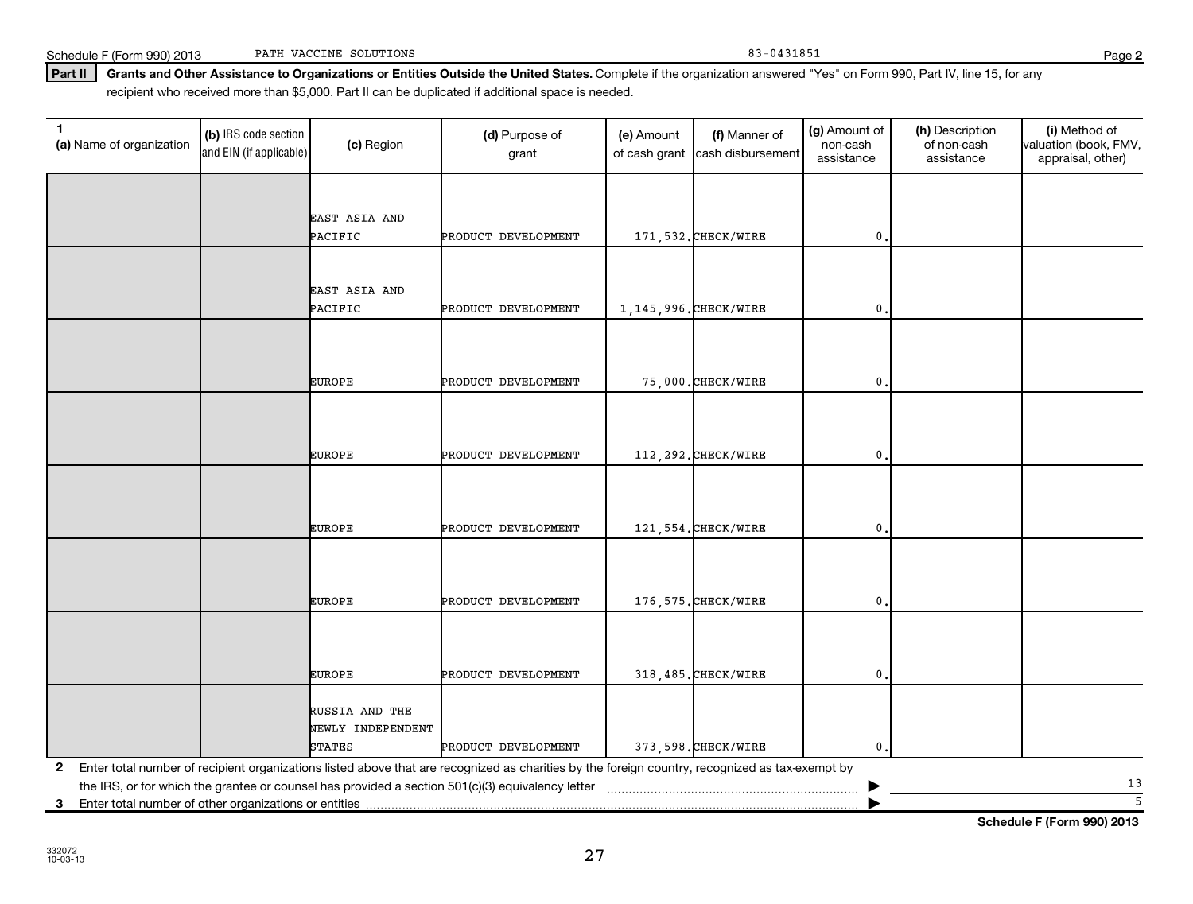| <b>EUROPE</b>     | PRODUCT DEVELOPMENT | 318.485. CHECK/WIRE |  |
|-------------------|---------------------|---------------------|--|
|                   |                     |                     |  |
| RUSSIA AND THE    |                     |                     |  |
| NEWLY INDEPENDENT |                     |                     |  |
| <b>STATES</b>     | PRODUCT DEVELOPMENT | 373.598. CHECK/WIRE |  |

**2** Enter total number of recipient organizations listed above that are recognized as charities by the foreign country, recognized as tax-exempt by the IRS, or for which the grantee or counsel has provided a section  $501(c)(3)$  equivalency letter

**3** Enter total number of other organizations or entities |

**Schedule F (Form 990) 2013**

13 5

recipient who received more than \$5,000. Part II can be duplicated if additional space is needed.

PATH VACCINE SOLUTIONS

## **(a)** Name of organization (b) IRS code section (c) Region (c) Region (d) Purpose of (e) Amount (f) Manner of (g) Amount of (h) Description (i) (a) Name of organization (f) IRS code section (c) Region (d) Purpose of (d) Am (b) IRS code section and EIN (if applicable) (a) Name of organization  $\begin{bmatrix} (b) \\ (c) \end{bmatrix}$  Region  $\begin{bmatrix} (c) \\ (d) \end{bmatrix}$  Purpose of grant (e) Amount of cash grant (f) Manner of cash disbursement (g) Amount of non-cash assistance (h) Description of non-cash assistance (i) Method of valuation (book, FMV, appraisal, other) EAST ASIA AND PACIFIC PRODUCT DEVELOPMENT | 171,532.CHECK/WIRE | 0 EAST ASIA AND PACIFIC PRODUCT DEVELOPMENT 1.145,996.CHECK/WIRE 0. EUROPE PRODUCT DEVELOPMENT 75,000.CHECK/WIRE 0. EUROPE PRODUCT DEVELOPMENT | 112,292.CHECK/WIRE | 0. EUROPE PRODUCT DEVELOPMENT | 121,554.CHECK/WIRE | 0 EUROPE PRODUCT DEVELOPMENT 176,575.CHECK/WIRE 0.

27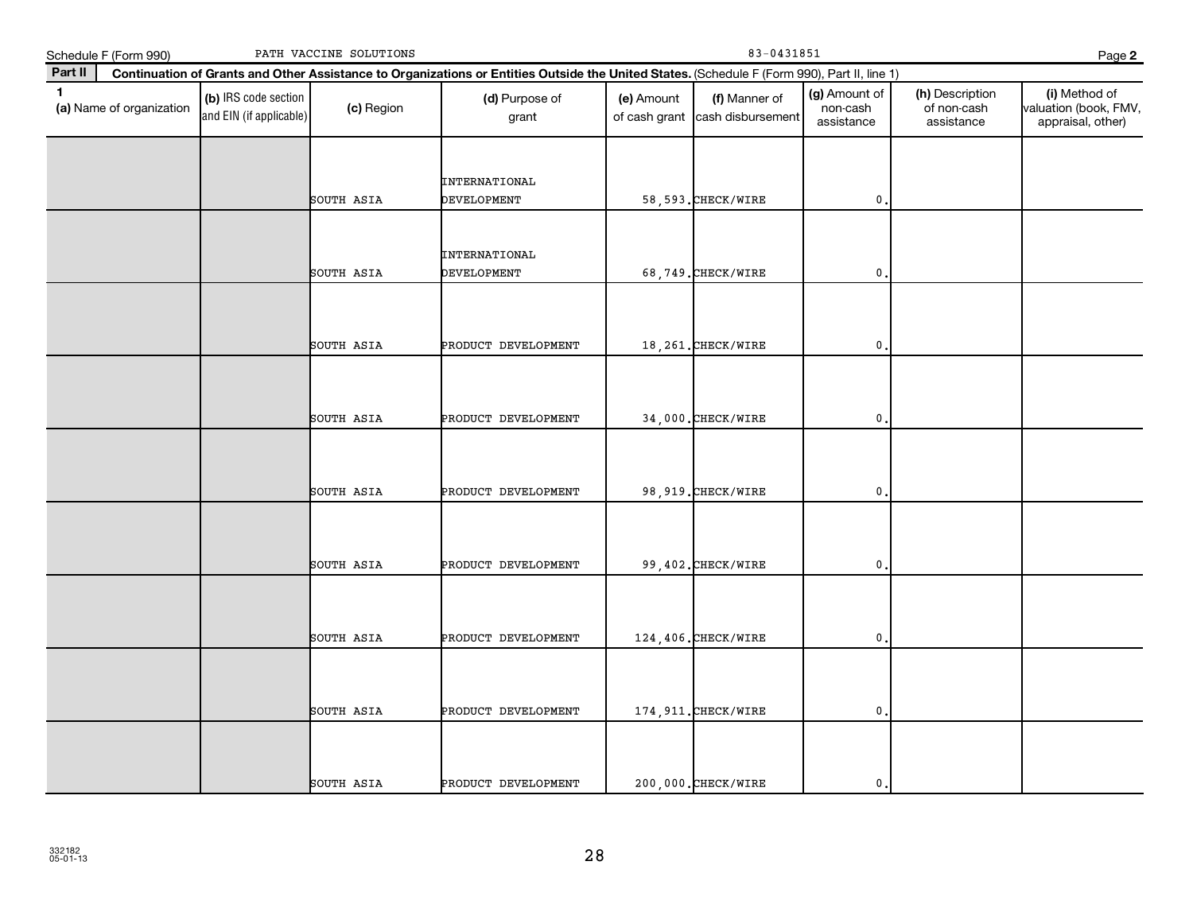| PATH VACCINE SOLUTIONS<br>Schedule F (Form 990) |                          |                                                 |            | 83-0431851<br>Page 2                                                                                                                         |                             |                                    |                                         |                                              |                                                             |
|-------------------------------------------------|--------------------------|-------------------------------------------------|------------|----------------------------------------------------------------------------------------------------------------------------------------------|-----------------------------|------------------------------------|-----------------------------------------|----------------------------------------------|-------------------------------------------------------------|
| Part II                                         |                          |                                                 |            | Continuation of Grants and Other Assistance to Organizations or Entities Outside the United States. (Schedule F (Form 990), Part II, line 1) |                             |                                    |                                         |                                              |                                                             |
| $\mathbf{1}$                                    | (a) Name of organization | (b) IRS code section<br>and EIN (if applicable) | (c) Region | (d) Purpose of<br>grant                                                                                                                      | (e) Amount<br>of cash grant | (f) Manner of<br>cash disbursement | (g) Amount of<br>non-cash<br>assistance | (h) Description<br>of non-cash<br>assistance | (i) Method of<br>valuation (book, FMV,<br>appraisal, other) |
|                                                 |                          |                                                 | SOUTH ASIA | <b>INTERNATIONAL</b><br>DEVELOPMENT                                                                                                          |                             | 58,593. CHECK/WIRE                 | $\mathbf 0$                             |                                              |                                                             |
|                                                 |                          |                                                 | SOUTH ASIA | <b>INTERNATIONAL</b><br>DEVELOPMENT                                                                                                          |                             | 68,749. CHECK/WIRE                 | $\mathbf{0}$                            |                                              |                                                             |
|                                                 |                          |                                                 | SOUTH ASIA | PRODUCT DEVELOPMENT                                                                                                                          |                             | 18, 261. CHECK/WIRE                | 0                                       |                                              |                                                             |
|                                                 |                          |                                                 | SOUTH ASIA | PRODUCT DEVELOPMENT                                                                                                                          |                             | 34,000. CHECK/WIRE                 | $\mathbf{0}$                            |                                              |                                                             |
|                                                 |                          |                                                 | SOUTH ASIA | PRODUCT DEVELOPMENT                                                                                                                          |                             | 98, 919. CHECK/WIRE                | $\mathbf 0$                             |                                              |                                                             |
|                                                 |                          |                                                 | SOUTH ASIA | PRODUCT DEVELOPMENT                                                                                                                          |                             | 99,402. CHECK/WIRE                 | $\mathbf{0}$                            |                                              |                                                             |
|                                                 |                          |                                                 | SOUTH ASIA | PRODUCT DEVELOPMENT                                                                                                                          |                             | 124,406. CHECK/WIRE                | $\mathbf{0}$                            |                                              |                                                             |
|                                                 |                          |                                                 | SOUTH ASIA | PRODUCT DEVELOPMENT                                                                                                                          |                             | 174, 911. CHECK/WIRE               | 0                                       |                                              |                                                             |
|                                                 |                          |                                                 | SOUTH ASIA | PRODUCT DEVELOPMENT                                                                                                                          |                             | 200,000. CHECK/WIRE                | $\mathbf 0$ .                           |                                              |                                                             |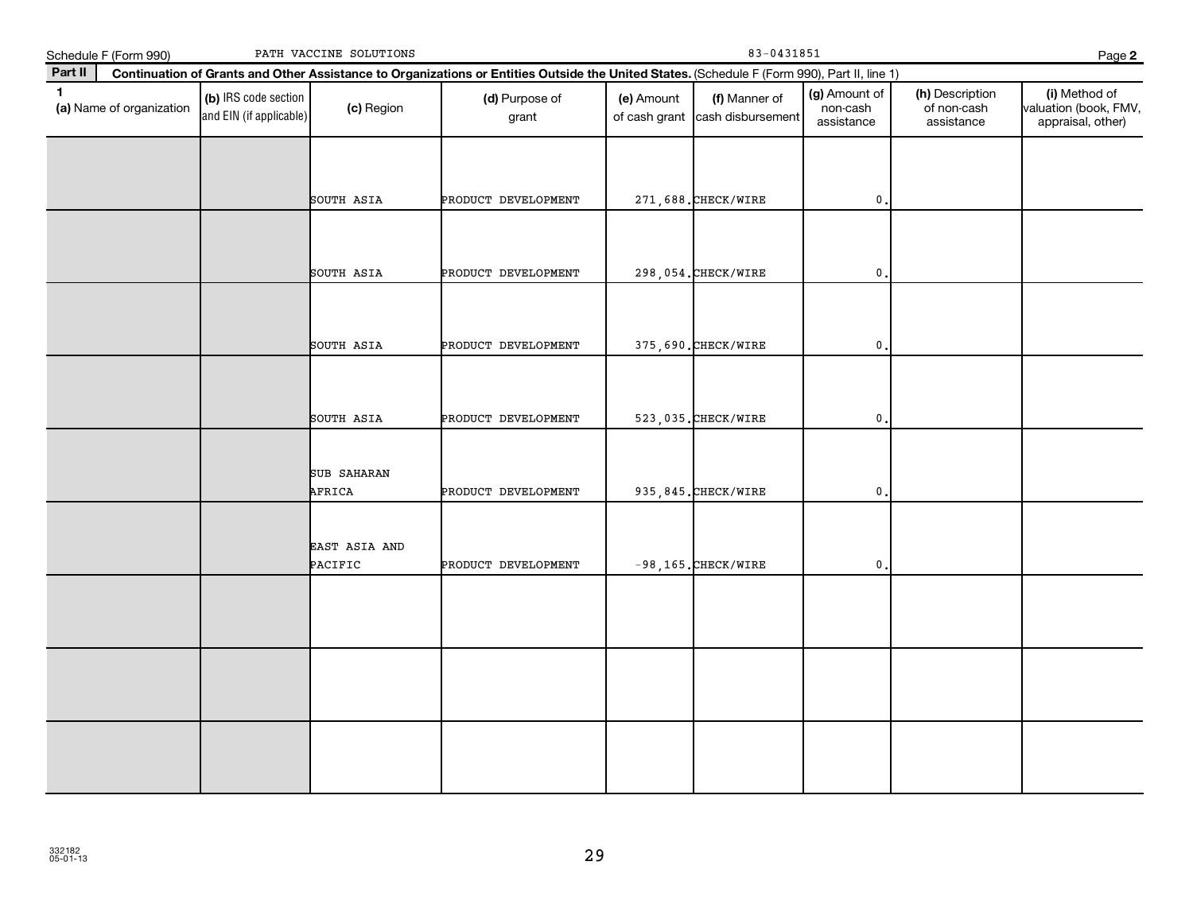|              | Schedule F (Form 990)    |                                                 | PATH VACCINE SOLUTIONS       |                                                                                                                                              |            | Page 2                                           |                                         |                                              |                                                             |  |  |  |
|--------------|--------------------------|-------------------------------------------------|------------------------------|----------------------------------------------------------------------------------------------------------------------------------------------|------------|--------------------------------------------------|-----------------------------------------|----------------------------------------------|-------------------------------------------------------------|--|--|--|
| Part II      |                          |                                                 |                              | Continuation of Grants and Other Assistance to Organizations or Entities Outside the United States. (Schedule F (Form 990), Part II, line 1) |            |                                                  |                                         |                                              |                                                             |  |  |  |
| $\mathbf{1}$ | (a) Name of organization | (b) IRS code section<br>and EIN (if applicable) | (c) Region                   | (d) Purpose of<br>grant                                                                                                                      | (e) Amount | (f) Manner of<br>of cash grant cash disbursement | (g) Amount of<br>non-cash<br>assistance | (h) Description<br>of non-cash<br>assistance | (i) Method of<br>valuation (book, FMV,<br>appraisal, other) |  |  |  |
|              |                          |                                                 | SOUTH ASIA                   | PRODUCT DEVELOPMENT                                                                                                                          |            | 271,688. CHECK/WIRE                              | $\mathbf{0}$                            |                                              |                                                             |  |  |  |
|              |                          |                                                 |                              |                                                                                                                                              |            |                                                  |                                         |                                              |                                                             |  |  |  |
|              |                          |                                                 | SOUTH ASIA                   | PRODUCT DEVELOPMENT                                                                                                                          |            | 298,054. CHECK/WIRE                              | $\mathbf{0}$                            |                                              |                                                             |  |  |  |
|              |                          |                                                 | SOUTH ASIA                   | PRODUCT DEVELOPMENT                                                                                                                          |            | 375,690. CHECK/WIRE                              | 0                                       |                                              |                                                             |  |  |  |
|              |                          |                                                 | SOUTH ASIA                   | PRODUCT DEVELOPMENT                                                                                                                          |            | 523,035. CHECK/WIRE                              | $\mathbf{0}$                            |                                              |                                                             |  |  |  |
|              |                          |                                                 | <b>SUB SAHARAN</b><br>AFRICA | PRODUCT DEVELOPMENT                                                                                                                          |            | 935, 845. CHECK/WIRE                             | 0                                       |                                              |                                                             |  |  |  |
|              |                          |                                                 | EAST ASIA AND<br>PACIFIC     | PRODUCT DEVELOPMENT                                                                                                                          |            | $-98, 165.$ CHECK/WIRE                           | $\mathbf{0}$                            |                                              |                                                             |  |  |  |
|              |                          |                                                 |                              |                                                                                                                                              |            |                                                  |                                         |                                              |                                                             |  |  |  |
|              |                          |                                                 |                              |                                                                                                                                              |            |                                                  |                                         |                                              |                                                             |  |  |  |
|              |                          |                                                 |                              |                                                                                                                                              |            |                                                  |                                         |                                              |                                                             |  |  |  |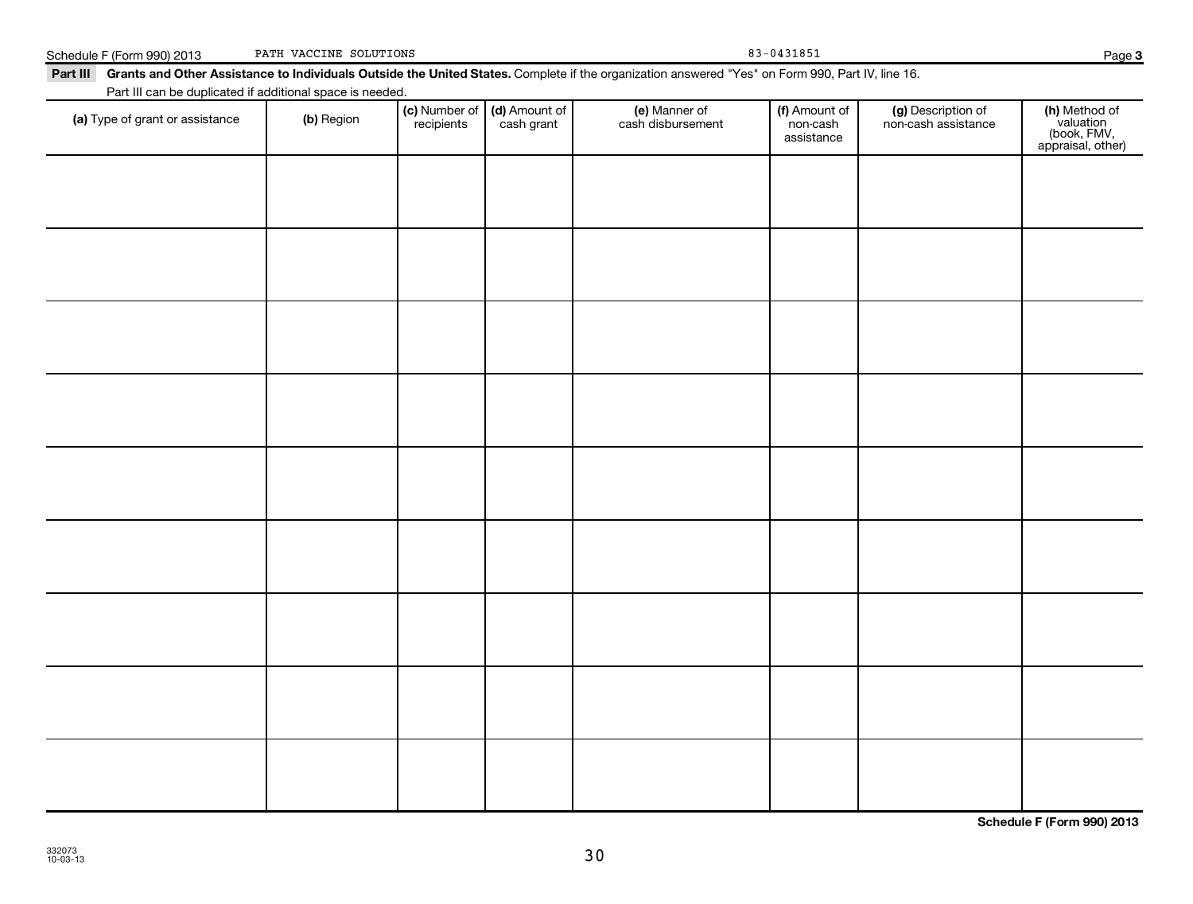| Part III can be duplicated if additional space is needed. |            |                             |                             |                                    |                                         |                                           |                                                                |
|-----------------------------------------------------------|------------|-----------------------------|-----------------------------|------------------------------------|-----------------------------------------|-------------------------------------------|----------------------------------------------------------------|
| (a) Type of grant or assistance                           | (b) Region | (c) Number of<br>recipients | (d) Amount of<br>cash grant | (e) Manner of<br>cash disbursement | (f) Amount of<br>non-cash<br>assistance | (g) Description of<br>non-cash assistance | (h) Method of<br>valuation<br>(book, FMV,<br>appraisal, other) |
|                                                           |            |                             |                             |                                    |                                         |                                           |                                                                |
|                                                           |            |                             |                             |                                    |                                         |                                           |                                                                |
|                                                           |            |                             |                             |                                    |                                         |                                           |                                                                |
|                                                           |            |                             |                             |                                    |                                         |                                           |                                                                |
|                                                           |            |                             |                             |                                    |                                         |                                           |                                                                |
|                                                           |            |                             |                             |                                    |                                         |                                           |                                                                |
|                                                           |            |                             |                             |                                    |                                         |                                           |                                                                |
|                                                           |            |                             |                             |                                    |                                         |                                           |                                                                |
|                                                           |            |                             |                             |                                    |                                         |                                           |                                                                |
|                                                           |            |                             |                             |                                    |                                         |                                           |                                                                |
|                                                           |            |                             |                             |                                    |                                         |                                           |                                                                |
|                                                           |            |                             |                             |                                    |                                         |                                           |                                                                |
|                                                           |            |                             |                             |                                    |                                         |                                           |                                                                |
|                                                           |            |                             |                             |                                    |                                         |                                           |                                                                |

Part III Grants and Other Assistance to Individuals Outside the United States. Complete if the organization answered "Yes" on Form 990, Part IV, line 16.

Schedule F (Form 990) 2013 PATH VACCINE SOLUTIONS 83-0431851

PATH VACCINE SOLUTIONS

**Schedule F (Form 990) 2013**

**3**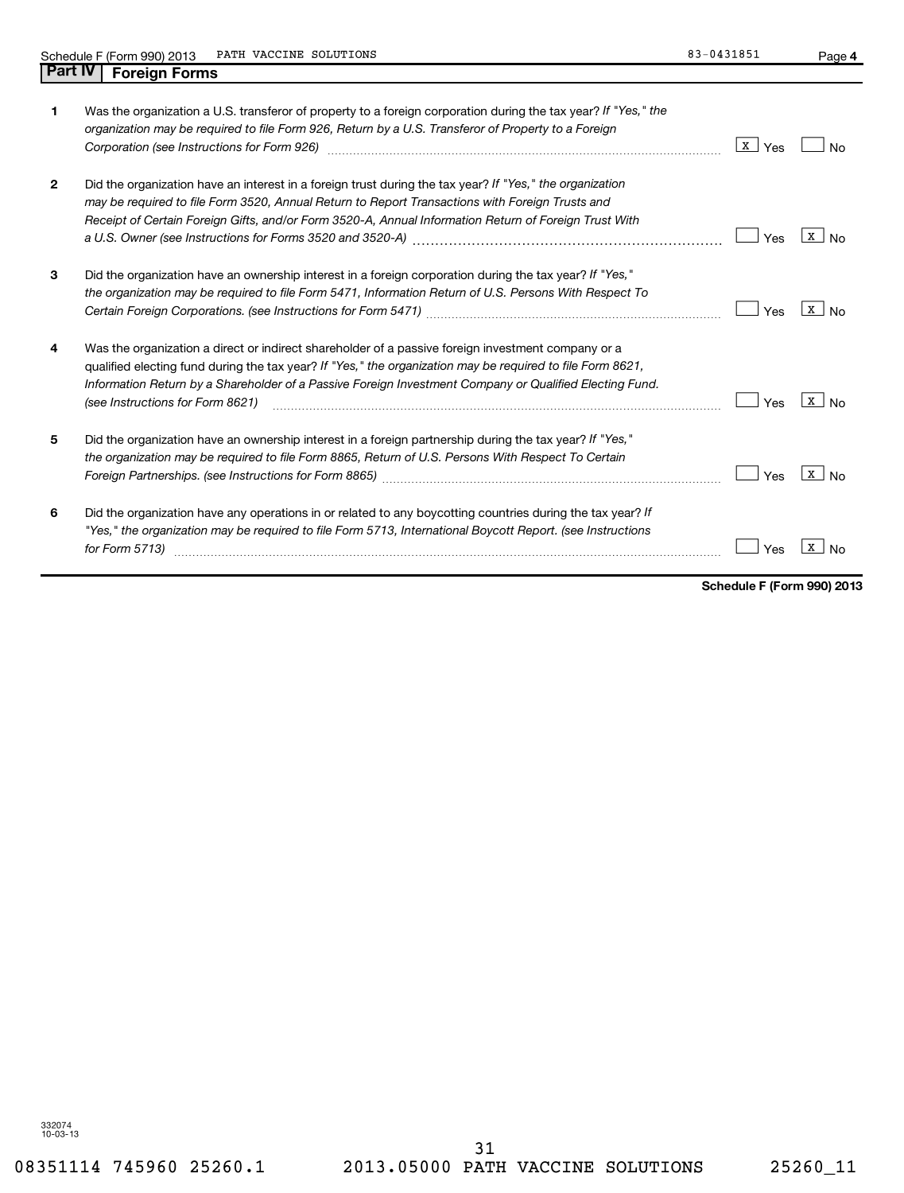|--|--|--|

| 1.           | Was the organization a U.S. transferor of property to a foreign corporation during the tax year? If "Yes," the<br>organization may be required to file Form 926, Return by a U.S. Transferor of Property to a Foreign<br>Corporation (see Instructions for Form 926)                                                                                            | $\mathbf{X}$<br>Yes |                                |
|--------------|-----------------------------------------------------------------------------------------------------------------------------------------------------------------------------------------------------------------------------------------------------------------------------------------------------------------------------------------------------------------|---------------------|--------------------------------|
| $\mathbf{2}$ | Did the organization have an interest in a foreign trust during the tax year? If "Yes," the organization<br>may be required to file Form 3520, Annual Return to Report Transactions with Foreign Trusts and<br>Receipt of Certain Foreign Gifts, and/or Form 3520-A, Annual Information Return of Foreign Trust With                                            | Yes                 | X                              |
| 3            | Did the organization have an ownership interest in a foreign corporation during the tax year? If "Yes,"<br>the organization may be required to file Form 5471, Information Return of U.S. Persons With Respect To                                                                                                                                               | Yes                 | $\mathbf{x}$<br>N <sub>0</sub> |
| 4            | Was the organization a direct or indirect shareholder of a passive foreign investment company or a<br>qualified electing fund during the tax year? If "Yes," the organization may be required to file Form 8621,<br>Information Return by a Shareholder of a Passive Foreign Investment Company or Qualified Electing Fund.<br>(see Instructions for Form 8621) | Yes                 | X                              |
| 5            | Did the organization have an ownership interest in a foreign partnership during the tax year? If "Yes,"<br>the organization may be required to file Form 8865, Return of U.S. Persons With Respect To Certain                                                                                                                                                   | Yes                 | x                              |
| 6            | Did the organization have any operations in or related to any boycotting countries during the tax year? If<br>"Yes," the organization may be required to file Form 5713, International Boycott Report. (see Instructions<br>for Form 5713)                                                                                                                      | Yes                 |                                |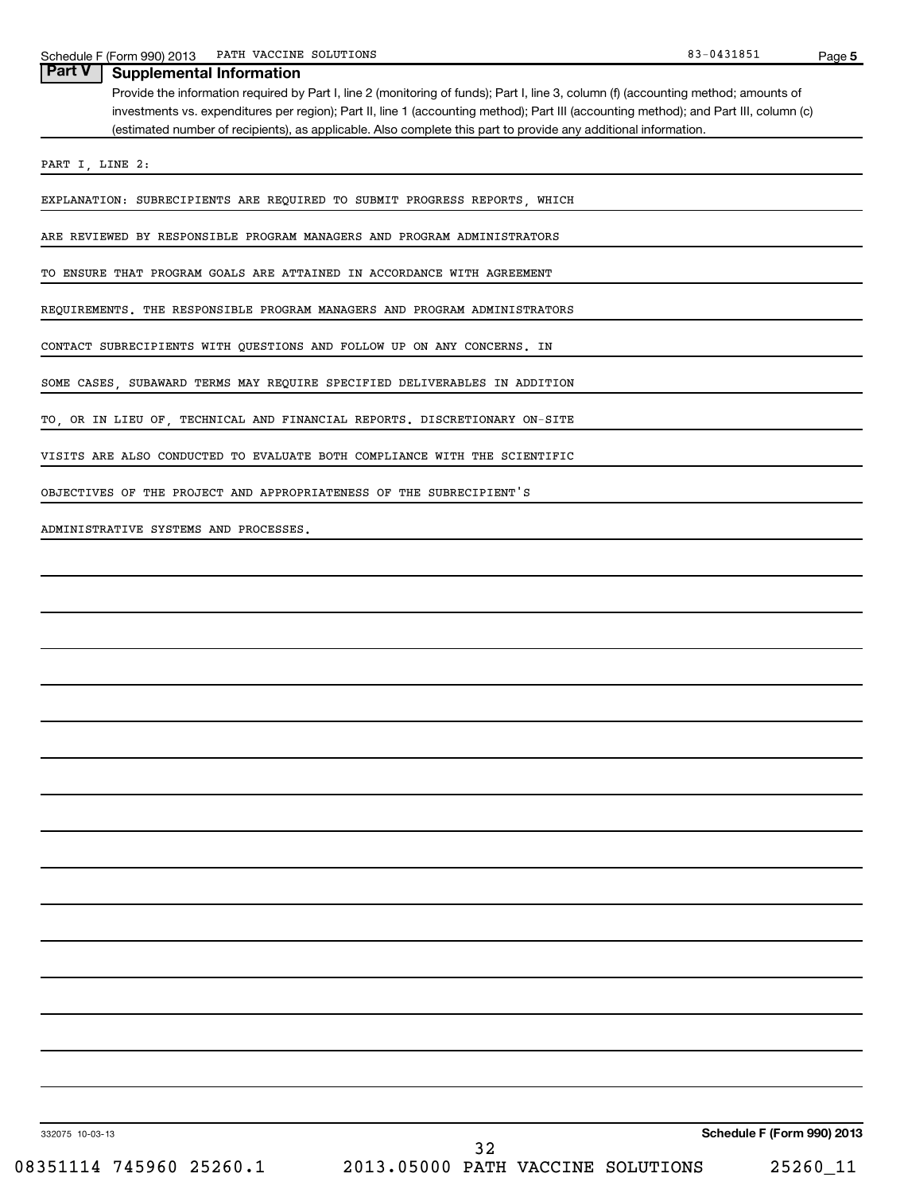| Provide the information required by Part I, line 2 (monitoring of funds); Part I, line 3, column (f) (accounting method; amounts of<br>investments vs. expenditures per region); Part II, line 1 (accounting method); Part III (accounting method); and Part III, column (c)<br>(estimated number of recipients), as applicable. Also complete this part to provide any additional information. |
|-------------------------------------------------------------------------------------------------------------------------------------------------------------------------------------------------------------------------------------------------------------------------------------------------------------------------------------------------------------------------------------------------|
| PART I, LINE 2:                                                                                                                                                                                                                                                                                                                                                                                 |
| EXPLANATION: SUBRECIPIENTS ARE REQUIRED TO SUBMIT PROGRESS REPORTS, WHICH                                                                                                                                                                                                                                                                                                                       |
| ARE REVIEWED BY RESPONSIBLE PROGRAM MANAGERS AND PROGRAM ADMINISTRATORS                                                                                                                                                                                                                                                                                                                         |
| TO ENSURE THAT PROGRAM GOALS ARE ATTAINED IN ACCORDANCE WITH AGREEMENT                                                                                                                                                                                                                                                                                                                          |
| REQUIREMENTS. THE RESPONSIBLE PROGRAM MANAGERS AND PROGRAM ADMINISTRATORS                                                                                                                                                                                                                                                                                                                       |
| CONTACT SUBRECIPIENTS WITH QUESTIONS AND FOLLOW UP ON ANY CONCERNS. IN                                                                                                                                                                                                                                                                                                                          |
| SOME CASES, SUBAWARD TERMS MAY REQUIRE SPECIFIED DELIVERABLES IN ADDITION                                                                                                                                                                                                                                                                                                                       |
| TO, OR IN LIEU OF, TECHNICAL AND FINANCIAL REPORTS. DISCRETIONARY ON-SITE                                                                                                                                                                                                                                                                                                                       |
| VISITS ARE ALSO CONDUCTED TO EVALUATE BOTH COMPLIANCE WITH THE SCIENTIFIC                                                                                                                                                                                                                                                                                                                       |
| OBJECTIVES OF THE PROJECT AND APPROPRIATENESS OF THE SUBRECIPIENT'S                                                                                                                                                                                                                                                                                                                             |
| ADMINISTRATIVE SYSTEMS AND PROCESSES.                                                                                                                                                                                                                                                                                                                                                           |
|                                                                                                                                                                                                                                                                                                                                                                                                 |
|                                                                                                                                                                                                                                                                                                                                                                                                 |
|                                                                                                                                                                                                                                                                                                                                                                                                 |
|                                                                                                                                                                                                                                                                                                                                                                                                 |
|                                                                                                                                                                                                                                                                                                                                                                                                 |
|                                                                                                                                                                                                                                                                                                                                                                                                 |
|                                                                                                                                                                                                                                                                                                                                                                                                 |
|                                                                                                                                                                                                                                                                                                                                                                                                 |
|                                                                                                                                                                                                                                                                                                                                                                                                 |
|                                                                                                                                                                                                                                                                                                                                                                                                 |
|                                                                                                                                                                                                                                                                                                                                                                                                 |
|                                                                                                                                                                                                                                                                                                                                                                                                 |
|                                                                                                                                                                                                                                                                                                                                                                                                 |
|                                                                                                                                                                                                                                                                                                                                                                                                 |
|                                                                                                                                                                                                                                                                                                                                                                                                 |
|                                                                                                                                                                                                                                                                                                                                                                                                 |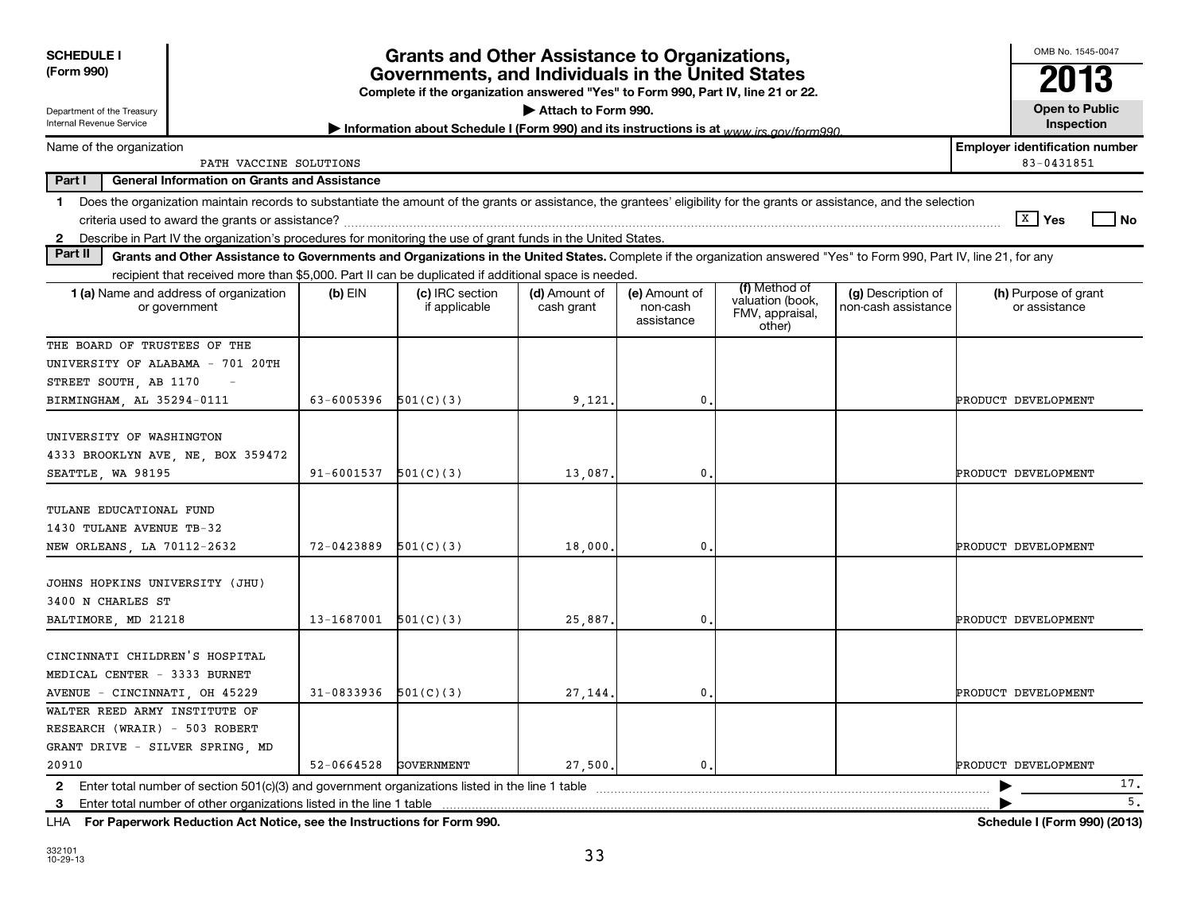| <b>SCHEDULE I</b>                                                                                                                                                                |            | Grants and Other Assistance to Organizations,                                                                                                                              |                             |                                         |                                               |                                           | OMB No. 1545-0047                                   |
|----------------------------------------------------------------------------------------------------------------------------------------------------------------------------------|------------|----------------------------------------------------------------------------------------------------------------------------------------------------------------------------|-----------------------------|-----------------------------------------|-----------------------------------------------|-------------------------------------------|-----------------------------------------------------|
| (Form 990)                                                                                                                                                                       |            | Governments, and Individuals in the United States                                                                                                                          |                             |                                         |                                               |                                           | 2013                                                |
| Department of the Treasury<br>Internal Revenue Service                                                                                                                           |            | Complete if the organization answered "Yes" to Form 990, Part IV, line 21 or 22.<br>Information about Schedule I (Form 990) and its instructions is at www irs gov/form990 | Attach to Form 990.         |                                         |                                               |                                           | <b>Open to Public</b><br>Inspection                 |
| Name of the organization<br>PATH VACCINE SOLUTIONS                                                                                                                               |            |                                                                                                                                                                            |                             |                                         |                                               |                                           | <b>Employer identification number</b><br>83-0431851 |
| Part I<br><b>General Information on Grants and Assistance</b>                                                                                                                    |            |                                                                                                                                                                            |                             |                                         |                                               |                                           |                                                     |
| Does the organization maintain records to substantiate the amount of the grants or assistance, the grantees' eligibility for the grants or assistance, and the selection<br>1.   |            |                                                                                                                                                                            |                             |                                         |                                               |                                           | $X$ Yes<br>l No                                     |
| 2 Describe in Part IV the organization's procedures for monitoring the use of grant funds in the United States                                                                   |            |                                                                                                                                                                            |                             |                                         |                                               |                                           |                                                     |
| Part II<br>Grants and Other Assistance to Governments and Organizations in the United States. Complete if the organization answered "Yes" to Form 990, Part IV, line 21, for any |            |                                                                                                                                                                            |                             |                                         |                                               |                                           |                                                     |
| recipient that received more than \$5,000. Part II can be duplicated if additional space is needed.                                                                              |            |                                                                                                                                                                            |                             |                                         | (f) Method of                                 |                                           |                                                     |
| 1 (a) Name and address of organization<br>or government                                                                                                                          | $(b)$ EIN  | (c) IRC section<br>if applicable                                                                                                                                           | (d) Amount of<br>cash grant | (e) Amount of<br>non-cash<br>assistance | valuation (book,<br>FMV, appraisal,<br>other) | (g) Description of<br>non-cash assistance | (h) Purpose of grant<br>or assistance               |
| THE BOARD OF TRUSTEES OF THE                                                                                                                                                     |            |                                                                                                                                                                            |                             |                                         |                                               |                                           |                                                     |
| UNIVERSITY OF ALABAMA - 701 20TH                                                                                                                                                 |            |                                                                                                                                                                            |                             |                                         |                                               |                                           |                                                     |
| STREET SOUTH, AB 1170                                                                                                                                                            |            |                                                                                                                                                                            |                             |                                         |                                               |                                           |                                                     |
| BIRMINGHAM, AL 35294-0111                                                                                                                                                        | 63-6005396 | 501(C)(3)                                                                                                                                                                  | 9,121                       | 0                                       |                                               |                                           | PRODUCT DEVELOPMENT                                 |
| UNIVERSITY OF WASHINGTON<br>4333 BROOKLYN AVE, NE, BOX 359472<br>SEATTLE, WA 98195                                                                                               | 91-6001537 | 501(C)(3)                                                                                                                                                                  | 13,087                      | 0                                       |                                               |                                           | PRODUCT DEVELOPMENT                                 |
| TULANE EDUCATIONAL FUND<br>1430 TULANE AVENUE TB-32<br>NEW ORLEANS, LA 70112-2632                                                                                                | 72-0423889 | 501(C)(3)                                                                                                                                                                  | 18,000                      | 0                                       |                                               |                                           | PRODUCT DEVELOPMENT                                 |
| JOHNS HOPKINS UNIVERSITY (JHU)<br>3400 N CHARLES ST<br>BALTIMORE, MD 21218                                                                                                       | 13-1687001 | 501(C)(3)                                                                                                                                                                  | 25,887                      | 0                                       |                                               |                                           | PRODUCT DEVELOPMENT                                 |
| CINCINNATI CHILDREN'S HOSPITAL<br>MEDICAL CENTER - 3333 BURNET<br>AVENUE - CINCINNATI, OH 45229                                                                                  | 31-0833936 | 501(C)(3)                                                                                                                                                                  | 27,144.                     | $\mathsf{0}$ .                          |                                               |                                           | PRODUCT DEVELOPMENT                                 |
| WALTER REED ARMY INSTITUTE OF                                                                                                                                                    |            |                                                                                                                                                                            |                             |                                         |                                               |                                           |                                                     |
| RESEARCH (WRAIR) - 503 ROBERT                                                                                                                                                    |            |                                                                                                                                                                            |                             |                                         |                                               |                                           |                                                     |
| GRANT DRIVE - SILVER SPRING, MD                                                                                                                                                  |            |                                                                                                                                                                            |                             |                                         |                                               |                                           |                                                     |
| 20910                                                                                                                                                                            | 52-0664528 | GOVERNMENT                                                                                                                                                                 | 27,500                      | 0.                                      |                                               |                                           | PRODUCT DEVELOPMENT                                 |
| Enter total number of section 501(c)(3) and government organizations listed in the line 1 table<br>$\mathbf{2}$                                                                  |            |                                                                                                                                                                            |                             |                                         |                                               |                                           | 17.                                                 |
| Enter total number of other organizations listed in the line 1 table<br>3                                                                                                        |            |                                                                                                                                                                            |                             |                                         |                                               |                                           | 5.                                                  |
| LHA For Paperwork Reduction Act Notice, see the Instructions for Form 990.                                                                                                       |            |                                                                                                                                                                            |                             |                                         |                                               |                                           | Schedule I (Form 990) (2013)                        |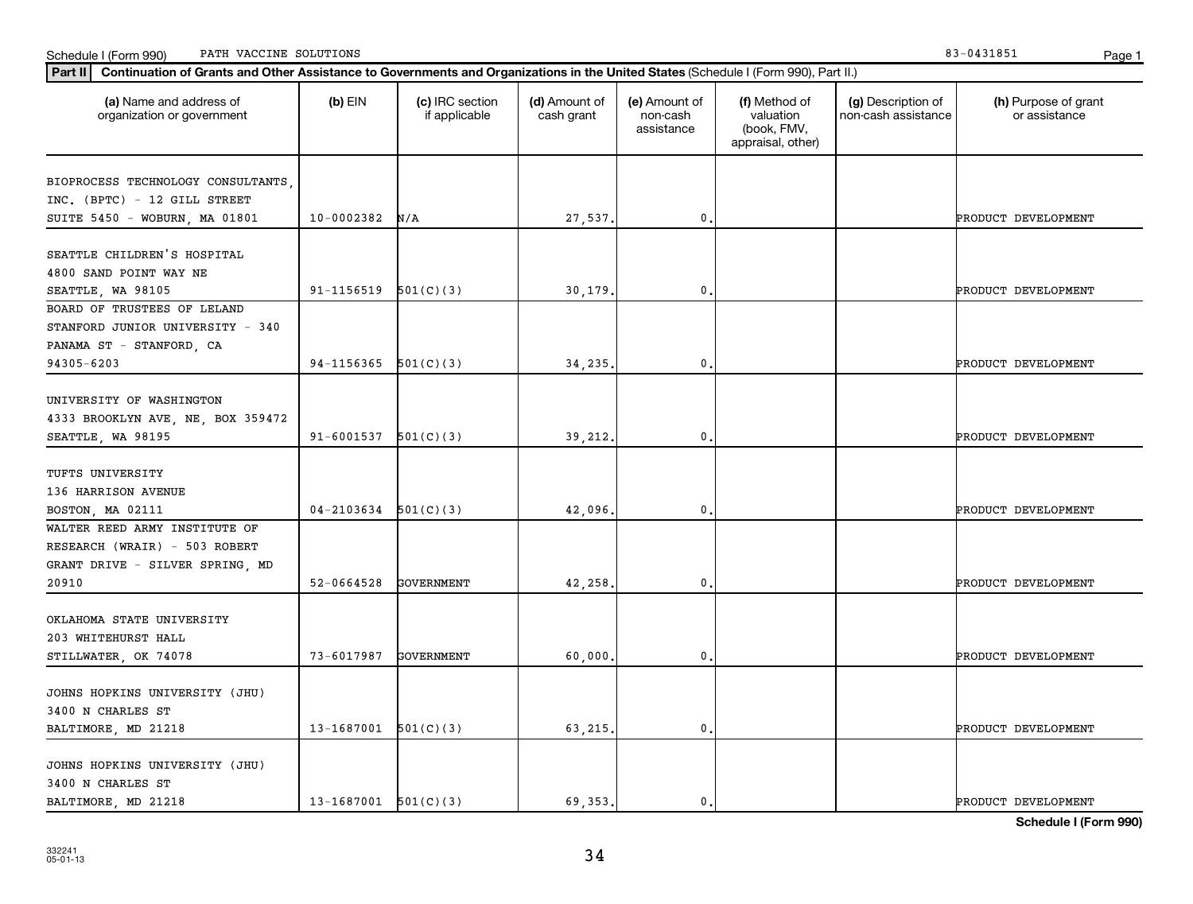**PART SET ASSET CONTINUATE SOLUTIONS**<br>**Part II** Continuation of Grants and Other Assistance to Governments and Organizations in the United States (Sch Schedule I (Form 990) PATH VACCINE SOLUTIONS Page 1

| Part II<br>Continuation of Grants and Other Assistance to Governments and Organizations in the United States (Schedule I (Form 990), Part II.) |                            |                                  |                             |                                         |                                                                |                                           |                                       |
|------------------------------------------------------------------------------------------------------------------------------------------------|----------------------------|----------------------------------|-----------------------------|-----------------------------------------|----------------------------------------------------------------|-------------------------------------------|---------------------------------------|
| (a) Name and address of<br>organization or government                                                                                          | $(b)$ EIN                  | (c) IRC section<br>if applicable | (d) Amount of<br>cash grant | (e) Amount of<br>non-cash<br>assistance | (f) Method of<br>valuation<br>(book, FMV,<br>appraisal, other) | (g) Description of<br>non-cash assistance | (h) Purpose of grant<br>or assistance |
| BIOPROCESS TECHNOLOGY CONSULTANTS                                                                                                              |                            |                                  |                             |                                         |                                                                |                                           |                                       |
| INC. (BPTC) - 12 GILL STREET                                                                                                                   |                            |                                  |                             |                                         |                                                                |                                           |                                       |
| SUITE 5450 - WOBURN, MA 01801                                                                                                                  | $10-0002382$ N/A           |                                  | 27,537.                     | $\mathbf{0}$                            |                                                                |                                           | PRODUCT DEVELOPMENT                   |
|                                                                                                                                                |                            |                                  |                             |                                         |                                                                |                                           |                                       |
| SEATTLE CHILDREN'S HOSPITAL                                                                                                                    |                            |                                  |                             |                                         |                                                                |                                           |                                       |
| 4800 SAND POINT WAY NE                                                                                                                         |                            |                                  |                             |                                         |                                                                |                                           |                                       |
| SEATTLE, WA 98105                                                                                                                              | $91-1156519$ $501(C)(3)$   |                                  | 30,179                      | 0                                       |                                                                |                                           | PRODUCT DEVELOPMENT                   |
| BOARD OF TRUSTEES OF LELAND                                                                                                                    |                            |                                  |                             |                                         |                                                                |                                           |                                       |
| STANFORD JUNIOR UNIVERSITY - 340                                                                                                               |                            |                                  |                             |                                         |                                                                |                                           |                                       |
| PANAMA ST - STANFORD, CA                                                                                                                       |                            |                                  |                             |                                         |                                                                |                                           |                                       |
| 94305-6203                                                                                                                                     | 94-1156365                 | 501(C)(3)                        | 34,235                      | $\mathbf 0$                             |                                                                |                                           | PRODUCT DEVELOPMENT                   |
|                                                                                                                                                |                            |                                  |                             |                                         |                                                                |                                           |                                       |
| UNIVERSITY OF WASHINGTON                                                                                                                       |                            |                                  |                             |                                         |                                                                |                                           |                                       |
| 4333 BROOKLYN AVE, NE, BOX 359472                                                                                                              |                            |                                  |                             |                                         |                                                                |                                           |                                       |
| SEATTLE, WA 98195                                                                                                                              | $91-6001537$ $501(C)(3)$   |                                  | 39,212.                     | $\mathbf{0}$                            |                                                                |                                           | PRODUCT DEVELOPMENT                   |
| TUFTS UNIVERSITY                                                                                                                               |                            |                                  |                             |                                         |                                                                |                                           |                                       |
| 136 HARRISON AVENUE                                                                                                                            |                            |                                  |                             |                                         |                                                                |                                           |                                       |
| BOSTON, MA 02111                                                                                                                               | $04 - 2103634$ $501(C)(3)$ |                                  | 42,096                      | 0                                       |                                                                |                                           | PRODUCT DEVELOPMENT                   |
| WALTER REED ARMY INSTITUTE OF                                                                                                                  |                            |                                  |                             |                                         |                                                                |                                           |                                       |
| RESEARCH (WRAIR) - 503 ROBERT                                                                                                                  |                            |                                  |                             |                                         |                                                                |                                           |                                       |
| GRANT DRIVE - SILVER SPRING, MD                                                                                                                |                            |                                  |                             |                                         |                                                                |                                           |                                       |
| 20910                                                                                                                                          | 52-0664528                 | <b>GOVERNMENT</b>                | 42,258                      | 0                                       |                                                                |                                           | PRODUCT DEVELOPMENT                   |
|                                                                                                                                                |                            |                                  |                             |                                         |                                                                |                                           |                                       |
| OKLAHOMA STATE UNIVERSITY                                                                                                                      |                            |                                  |                             |                                         |                                                                |                                           |                                       |
| 203 WHITEHURST HALL                                                                                                                            |                            |                                  |                             |                                         |                                                                |                                           |                                       |
| STILLWATER, OK 74078                                                                                                                           | 73-6017987                 | GOVERNMENT                       | 60,000                      | $\mathbf{0}$                            |                                                                |                                           | PRODUCT DEVELOPMENT                   |
|                                                                                                                                                |                            |                                  |                             |                                         |                                                                |                                           |                                       |
| JOHNS HOPKINS UNIVERSITY (JHU)                                                                                                                 |                            |                                  |                             |                                         |                                                                |                                           |                                       |
| 3400 N CHARLES ST                                                                                                                              |                            |                                  |                             |                                         |                                                                |                                           |                                       |
| BALTIMORE, MD 21218                                                                                                                            | $13-1687001$ $501(C)(3)$   |                                  | 63,215                      | 0                                       |                                                                |                                           | PRODUCT DEVELOPMENT                   |
|                                                                                                                                                |                            |                                  |                             |                                         |                                                                |                                           |                                       |
| JOHNS HOPKINS UNIVERSITY (JHU)                                                                                                                 |                            |                                  |                             |                                         |                                                                |                                           |                                       |
| 3400 N CHARLES ST                                                                                                                              |                            |                                  |                             |                                         |                                                                |                                           |                                       |
| BALTIMORE, MD 21218                                                                                                                            | $13-1687001$ $501(C)(3)$   |                                  | 69, 353.                    | $\mathbf{0}$ .                          |                                                                |                                           | PRODUCT DEVELOPMENT                   |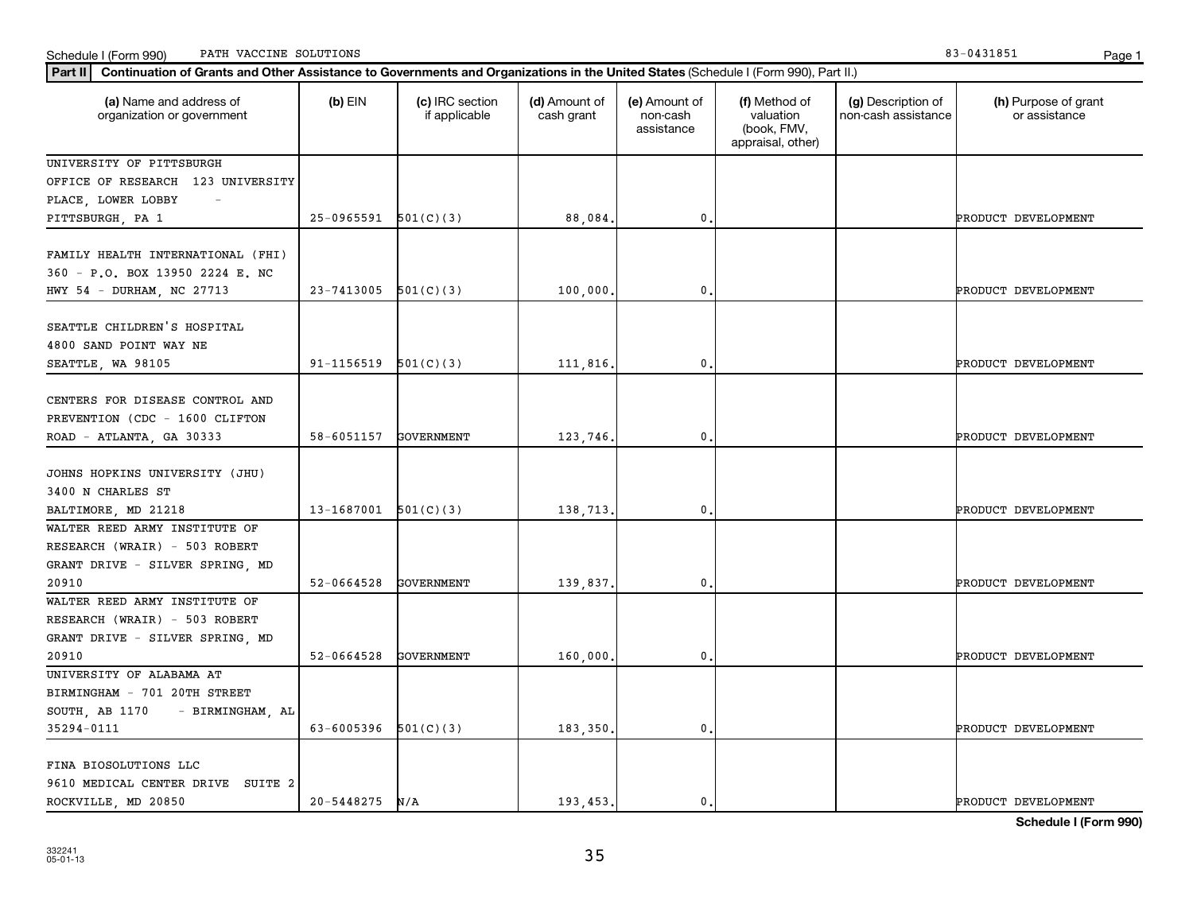Schedule I (Form 990) Page 1 PATH VACCINE SOLUTIONS 83-0431851

| Continuation of Grants and Other Assistance to Governments and Organizations in the United States (Schedule I (Form 990), Part II.)<br>  Part II |                          |                                  |                             |                                         |                                                                |                                           |                                       |
|--------------------------------------------------------------------------------------------------------------------------------------------------|--------------------------|----------------------------------|-----------------------------|-----------------------------------------|----------------------------------------------------------------|-------------------------------------------|---------------------------------------|
| (a) Name and address of<br>organization or government                                                                                            | $(b)$ EIN                | (c) IRC section<br>if applicable | (d) Amount of<br>cash grant | (e) Amount of<br>non-cash<br>assistance | (f) Method of<br>valuation<br>(book, FMV,<br>appraisal, other) | (g) Description of<br>non-cash assistance | (h) Purpose of grant<br>or assistance |
| UNIVERSITY OF PITTSBURGH                                                                                                                         |                          |                                  |                             |                                         |                                                                |                                           |                                       |
| OFFICE OF RESEARCH 123 UNIVERSITY                                                                                                                |                          |                                  |                             |                                         |                                                                |                                           |                                       |
| PLACE, LOWER LOBBY                                                                                                                               |                          |                                  |                             |                                         |                                                                |                                           |                                       |
| PITTSBURGH, PA 1                                                                                                                                 | $25-0965591$ $501(C)(3)$ |                                  | 88,084.                     | 0                                       |                                                                |                                           | PRODUCT DEVELOPMENT                   |
| FAMILY HEALTH INTERNATIONAL (FHI)<br>360 - P.O. BOX 13950 2224 E. NC<br>HWY 54 - DURHAM, NC 27713                                                | 23-7413005               | 501(C)(3)                        | 100,000.                    | 0                                       |                                                                |                                           | PRODUCT DEVELOPMENT                   |
|                                                                                                                                                  |                          |                                  |                             |                                         |                                                                |                                           |                                       |
| SEATTLE CHILDREN'S HOSPITAL                                                                                                                      |                          |                                  |                             |                                         |                                                                |                                           |                                       |
| 4800 SAND POINT WAY NE                                                                                                                           |                          |                                  |                             |                                         |                                                                |                                           |                                       |
| SEATTLE, WA 98105                                                                                                                                | $91-1156519$ $501(C)(3)$ |                                  | 111,816.                    | 0                                       |                                                                |                                           | PRODUCT DEVELOPMENT                   |
| CENTERS FOR DISEASE CONTROL AND<br>PREVENTION (CDC - 1600 CLIFTON<br>ROAD - ATLANTA, GA 30333                                                    | 58-6051157               | GOVERNMENT                       | 123,746.                    | 0                                       |                                                                |                                           | PRODUCT DEVELOPMENT                   |
| JOHNS HOPKINS UNIVERSITY (JHU)<br>3400 N CHARLES ST<br>BALTIMORE, MD 21218                                                                       | 13-1687001               | 501(C)(3)                        | 138,713.                    | 0                                       |                                                                |                                           | PRODUCT DEVELOPMENT                   |
| WALTER REED ARMY INSTITUTE OF                                                                                                                    |                          |                                  |                             |                                         |                                                                |                                           |                                       |
| RESEARCH (WRAIR) - 503 ROBERT<br>GRANT DRIVE - SILVER SPRING, MD                                                                                 |                          |                                  |                             |                                         |                                                                |                                           |                                       |
| 20910                                                                                                                                            | 52-0664528               | <b>GOVERNMENT</b>                | 139,837.                    | 0                                       |                                                                |                                           | PRODUCT DEVELOPMENT                   |
| WALTER REED ARMY INSTITUTE OF<br>RESEARCH (WRAIR) - 503 ROBERT<br>GRANT DRIVE - SILVER SPRING, MD                                                |                          |                                  |                             |                                         |                                                                |                                           |                                       |
| 20910                                                                                                                                            | 52-0664528               | <b>GOVERNMENT</b>                | 160,000.                    | 0                                       |                                                                |                                           | PRODUCT DEVELOPMENT                   |
| UNIVERSITY OF ALABAMA AT<br>BIRMINGHAM - 701 20TH STREET<br>SOUTH, AB 1170<br>- BIRMINGHAM, AL                                                   |                          |                                  |                             |                                         |                                                                |                                           |                                       |
| 35294-0111                                                                                                                                       | 63-6005396               | 501(C)(3)                        | 183,350.                    | 0                                       |                                                                |                                           | PRODUCT DEVELOPMENT                   |
| FINA BIOSOLUTIONS LLC<br>9610 MEDICAL CENTER DRIVE SUITE 2<br>ROCKVILLE, MD 20850                                                                | 20-5448275               | N/A                              | 193,453.                    | 0.                                      |                                                                |                                           | PRODUCT DEVELOPMENT                   |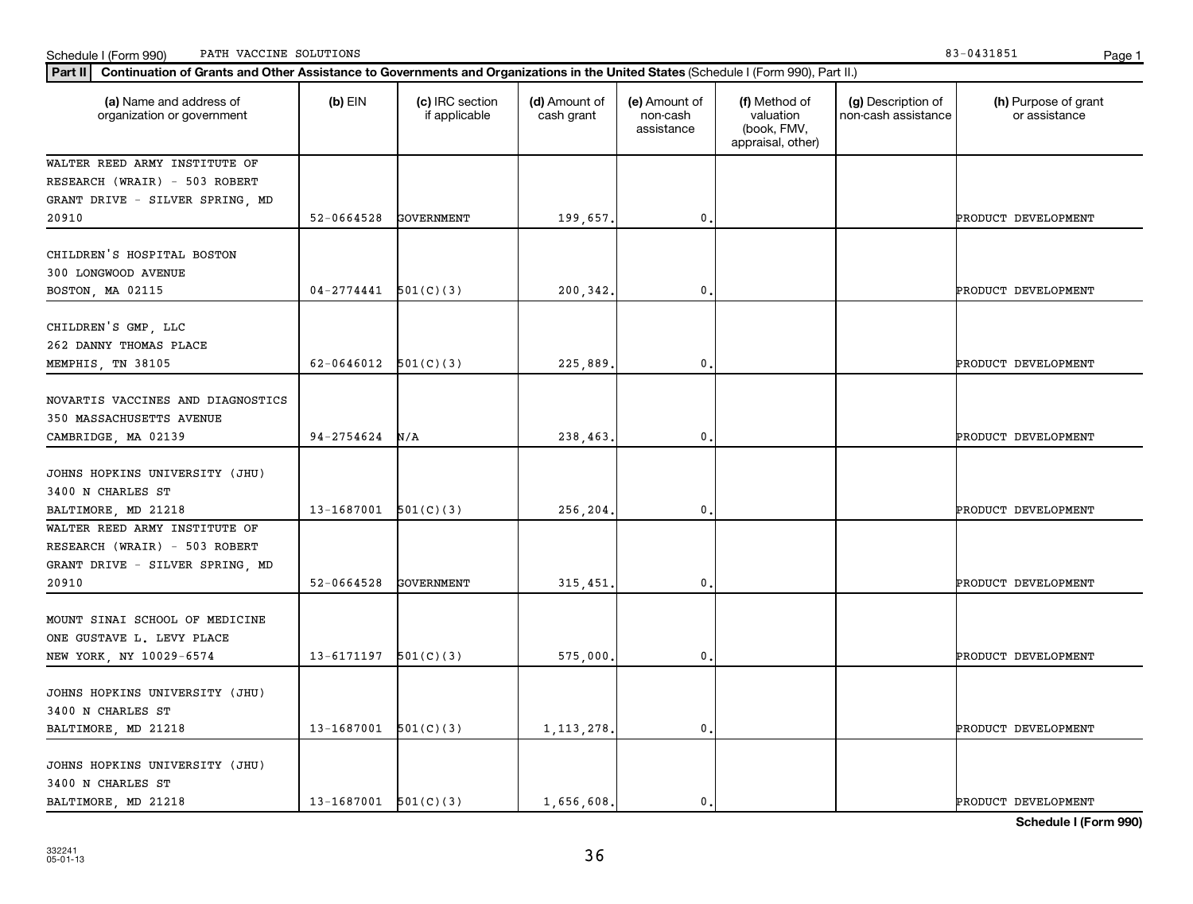Schedule I (Form 990) Page 1 PATH VACCINE SOLUTIONS 83-0431851

| Part II   Continuation of Grants and Other Assistance to Governments and Organizations in the United States (Schedule I (Form 990), Part II.) |                          |                                  |                             |                                         |                                                                |                                           |                                       |  |  |
|-----------------------------------------------------------------------------------------------------------------------------------------------|--------------------------|----------------------------------|-----------------------------|-----------------------------------------|----------------------------------------------------------------|-------------------------------------------|---------------------------------------|--|--|
| (a) Name and address of<br>organization or government                                                                                         | $(b)$ EIN                | (c) IRC section<br>if applicable | (d) Amount of<br>cash grant | (e) Amount of<br>non-cash<br>assistance | (f) Method of<br>valuation<br>(book, FMV,<br>appraisal, other) | (g) Description of<br>non-cash assistance | (h) Purpose of grant<br>or assistance |  |  |
| WALTER REED ARMY INSTITUTE OF                                                                                                                 |                          |                                  |                             |                                         |                                                                |                                           |                                       |  |  |
| RESEARCH (WRAIR) - 503 ROBERT                                                                                                                 |                          |                                  |                             |                                         |                                                                |                                           |                                       |  |  |
| GRANT DRIVE - SILVER SPRING, MD                                                                                                               |                          |                                  |                             |                                         |                                                                |                                           |                                       |  |  |
| 20910                                                                                                                                         | $52 - 0664528$           | GOVERNMENT                       | 199,657.                    | 0                                       |                                                                |                                           | PRODUCT DEVELOPMENT                   |  |  |
| CHILDREN'S HOSPITAL BOSTON                                                                                                                    |                          |                                  |                             |                                         |                                                                |                                           |                                       |  |  |
| 300 LONGWOOD AVENUE                                                                                                                           |                          |                                  |                             |                                         |                                                                |                                           |                                       |  |  |
| BOSTON, MA 02115                                                                                                                              | $04-2774441$ $501(C)(3)$ |                                  | 200,342.                    | $\mathbf{0}$                            |                                                                |                                           | PRODUCT DEVELOPMENT                   |  |  |
| CHILDREN'S GMP, LLC<br>262 DANNY THOMAS PLACE                                                                                                 |                          |                                  |                             |                                         |                                                                |                                           |                                       |  |  |
| MEMPHIS, TN 38105                                                                                                                             | $62-0646012$ $501(C)(3)$ |                                  | 225,889                     | $\mathbf{0}$                            |                                                                |                                           | PRODUCT DEVELOPMENT                   |  |  |
| NOVARTIS VACCINES AND DIAGNOSTICS<br>350 MASSACHUSETTS AVENUE<br>CAMBRIDGE, MA 02139                                                          | 94-2754624               | N/A                              | 238,463.                    | 0                                       |                                                                |                                           | PRODUCT DEVELOPMENT                   |  |  |
| JOHNS HOPKINS UNIVERSITY (JHU)<br>3400 N CHARLES ST<br>BALTIMORE, MD 21218                                                                    | $13-1687001$ $501(C)(3)$ |                                  | 256,204.                    | 0                                       |                                                                |                                           | PRODUCT DEVELOPMENT                   |  |  |
| WALTER REED ARMY INSTITUTE OF<br>RESEARCH (WRAIR) - 503 ROBERT<br>GRANT DRIVE - SILVER SPRING, MD<br>20910                                    | 52-0664528               | <b>GOVERNMENT</b>                | 315,451                     | $\mathbf{0}$                            |                                                                |                                           | PRODUCT DEVELOPMENT                   |  |  |
| MOUNT SINAI SCHOOL OF MEDICINE<br>ONE GUSTAVE L. LEVY PLACE<br>NEW YORK, NY 10029-6574                                                        | 13-6171197               | 501(C)(3)                        | 575,000                     | $\mathbf{0}$                            |                                                                |                                           | PRODUCT DEVELOPMENT                   |  |  |
| JOHNS HOPKINS UNIVERSITY (JHU)<br>3400 N CHARLES ST<br>BALTIMORE, MD 21218                                                                    | $13-1687001$ $501(C)(3)$ |                                  | 1, 113, 278                 | 0                                       |                                                                |                                           | PRODUCT DEVELOPMENT                   |  |  |
| JOHNS HOPKINS UNIVERSITY (JHU)<br>3400 N CHARLES ST<br>BALTIMORE, MD 21218                                                                    | $13-1687001$ $501(C)(3)$ |                                  | 1,656,608                   | $\mathbf{0}$                            |                                                                |                                           | PRODUCT DEVELOPMENT                   |  |  |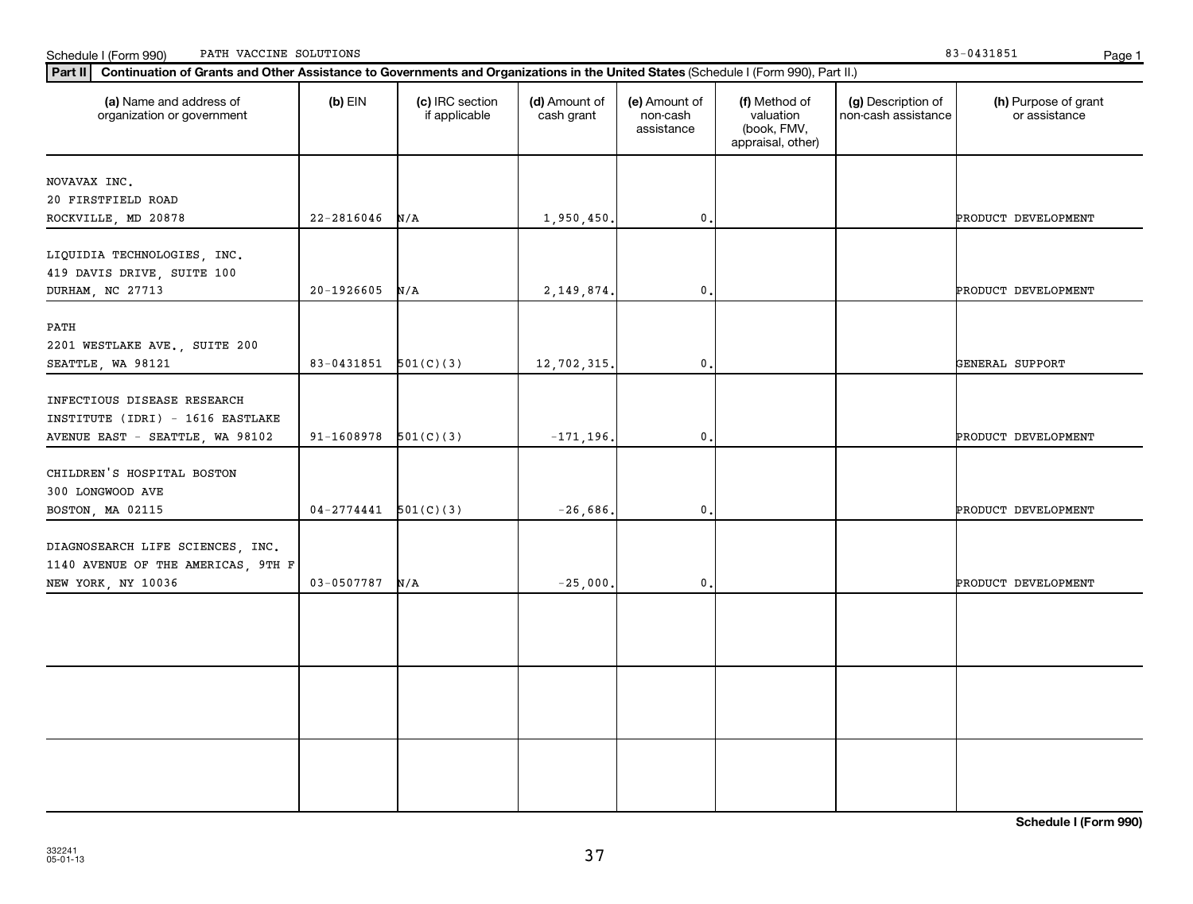Schedule I (Form 990) Page 1 PATH VACCINE SOLUTIONS 83-0431851

| (a) Name and address of<br>organization or government                         | $(b)$ EIN                | (c) IRC section<br>if applicable | (d) Amount of<br>cash grant | (e) Amount of<br>non-cash<br>assistance | (f) Method of<br>valuation<br>(book, FMV,<br>appraisal, other) | (g) Description of<br>non-cash assistance | (h) Purpose of grant<br>or assistance |
|-------------------------------------------------------------------------------|--------------------------|----------------------------------|-----------------------------|-----------------------------------------|----------------------------------------------------------------|-------------------------------------------|---------------------------------------|
| NOVAVAX INC.                                                                  |                          |                                  |                             |                                         |                                                                |                                           |                                       |
| 20 FIRSTFIELD ROAD                                                            |                          |                                  |                             |                                         |                                                                |                                           |                                       |
| ROCKVILLE, MD 20878                                                           | $22 - 2816046$           | N/A                              | 1,950,450.                  | $\mathbf{0}$                            |                                                                |                                           | PRODUCT DEVELOPMENT                   |
| LIQUIDIA TECHNOLOGIES, INC.<br>419 DAVIS DRIVE, SUITE 100<br>DURHAM, NC 27713 | 20-1926605               | N/A                              | 2,149,874.                  | $\mathbf{0}$                            |                                                                |                                           | PRODUCT DEVELOPMENT                   |
|                                                                               |                          |                                  |                             |                                         |                                                                |                                           |                                       |
| PATH<br>2201 WESTLAKE AVE., SUITE 200<br>SEATTLE, WA 98121                    | 83-0431851 $501(C)(3)$   |                                  | 12,702,315.                 | $\mathbf{0}$ .                          |                                                                |                                           | GENERAL SUPPORT                       |
|                                                                               |                          |                                  |                             |                                         |                                                                |                                           |                                       |
| INFECTIOUS DISEASE RESEARCH                                                   |                          |                                  |                             |                                         |                                                                |                                           |                                       |
| INSTITUTE (IDRI) - 1616 EASTLAKE                                              |                          |                                  |                             |                                         |                                                                |                                           |                                       |
| AVENUE EAST - SEATTLE, WA 98102                                               | $91-1608978$ $501(C)(3)$ |                                  | $-171, 196.$                | $\mathbf{0}$                            |                                                                |                                           | PRODUCT DEVELOPMENT                   |
| CHILDREN'S HOSPITAL BOSTON<br>300 LONGWOOD AVE                                |                          |                                  |                             |                                         |                                                                |                                           |                                       |
| BOSTON, MA 02115                                                              | $04 - 2774441$ 501(C)(3) |                                  | $-26,686.$                  | $\mathbf{0}$                            |                                                                |                                           | PRODUCT DEVELOPMENT                   |
| DIAGNOSEARCH LIFE SCIENCES, INC.<br>1140 AVENUE OF THE AMERICAS, 9TH F        |                          |                                  |                             |                                         |                                                                |                                           |                                       |
| NEW YORK, NY 10036                                                            | 03-0507787               | N/A                              | $-25,000.$                  | $\mathbf{0}$                            |                                                                |                                           | PRODUCT DEVELOPMENT                   |
|                                                                               |                          |                                  |                             |                                         |                                                                |                                           |                                       |
|                                                                               |                          |                                  |                             |                                         |                                                                |                                           |                                       |
|                                                                               |                          |                                  |                             |                                         |                                                                |                                           |                                       |
|                                                                               |                          |                                  |                             |                                         |                                                                |                                           |                                       |
|                                                                               |                          |                                  |                             |                                         |                                                                |                                           |                                       |
|                                                                               |                          |                                  |                             |                                         |                                                                |                                           |                                       |
|                                                                               |                          |                                  |                             |                                         |                                                                |                                           |                                       |
|                                                                               |                          |                                  |                             |                                         |                                                                |                                           |                                       |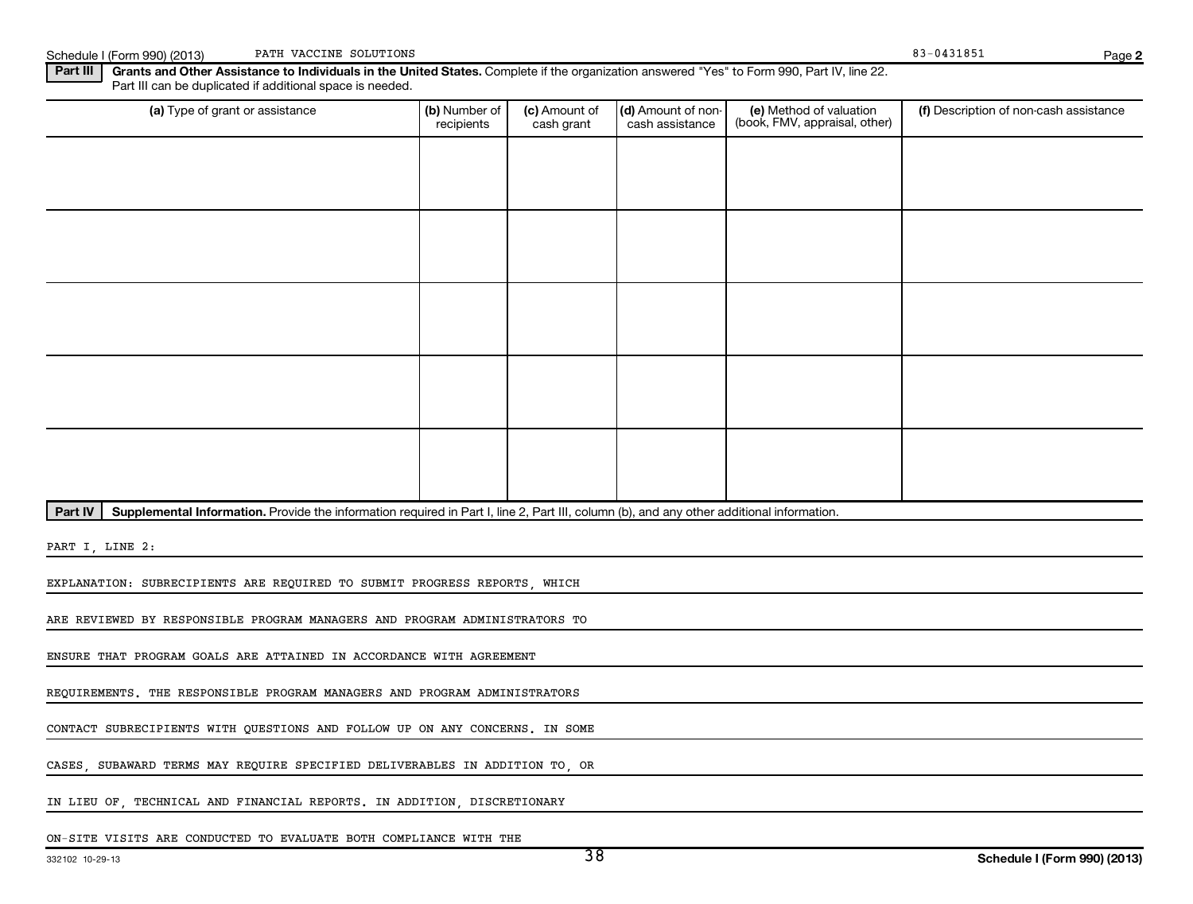Schedule I (Form 990) (2013) PATH VACCINE SOLUTIONS **PATH VACCINE SOLUTIONS** 2004 2014 1997 1998 1998 2014 21:00 PATH VACCINE SOLUTIONS

**2**

Part III | Grants and Other Assistance to Individuals in the United States. Complete if the organization answered "Yes" to Form 990, Part IV, line 22. Part III can be duplicated if additional space is needed.

| (a) Type of grant or assistance | (b) Number of<br>recipients | (c) Amount of<br>cash grant | (d) Amount of non-<br>cash assistance | (e) Method of valuation<br>(book, FMV, appraisal, other) | (f) Description of non-cash assistance |
|---------------------------------|-----------------------------|-----------------------------|---------------------------------------|----------------------------------------------------------|----------------------------------------|
|                                 |                             |                             |                                       |                                                          |                                        |
|                                 |                             |                             |                                       |                                                          |                                        |
|                                 |                             |                             |                                       |                                                          |                                        |
|                                 |                             |                             |                                       |                                                          |                                        |
|                                 |                             |                             |                                       |                                                          |                                        |
|                                 |                             |                             |                                       |                                                          |                                        |
|                                 |                             |                             |                                       |                                                          |                                        |
|                                 |                             |                             |                                       |                                                          |                                        |
|                                 |                             |                             |                                       |                                                          |                                        |
|                                 |                             |                             |                                       |                                                          |                                        |

Part IV | Supplemental Information. Provide the information required in Part I, line 2, Part III, column (b), and any other additional information.

PART I, LINE 2:

EXPLANATION: SUBRECIPIENTS ARE REQUIRED TO SUBMIT PROGRESS REPORTS, WHICH

ARE REVIEWED BY RESPONSIBLE PROGRAM MANAGERS AND PROGRAM ADMINISTRATORS TO

ENSURE THAT PROGRAM GOALS ARE ATTAINED IN ACCORDANCE WITH AGREEMENT

REQUIREMENTS. THE RESPONSIBLE PROGRAM MANAGERS AND PROGRAM ADMINISTRATORS

CONTACT SUBRECIPIENTS WITH QUESTIONS AND FOLLOW UP ON ANY CONCERNS. IN SOME

CASES, SUBAWARD TERMS MAY REQUIRE SPECIFIED DELIVERABLES IN ADDITION TO, OR

IN LIEU OF, TECHNICAL AND FINANCIAL REPORTS. IN ADDITION, DISCRETIONARY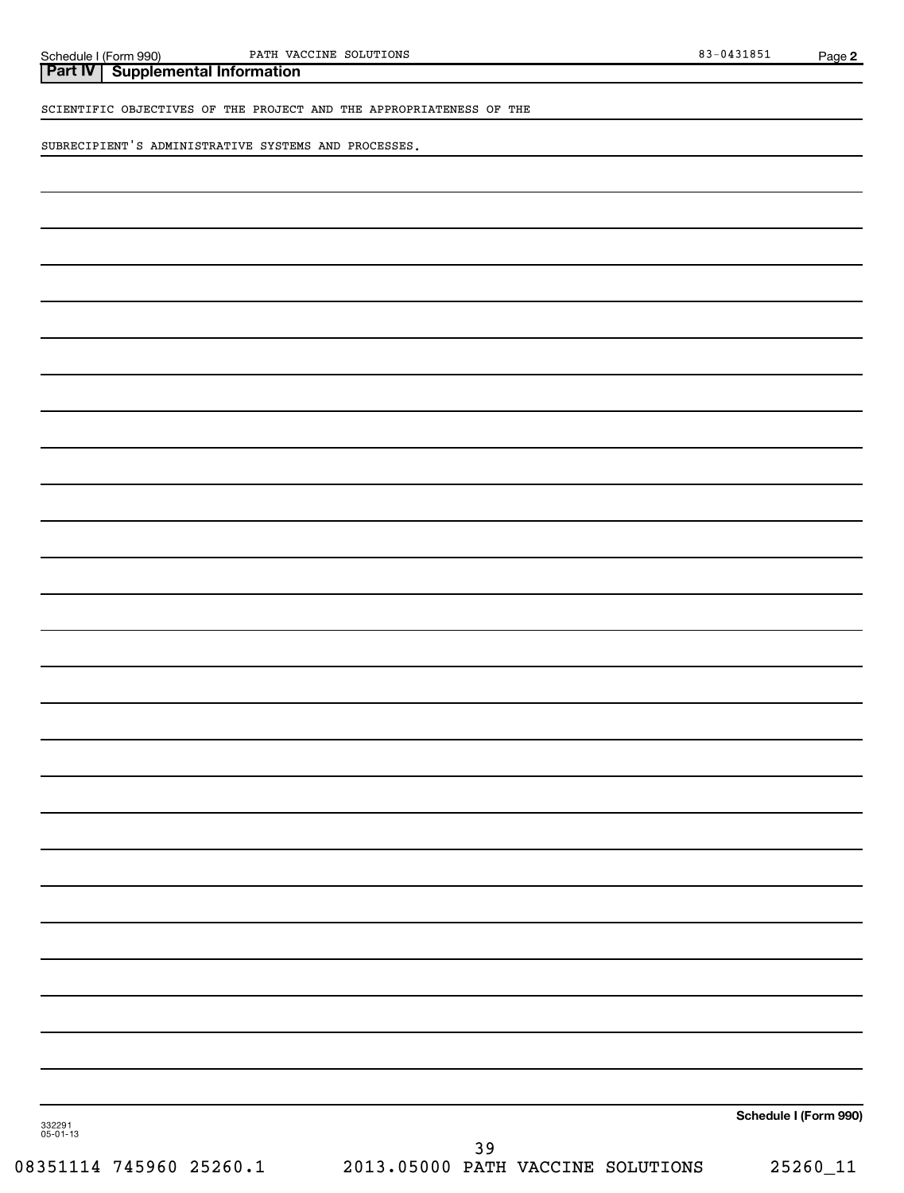**Part IV Supplemental Information**

SCIENTIFIC OBJECTIVES OF THE PROJECT AND THE APPROPRIATENESS OF THE

SUBRECIPIENT'S ADMINISTRATIVE SYSTEMS AND PROCESSES.

**Schedule I (Form 990)**

332291 05-01-13

08351114 745960 25260.1 2013.05000 PATH VACCINE SOLUTIONS 25260\_11 39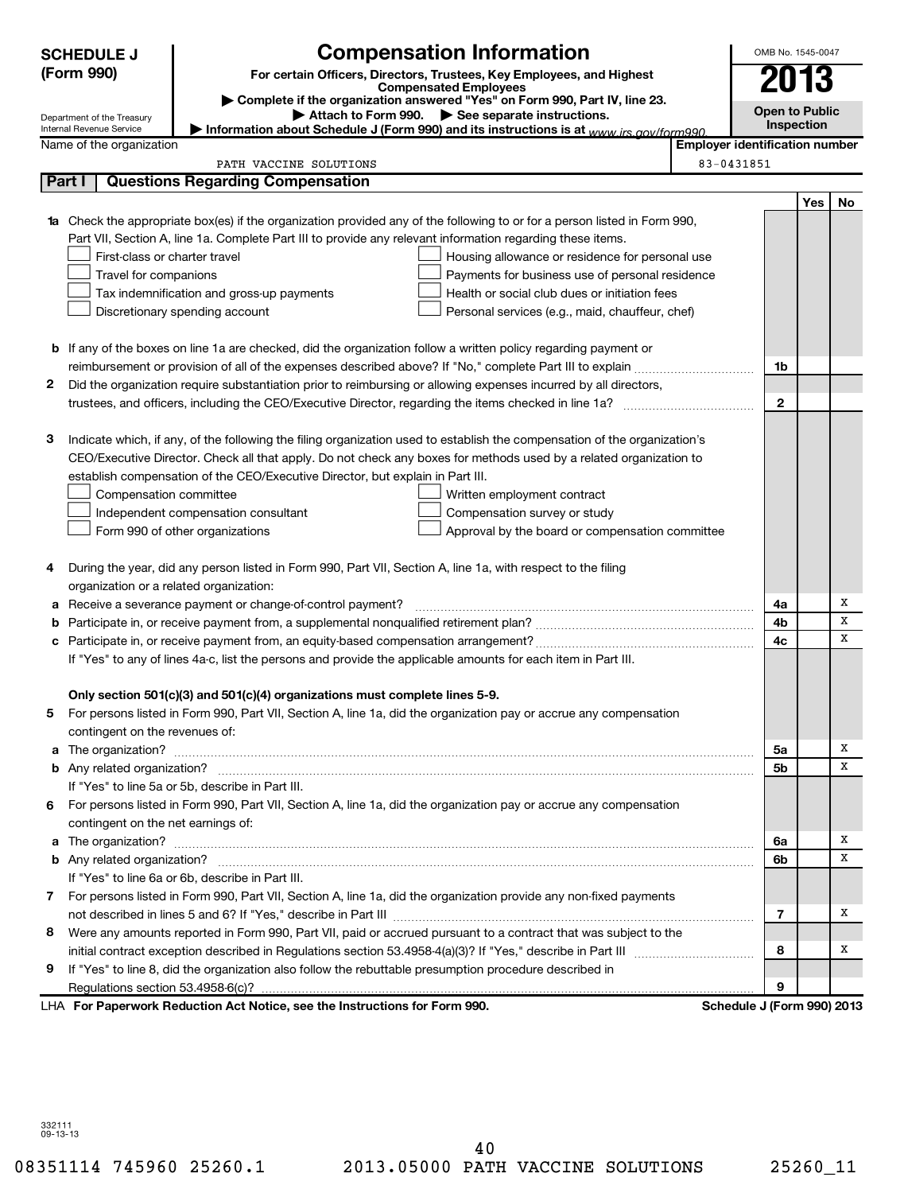| <b>Compensation Information</b><br><b>SCHEDULE J</b> |                                         |                                                                                                                                                                                                                                                |                                       |              |                |    |  |
|------------------------------------------------------|-----------------------------------------|------------------------------------------------------------------------------------------------------------------------------------------------------------------------------------------------------------------------------------------------|---------------------------------------|--------------|----------------|----|--|
|                                                      | (Form 990)                              | For certain Officers, Directors, Trustees, Key Employees, and Highest                                                                                                                                                                          |                                       |              |                |    |  |
|                                                      |                                         | <b>Compensated Employees</b><br>Complete if the organization answered "Yes" on Form 990, Part IV, line 23.                                                                                                                                     |                                       |              |                |    |  |
|                                                      | Department of the Treasury              | Attach to Form 990. See separate instructions.                                                                                                                                                                                                 |                                       |              | Open to Public |    |  |
|                                                      | Internal Revenue Service                | Information about Schedule J (Form 990) and its instructions is at www irs gov/form990                                                                                                                                                         |                                       |              | Inspection     |    |  |
|                                                      | Name of the organization                |                                                                                                                                                                                                                                                | <b>Employer identification number</b> |              |                |    |  |
|                                                      |                                         | PATH VACCINE SOLUTIONS                                                                                                                                                                                                                         | 83-0431851                            |              |                |    |  |
|                                                      | Part I                                  | <b>Questions Regarding Compensation</b>                                                                                                                                                                                                        |                                       |              |                |    |  |
|                                                      |                                         |                                                                                                                                                                                                                                                |                                       |              | Yes            | No |  |
|                                                      |                                         | <b>1a</b> Check the appropriate box(es) if the organization provided any of the following to or for a person listed in Form 990,<br>Part VII, Section A, line 1a. Complete Part III to provide any relevant information regarding these items. |                                       |              |                |    |  |
|                                                      | First-class or charter travel           | Housing allowance or residence for personal use                                                                                                                                                                                                |                                       |              |                |    |  |
|                                                      | Travel for companions                   | Payments for business use of personal residence                                                                                                                                                                                                |                                       |              |                |    |  |
|                                                      |                                         | Health or social club dues or initiation fees<br>Tax indemnification and gross-up payments                                                                                                                                                     |                                       |              |                |    |  |
|                                                      |                                         | Discretionary spending account<br>Personal services (e.g., maid, chauffeur, chef)                                                                                                                                                              |                                       |              |                |    |  |
|                                                      |                                         |                                                                                                                                                                                                                                                |                                       |              |                |    |  |
|                                                      |                                         | <b>b</b> If any of the boxes on line 1a are checked, did the organization follow a written policy regarding payment or                                                                                                                         |                                       |              |                |    |  |
|                                                      |                                         | reimbursement or provision of all of the expenses described above? If "No," complete Part III to explain                                                                                                                                       |                                       | 1b           |                |    |  |
| 2                                                    |                                         | Did the organization require substantiation prior to reimbursing or allowing expenses incurred by all directors,                                                                                                                               |                                       |              |                |    |  |
|                                                      |                                         | trustees, and officers, including the CEO/Executive Director, regarding the items checked in line 1a?                                                                                                                                          |                                       | $\mathbf{2}$ |                |    |  |
|                                                      |                                         |                                                                                                                                                                                                                                                |                                       |              |                |    |  |
| з                                                    |                                         | Indicate which, if any, of the following the filing organization used to establish the compensation of the organization's                                                                                                                      |                                       |              |                |    |  |
|                                                      |                                         | CEO/Executive Director. Check all that apply. Do not check any boxes for methods used by a related organization to                                                                                                                             |                                       |              |                |    |  |
|                                                      |                                         | establish compensation of the CEO/Executive Director, but explain in Part III.                                                                                                                                                                 |                                       |              |                |    |  |
|                                                      | Compensation committee                  | Written employment contract                                                                                                                                                                                                                    |                                       |              |                |    |  |
|                                                      |                                         | Compensation survey or study<br>Independent compensation consultant                                                                                                                                                                            |                                       |              |                |    |  |
|                                                      |                                         | Form 990 of other organizations<br>Approval by the board or compensation committee                                                                                                                                                             |                                       |              |                |    |  |
|                                                      |                                         | During the year, did any person listed in Form 990, Part VII, Section A, line 1a, with respect to the filing                                                                                                                                   |                                       |              |                |    |  |
|                                                      | organization or a related organization: |                                                                                                                                                                                                                                                |                                       |              |                |    |  |
| а                                                    |                                         | Receive a severance payment or change-of-control payment?                                                                                                                                                                                      |                                       | 4a           |                | Х  |  |
| b                                                    |                                         |                                                                                                                                                                                                                                                |                                       | 4b           |                | X  |  |
| c                                                    |                                         |                                                                                                                                                                                                                                                |                                       | 4c           |                | х  |  |
|                                                      |                                         | If "Yes" to any of lines 4a-c, list the persons and provide the applicable amounts for each item in Part III.                                                                                                                                  |                                       |              |                |    |  |
|                                                      |                                         |                                                                                                                                                                                                                                                |                                       |              |                |    |  |
|                                                      |                                         | Only section 501(c)(3) and 501(c)(4) organizations must complete lines 5-9.                                                                                                                                                                    |                                       |              |                |    |  |
| 5                                                    |                                         | For persons listed in Form 990, Part VII, Section A, line 1a, did the organization pay or accrue any compensation                                                                                                                              |                                       |              |                |    |  |
|                                                      | contingent on the revenues of:          |                                                                                                                                                                                                                                                |                                       |              |                |    |  |
| a                                                    |                                         |                                                                                                                                                                                                                                                |                                       | 5a           |                | х  |  |
|                                                      |                                         |                                                                                                                                                                                                                                                |                                       | 5b           |                | х  |  |
|                                                      |                                         | If "Yes" to line 5a or 5b, describe in Part III.                                                                                                                                                                                               |                                       |              |                |    |  |
| 6                                                    |                                         | For persons listed in Form 990, Part VII, Section A, line 1a, did the organization pay or accrue any compensation                                                                                                                              |                                       |              |                |    |  |
|                                                      | contingent on the net earnings of:      |                                                                                                                                                                                                                                                |                                       |              |                | х  |  |
|                                                      |                                         |                                                                                                                                                                                                                                                |                                       | 6a<br>6b     |                | х  |  |
|                                                      |                                         | If "Yes" to line 6a or 6b, describe in Part III.                                                                                                                                                                                               |                                       |              |                |    |  |
| 7                                                    |                                         | For persons listed in Form 990, Part VII, Section A, line 1a, did the organization provide any non-fixed payments                                                                                                                              |                                       |              |                |    |  |
|                                                      |                                         |                                                                                                                                                                                                                                                |                                       | 7            |                | х  |  |
| 8                                                    |                                         | Were any amounts reported in Form 990, Part VII, paid or accrued pursuant to a contract that was subject to the                                                                                                                                |                                       |              |                |    |  |
|                                                      |                                         |                                                                                                                                                                                                                                                |                                       | 8            |                | х  |  |
| 9                                                    |                                         | If "Yes" to line 8, did the organization also follow the rebuttable presumption procedure described in                                                                                                                                         |                                       |              |                |    |  |
|                                                      |                                         |                                                                                                                                                                                                                                                |                                       | 9            |                |    |  |
|                                                      |                                         |                                                                                                                                                                                                                                                |                                       |              |                |    |  |

**For Paperwork Reduction Act Notice, see the Instructions for Form 990. Schedule J (Form 990) 2013** LHA

332111 09-13-13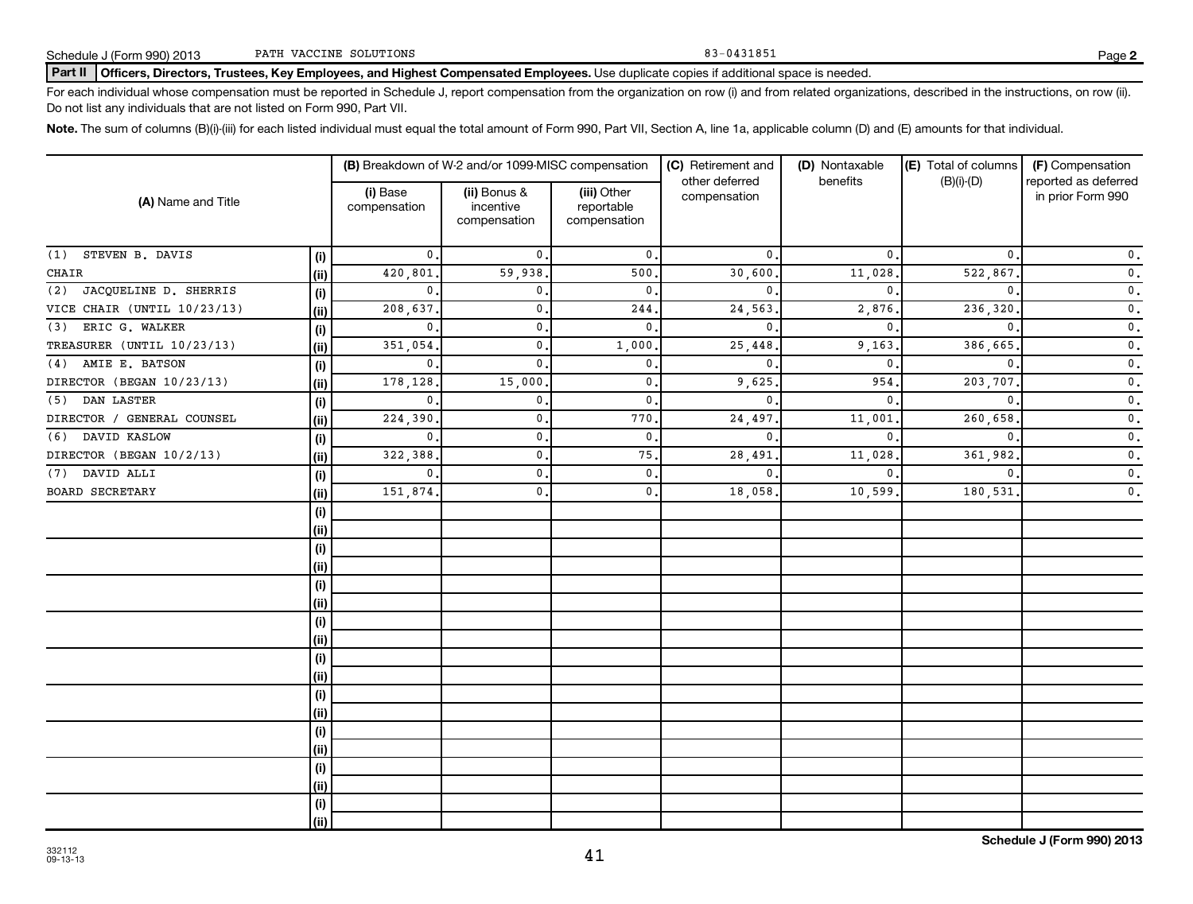#### Part II | Officers, Directors, Trustees, Key Employees, and Highest Compensated Employees. Use duplicate copies if additional space is needed.

For each individual whose compensation must be reported in Schedule J, report compensation from the organization on row (i) and from related organizations, described in the instructions, on row (ii). Do not list any individuals that are not listed on Form 990, Part VII.

Note. The sum of columns (B)(i)-(iii) for each listed individual must equal the total amount of Form 990, Part VII, Section A, line 1a, applicable column (D) and (E) amounts for that individual.

|                             |            |                          | (B) Breakdown of W-2 and/or 1099-MISC compensation |                                           | (C) Retirement and<br>other deferred | (D) Nontaxable<br>benefits | (E) Total of columns<br>$(B)(i)-(D)$ | (F) Compensation<br>reported as deferred |
|-----------------------------|------------|--------------------------|----------------------------------------------------|-------------------------------------------|--------------------------------------|----------------------------|--------------------------------------|------------------------------------------|
| (A) Name and Title          |            | (i) Base<br>compensation | (ii) Bonus &<br>incentive<br>compensation          | (iii) Other<br>reportable<br>compensation | compensation                         |                            |                                      | in prior Form 990                        |
| STEVEN B. DAVIS<br>(1)      | (i)        | $\mathbf{0}$ .           | $\mathfrak{o}$ .                                   | 0.                                        | $\mathbf{0}$ .                       | $\mathbf{0}$ .             | $\mathbf 0$ .                        | $\mathfrak o$ .                          |
| CHAIR                       | (ii)       | 420,801                  | 59,938                                             | 500.                                      | 30,600                               | 11,028                     | 522,867                              | $\mathfrak o$ .                          |
| (2) JACQUELINE D. SHERRIS   | (i)        | 0.                       | 0.                                                 | 0.                                        | 0.                                   | $\mathbf{0}$ .             | $\mathbf 0$ .                        | $\mathfrak o$ .                          |
| VICE CHAIR (UNTIL 10/23/13) | (ii)       | 208,637                  | $\mathbf{0}$ .                                     | 244.                                      | 24,563                               | 2,876.                     | 236,320                              | $\mathfrak o$ .                          |
| ERIC G. WALKER<br>(3)       | (i)        | $\mathbf{0}$ .           | 0.                                                 | 0.                                        | $\mathbf{0}$                         | $\mathbf{0}$               | $\mathbf{0}$                         | $\mathfrak o$ .                          |
| TREASURER (UNTIL 10/23/13)  | (ii)       | 351,054                  | 0.                                                 | 1,000,                                    | 25,448                               | 9,163                      | 386,665                              | $\mathfrak o$ .                          |
| (4) AMIE E. BATSON          | (i)        | 0.                       | $\mathbf 0$ .                                      | 0.                                        | $\mathbf{0}$                         | $\mathbf{0}$ .             | $\mathbf 0$ .                        | $\mathfrak o$ .                          |
| DIRECTOR (BEGAN 10/23/13)   | (ii)       | 178,128                  | 15,000                                             | 0.                                        | 9,625                                | 954.                       | 203,707                              | $\mathfrak o$ .                          |
| (5) DAN LASTER              | (i)        | $\mathbf{0}$ .           | $\mathbf{0}$ .                                     | 0.                                        | $\mathbf{0}$                         | $\mathbf{0}$ .             | $\mathbf{0}$                         | $\mathfrak o$ .                          |
| DIRECTOR / GENERAL COUNSEL  | (ii)       | 224,390                  | $\mathbf{0}$                                       | 770.                                      | 24,497                               | 11,001                     | 260,658                              | $\mathfrak o$ .                          |
| (6) DAVID KASLOW            | (i)        | $\mathbf{0}$             | $\mathbf{0}$                                       | $\mathbf{0}$ .                            | $\mathbf{0}$                         | $\mathbf{0}$               | 0                                    | $\mathfrak o$ .                          |
| DIRECTOR (BEGAN 10/2/13)    | (ii)       | 322,388                  | $\mathbf{0}$                                       | 75.                                       | 28,491                               | 11,028.                    | 361,982                              | $\mathfrak o$ .                          |
| $(7)$ DAVID ALLI            | (i)        | $\mathbf{0}$             | $\mathbf{0}$                                       | 0.                                        | $\mathbf{0}$                         | $\Omega$                   |                                      | $\mathfrak o$ .                          |
| <b>BOARD SECRETARY</b>      | (ii)       | 151,874                  | $\mathbf{0}$ .                                     | 0.                                        | 18,058                               | 10,599.                    | 180,531                              | $\mathfrak o$ .                          |
|                             | $(\sf{i})$ |                          |                                                    |                                           |                                      |                            |                                      |                                          |
|                             | (ii)       |                          |                                                    |                                           |                                      |                            |                                      |                                          |
|                             | (i)        |                          |                                                    |                                           |                                      |                            |                                      |                                          |
|                             | (ii)       |                          |                                                    |                                           |                                      |                            |                                      |                                          |
|                             | (i)        |                          |                                                    |                                           |                                      |                            |                                      |                                          |
|                             | (ii)       |                          |                                                    |                                           |                                      |                            |                                      |                                          |
|                             | (i)        |                          |                                                    |                                           |                                      |                            |                                      |                                          |
|                             | (ii)       |                          |                                                    |                                           |                                      |                            |                                      |                                          |
|                             | $(\sf{i})$ |                          |                                                    |                                           |                                      |                            |                                      |                                          |
|                             | (ii)       |                          |                                                    |                                           |                                      |                            |                                      |                                          |
|                             | (i)        |                          |                                                    |                                           |                                      |                            |                                      |                                          |
|                             | (ii)       |                          |                                                    |                                           |                                      |                            |                                      |                                          |
|                             | (i)        |                          |                                                    |                                           |                                      |                            |                                      |                                          |
|                             | (ii)       |                          |                                                    |                                           |                                      |                            |                                      |                                          |
|                             | (i)        |                          |                                                    |                                           |                                      |                            |                                      |                                          |
|                             | (ii)       |                          |                                                    |                                           |                                      |                            |                                      |                                          |
|                             | (i)        |                          |                                                    |                                           |                                      |                            |                                      |                                          |
|                             | (ii)       |                          |                                                    |                                           |                                      |                            |                                      |                                          |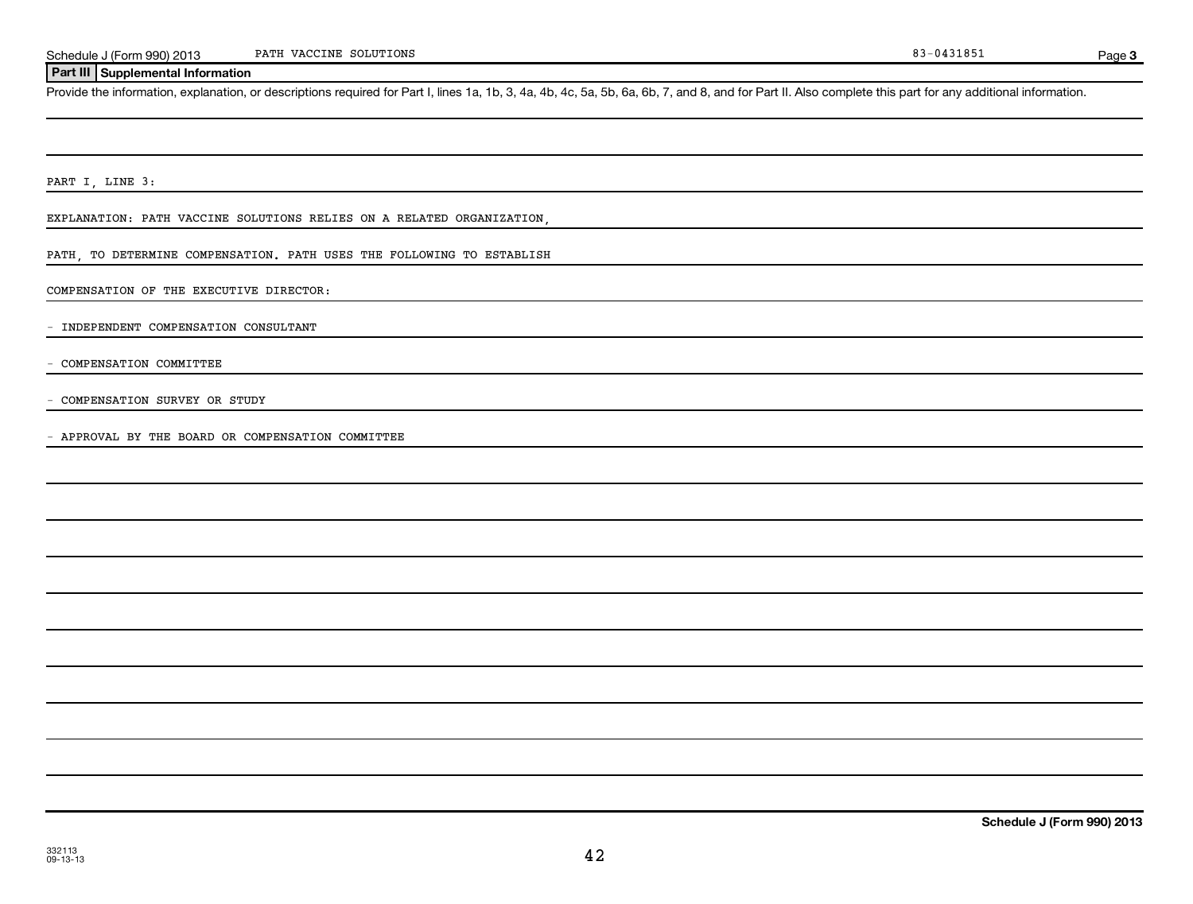Page 3

#### **Part III Supplemental Information**

Provide the information, explanation, or descriptions required for Part I, lines 1a, 1b, 3, 4a, 4b, 4c, 5a, 5b, 6a, 6b, 7, and 8, and for Part II. Also complete this part for any additional information.

PART I, LINE 3:

EXPLANATION: PATH VACCINE SOLUTIONS RELIES ON A RELATED ORGANIZATION,

PATH, TO DETERMINE COMPENSATION. PATH USES THE FOLLOWING TO ESTABLISH

COMPENSATION OF THE EXECUTIVE DIRECTOR:

- INDEPENDENT COMPENSATION CONSULTANT

- COMPENSATION COMMITTEE

- COMPENSATION SURVEY OR STUDY

- APPROVAL BY THE BOARD OR COMPENSATION COMMITTEE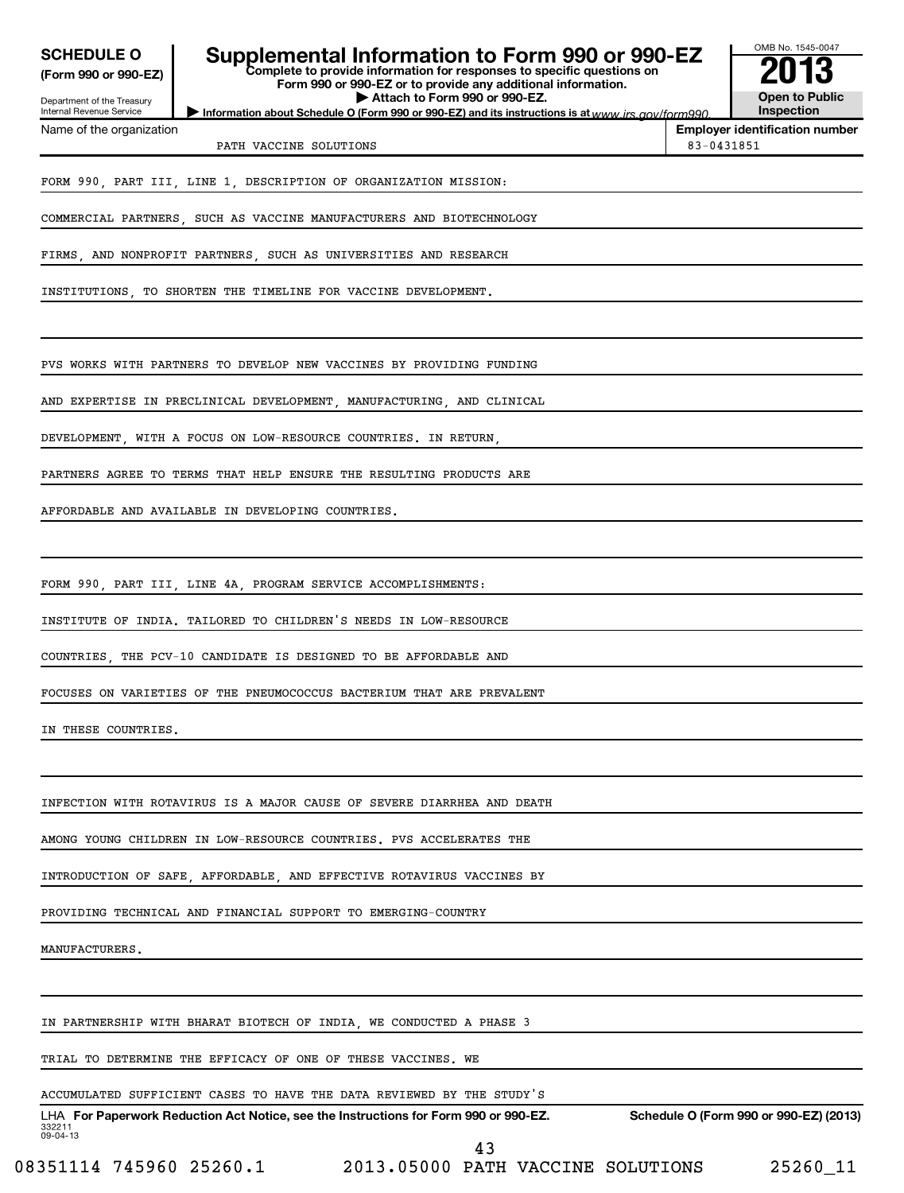| <b>SCHEDULE O</b>                                      | Supplemental Information to Form 990 or 990-EZ<br>Complete to provide information for responses to specific questions on           |            | OMB No. 1545-0047                      |
|--------------------------------------------------------|------------------------------------------------------------------------------------------------------------------------------------|------------|----------------------------------------|
| (Form 990 or 990-EZ)                                   | Form 990 or 990-EZ or to provide any additional information.                                                                       |            |                                        |
| Department of the Treasury<br>Internal Revenue Service | Attach to Form 990 or 990-EZ.<br>Information about Schedule O (Form 990 or 990-EZ) and its instructions is at www.jrs.cov/form990. |            | <b>Open to Public</b><br>Inspection    |
| Name of the organization                               | PATH VACCINE SOLUTIONS                                                                                                             | 83-0431851 | <b>Employer identification number</b>  |
|                                                        | FORM 990, PART III, LINE 1, DESCRIPTION OF ORGANIZATION MISSION:                                                                   |            |                                        |
|                                                        | COMMERCIAL PARTNERS, SUCH AS VACCINE MANUFACTURERS AND BIOTECHNOLOGY                                                               |            |                                        |
|                                                        | FIRMS, AND NONPROFIT PARTNERS, SUCH AS UNIVERSITIES AND RESEARCH                                                                   |            |                                        |
|                                                        | INSTITUTIONS, TO SHORTEN THE TIMELINE FOR VACCINE DEVELOPMENT.                                                                     |            |                                        |
|                                                        | PVS WORKS WITH PARTNERS TO DEVELOP NEW VACCINES BY PROVIDING FUNDING                                                               |            |                                        |
|                                                        | AND EXPERTISE IN PRECLINICAL DEVELOPMENT, MANUFACTURING, AND CLINICAL                                                              |            |                                        |
|                                                        | DEVELOPMENT, WITH A FOCUS ON LOW-RESOURCE COUNTRIES. IN RETURN,                                                                    |            |                                        |
|                                                        | PARTNERS AGREE TO TERMS THAT HELP ENSURE THE RESULTING PRODUCTS ARE                                                                |            |                                        |
|                                                        | AFFORDABLE AND AVAILABLE IN DEVELOPING COUNTRIES.                                                                                  |            |                                        |
|                                                        |                                                                                                                                    |            |                                        |
|                                                        | FORM 990, PART III, LINE 4A, PROGRAM SERVICE ACCOMPLISHMENTS:                                                                      |            |                                        |
|                                                        | INSTITUTE OF INDIA. TAILORED TO CHILDREN'S NEEDS IN LOW-RESOURCE                                                                   |            |                                        |
|                                                        | COUNTRIES THE PCV-10 CANDIDATE IS DESIGNED TO BE AFFORDABLE AND                                                                    |            |                                        |
|                                                        | FOCUSES ON VARIETIES OF THE PNEUMOCOCCUS BACTERIUM THAT ARE PREVALENT                                                              |            |                                        |
| IN THESE COUNTRIES.                                    |                                                                                                                                    |            |                                        |
|                                                        |                                                                                                                                    |            |                                        |
|                                                        | INFECTION WITH ROTAVIRUS IS A MAJOR CAUSE OF SEVERE DIARRHEA AND DEATH                                                             |            |                                        |
|                                                        | AMONG YOUNG CHILDREN IN LOW-RESOURCE COUNTRIES. PVS ACCELERATES THE                                                                |            |                                        |
|                                                        | INTRODUCTION OF SAFE, AFFORDABLE, AND EFFECTIVE ROTAVIRUS VACCINES BY                                                              |            |                                        |
|                                                        | PROVIDING TECHNICAL AND FINANCIAL SUPPORT TO EMERGING-COUNTRY                                                                      |            |                                        |
| MANUFACTURERS.                                         |                                                                                                                                    |            |                                        |
|                                                        |                                                                                                                                    |            |                                        |
|                                                        | IN PARTNERSHIP WITH BHARAT BIOTECH OF INDIA, WE CONDUCTED A PHASE 3                                                                |            |                                        |
|                                                        | TRIAL TO DETERMINE THE EFFICACY OF ONE OF THESE VACCINES. WE                                                                       |            |                                        |
|                                                        | ACCUMULATED SUFFICIENT CASES TO HAVE THE DATA REVIEWED BY THE STUDY'S                                                              |            |                                        |
| 332211<br>$09 - 04 - 13$                               | LHA For Paperwork Reduction Act Notice, see the Instructions for Form 990 or 990-EZ.                                               |            | Schedule O (Form 990 or 990-EZ) (2013) |
|                                                        | 43                                                                                                                                 |            |                                        |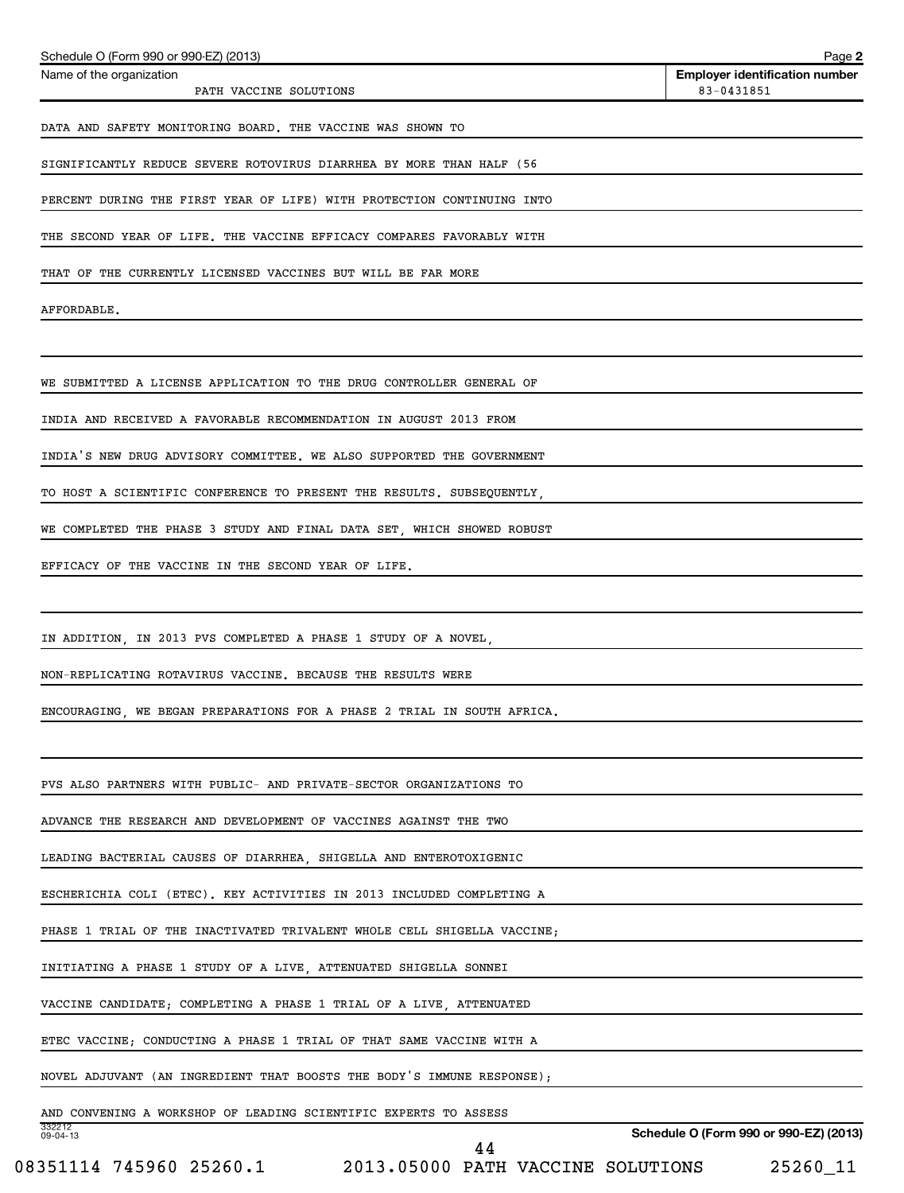| Schedule O (Form 990 or 990-EZ) (2013)                                  | Page 2                                              |
|-------------------------------------------------------------------------|-----------------------------------------------------|
| Name of the organization<br>PATH VACCINE SOLUTIONS                      | <b>Employer identification number</b><br>83-0431851 |
| DATA AND SAFETY MONITORING BOARD. THE VACCINE WAS SHOWN TO              |                                                     |
| SIGNIFICANTLY REDUCE SEVERE ROTOVIRUS DIARRHEA BY MORE THAN HALF (56    |                                                     |
| PERCENT DURING THE FIRST YEAR OF LIFE) WITH PROTECTION CONTINUING INTO  |                                                     |
| THE SECOND YEAR OF LIFE. THE VACCINE EFFICACY COMPARES FAVORABLY WITH   |                                                     |
| THAT OF THE CURRENTLY LICENSED VACCINES BUT WILL BE FAR MORE            |                                                     |
| AFFORDABLE.                                                             |                                                     |
|                                                                         |                                                     |
| WE SUBMITTED A LICENSE APPLICATION TO THE DRUG CONTROLLER GENERAL OF    |                                                     |
| INDIA AND RECEIVED A FAVORABLE RECOMMENDATION IN AUGUST 2013 FROM       |                                                     |
| INDIA'S NEW DRUG ADVISORY COMMITTEE. WE ALSO SUPPORTED THE GOVERNMENT   |                                                     |
| TO HOST A SCIENTIFIC CONFERENCE TO PRESENT THE RESULTS. SUBSEQUENTLY,   |                                                     |
| WE COMPLETED THE PHASE 3 STUDY AND FINAL DATA SET, WHICH SHOWED ROBUST  |                                                     |
| EFFICACY OF THE VACCINE IN THE SECOND YEAR OF LIFE.                     |                                                     |
|                                                                         |                                                     |
| IN ADDITION, IN 2013 PVS COMPLETED A PHASE 1 STUDY OF A NOVEL,          |                                                     |
| NON-REPLICATING ROTAVIRUS VACCINE. BECAUSE THE RESULTS WERE             |                                                     |
| ENCOURAGING, WE BEGAN PREPARATIONS FOR A PHASE 2 TRIAL IN SOUTH AFRICA. |                                                     |
|                                                                         |                                                     |
| PVS ALSO PARTNERS WITH PUBLIC- AND PRIVATE-SECTOR ORGANIZATIONS TO      |                                                     |
| ADVANCE THE RESEARCH AND DEVELOPMENT OF VACCINES AGAINST THE TWO        |                                                     |
| LEADING BACTERIAL CAUSES OF DIARRHEA, SHIGELLA AND ENTEROTOXIGENIC      |                                                     |
| ESCHERICHIA COLI (ETEC). KEY ACTIVITIES IN 2013 INCLUDED COMPLETING A   |                                                     |
| PHASE 1 TRIAL OF THE INACTIVATED TRIVALENT WHOLE CELL SHIGELLA VACCINE; |                                                     |
| INITIATING A PHASE 1 STUDY OF A LIVE, ATTENUATED SHIGELLA SONNEI        |                                                     |
| VACCINE CANDIDATE; COMPLETING A PHASE 1 TRIAL OF A LIVE, ATTENUATED     |                                                     |
| ETEC VACCINE; CONDUCTING A PHASE 1 TRIAL OF THAT SAME VACCINE WITH A    |                                                     |
| NOVEL ADJUVANT (AN INGREDIENT THAT BOOSTS THE BODY'S IMMUNE RESPONSE);  |                                                     |
| AND CONVENING A WORKSHOP OF LEADING SCIENTIFIC EXPERTS TO ASSESS        |                                                     |
| 332212<br>09-04-13<br>44                                                | Schedule O (Form 990 or 990-EZ) (2013)              |
| 08351114 745960 25260.1 2013.05000 PATH VACCINE SOLUTIONS               | 25260_11                                            |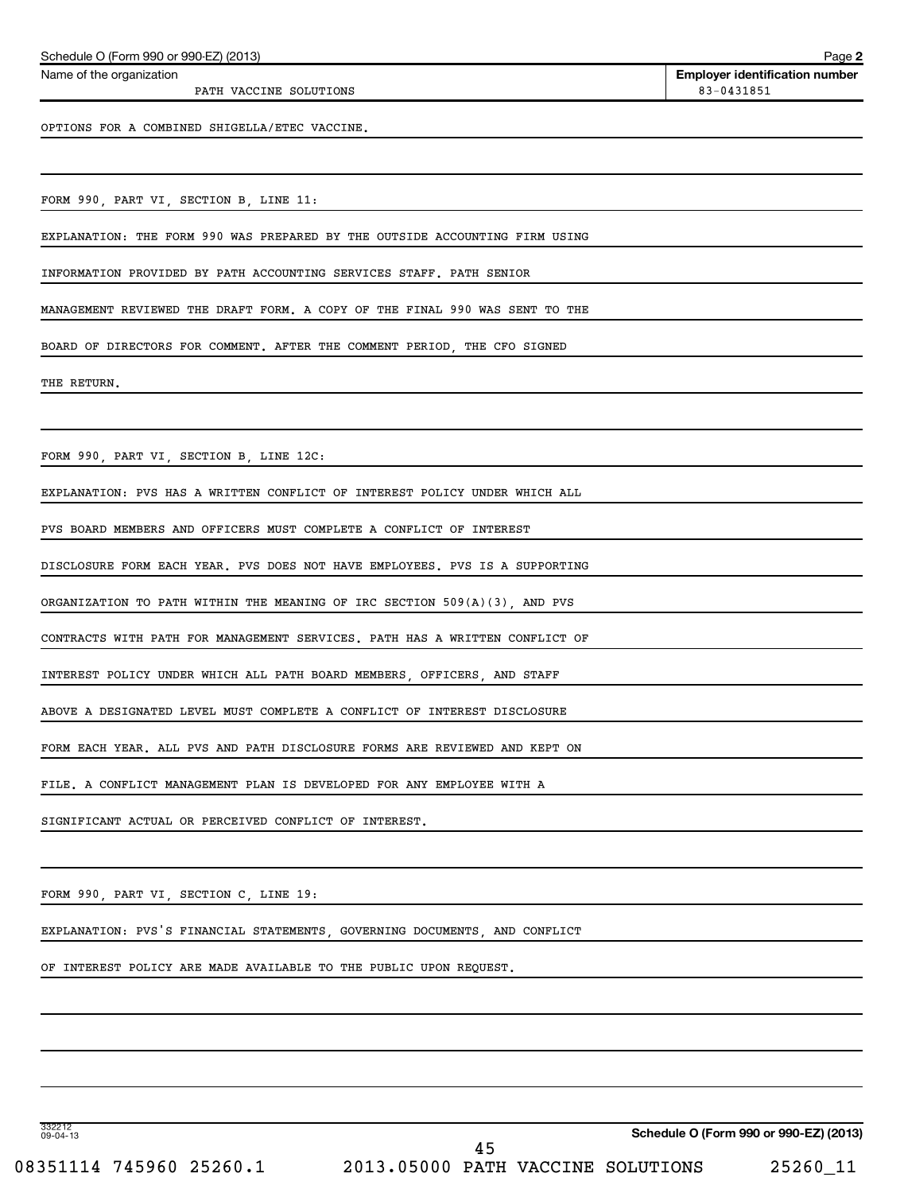| Schedule O (Form 990 or 990-EZ) (2013)                                      | Page 2                                              |
|-----------------------------------------------------------------------------|-----------------------------------------------------|
| Name of the organization<br>PATH VACCINE SOLUTIONS                          | <b>Employer identification number</b><br>83-0431851 |
| OPTIONS FOR A COMBINED SHIGELLA/ETEC VACCINE.                               |                                                     |
|                                                                             |                                                     |
| FORM 990, PART VI, SECTION B, LINE 11:                                      |                                                     |
| EXPLANATION: THE FORM 990 WAS PREPARED BY THE OUTSIDE ACCOUNTING FIRM USING |                                                     |
| INFORMATION PROVIDED BY PATH ACCOUNTING SERVICES STAFF. PATH SENIOR         |                                                     |
| MANAGEMENT REVIEWED THE DRAFT FORM. A COPY OF THE FINAL 990 WAS SENT TO THE |                                                     |
| BOARD OF DIRECTORS FOR COMMENT. AFTER THE COMMENT PERIOD, THE CFO SIGNED    |                                                     |
| THE RETURN.                                                                 |                                                     |
|                                                                             |                                                     |
| FORM 990, PART VI, SECTION B, LINE 12C:                                     |                                                     |
| EXPLANATION: PVS HAS A WRITTEN CONFLICT OF INTEREST POLICY UNDER WHICH ALL  |                                                     |
| PVS BOARD MEMBERS AND OFFICERS MUST COMPLETE A CONFLICT OF INTEREST         |                                                     |
| DISCLOSURE FORM EACH YEAR. PVS DOES NOT HAVE EMPLOYEES. PVS IS A SUPPORTING |                                                     |
| ORGANIZATION TO PATH WITHIN THE MEANING OF IRC SECTION 509(A)(3), AND PVS   |                                                     |
| CONTRACTS WITH PATH FOR MANAGEMENT SERVICES. PATH HAS A WRITTEN CONFLICT OF |                                                     |
| INTEREST POLICY UNDER WHICH ALL PATH BOARD MEMBERS, OFFICERS, AND STAFF     |                                                     |
| ABOVE A DESIGNATED LEVEL MUST COMPLETE A CONFLICT OF INTEREST DISCLOSURE    |                                                     |
| FORM EACH YEAR. ALL PVS AND PATH DISCLOSURE FORMS ARE REVIEWED AND KEPT ON  |                                                     |
| FILE. A CONFLICT MANAGEMENT PLAN IS DEVELOPED FOR ANY EMPLOYEE WITH A       |                                                     |
| SIGNIFICANT ACTUAL OR PERCEIVED CONFLICT OF INTEREST.                       |                                                     |
|                                                                             |                                                     |
| FORM 990, PART VI, SECTION C, LINE 19:                                      |                                                     |
| EXPLANATION: PVS'S FINANCIAL STATEMENTS, GOVERNING DOCUMENTS, AND CONFLICT  |                                                     |
| OF INTEREST POLICY ARE MADE AVAILABLE TO THE PUBLIC UPON REQUEST.           |                                                     |
|                                                                             |                                                     |
|                                                                             |                                                     |
|                                                                             |                                                     |
|                                                                             |                                                     |
| 332212<br>09-04-13                                                          | Schedule O (Form 990 or 990-EZ) (2013)              |

08351114 745960 25260.1 2013.05000 PATH VACCINE SOLUTIONS 25260\_11 45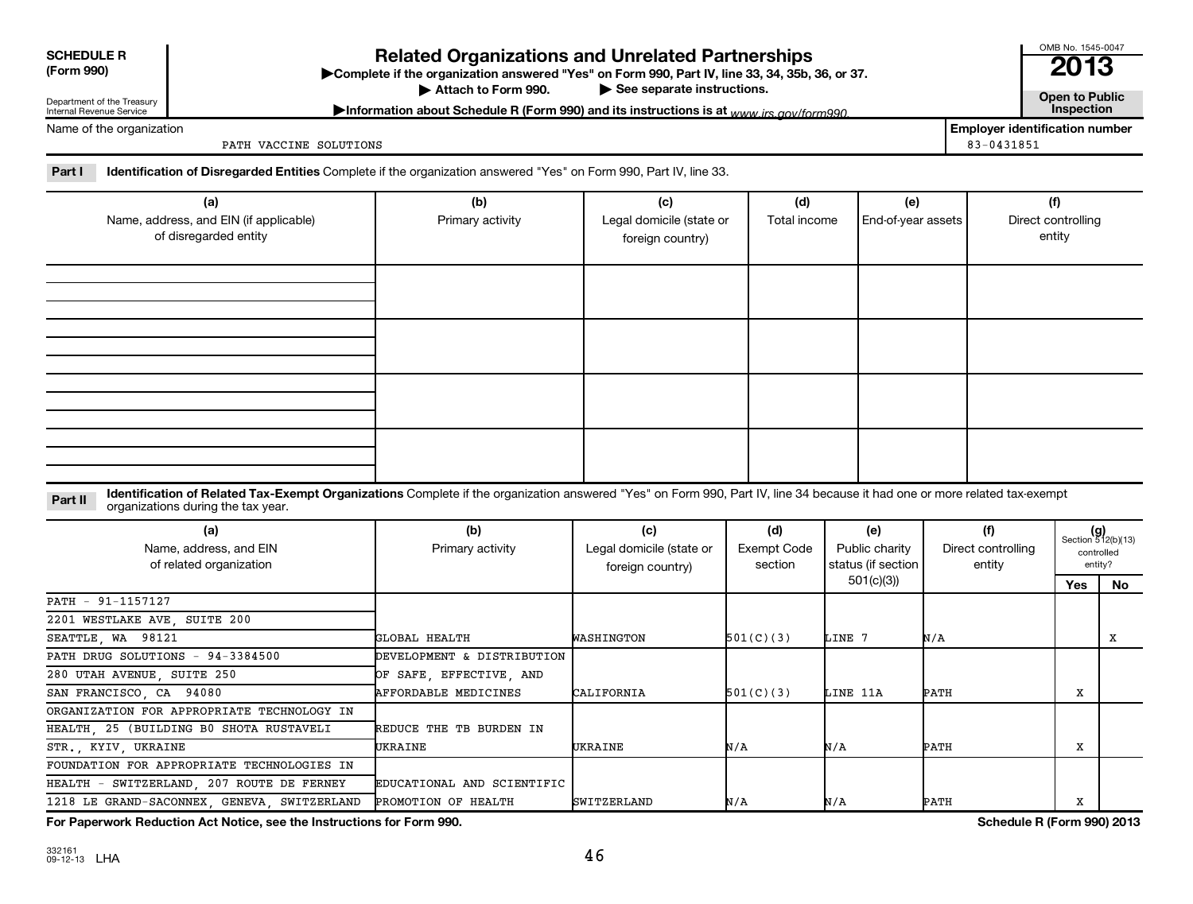| <b>SCHEDULE R</b>    |
|----------------------|
| $T_{\rm{arm}}$ $000$ |

**(Form 990) Complete if the organizations and Unrelated Partnerships**<br> **Related Organization answered "Yes" on Form 990, Part IV, line 33, 34, 35b, 36, or 37.**<br>
■ 2013 Attach to Form 990.

Department of the Treasury Internal Revenue Service

Name of the organization

▶ See separate instructions.<br> **Attachm is a separate instructions** is at *www.irs.gov/form990* **example instructions** is at *www.irs.gov/form990* Information about Schedule R (Form 990) and its instructions is at <sub>www</sub> irs.gov/form990.

**Employer identification number**

OMB No. 1545-0047

PATH VACCINE SOLUTIONS 83-0431851

Part I lentification of Disregarded Entities Complete if the organization answered "Yes" on Form 990, Part IV, line 33.

| (a)<br>Name, address, and EIN (if applicable)<br>of disregarded entity | (b)<br>Primary activity | (c)<br>Legal domicile (state or<br>foreign country) | (d)<br>Total income | (e)<br>End-of-year assets | (f)<br>Direct controlling<br>entity |  |  |  |  |  |  |
|------------------------------------------------------------------------|-------------------------|-----------------------------------------------------|---------------------|---------------------------|-------------------------------------|--|--|--|--|--|--|
|                                                                        |                         |                                                     |                     |                           |                                     |  |  |  |  |  |  |
|                                                                        |                         |                                                     |                     |                           |                                     |  |  |  |  |  |  |
|                                                                        |                         |                                                     |                     |                           |                                     |  |  |  |  |  |  |
|                                                                        |                         |                                                     |                     |                           |                                     |  |  |  |  |  |  |

Part II ldentification of Related Tax-Exempt Organizations Complete if the organization answered "Yes" on Form 990, Part IV, line 34 because it had one or more related tax-exempt<br>Complete it is a seminary way were presente organizations during the tax year.

| (a)<br>Name, address, and EIN<br>of related organization | (b)<br>Primary activity    | (c)<br>Legal domicile (state or<br>foreign country) | (d)<br>Exempt Code<br>section | (e)<br>Public charity<br>status (if section | (f)<br>Direct controlling<br>entity | $(g)$<br>Section 512(b)(13) | controlled<br>entity? |
|----------------------------------------------------------|----------------------------|-----------------------------------------------------|-------------------------------|---------------------------------------------|-------------------------------------|-----------------------------|-----------------------|
|                                                          |                            |                                                     |                               | 501(c)(3))                                  |                                     | Yes                         | No.                   |
| PATH - 91-1157127                                        |                            |                                                     |                               |                                             |                                     |                             |                       |
| 2201 WESTLAKE AVE, SUITE 200                             |                            |                                                     |                               |                                             |                                     |                             |                       |
| SEATTLE, WA 98121                                        | GLOBAL HEALTH              | WASHINGTON                                          | 501(C)(3)                     | LINE 7                                      | N/A                                 |                             | х                     |
| PATH DRUG SOLUTIONS - 94-3384500                         | DEVELOPMENT & DISTRIBUTION |                                                     |                               |                                             |                                     |                             |                       |
| 280 UTAH AVENUE, SUITE 250                               | OF SAFE, EFFECTIVE, AND    |                                                     |                               |                                             |                                     |                             |                       |
| SAN FRANCISCO, CA 94080                                  | AFFORDABLE MEDICINES       | CALIFORNIA                                          | 501(C)(3)                     | LINE 11A                                    | РАТН                                | х                           |                       |
| ORGANIZATION FOR APPROPRIATE TECHNOLOGY IN               |                            |                                                     |                               |                                             |                                     |                             |                       |
| HEALTH, 25 (BUILDING B0 SHOTA RUSTAVELI                  | REDUCE THE TB BURDEN IN    |                                                     |                               |                                             |                                     |                             |                       |
| STR., KYIV, UKRAINE                                      | UKRAINE                    | UKRAINE                                             | N/A                           | N/A                                         | РАТН                                | x                           |                       |
| FOUNDATION FOR APPROPRIATE TECHNOLOGIES IN               |                            |                                                     |                               |                                             |                                     |                             |                       |
| HEALTH - SWITZERLAND, 207 ROUTE DE FERNEY                | EDUCATIONAL AND SCIENTIFIC |                                                     |                               |                                             |                                     |                             |                       |
| 1218 LE GRAND-SACONNEX, GENEVA, SWITZERLAND              | PROMOTION OF HEALTH        | <b>SWITZERLAND</b>                                  | N/A                           | N/A                                         | PATH                                | x                           |                       |

**For Paperwork Reduction Act Notice, see the Instructions for Form 990. Schedule R (Form 990) 2013**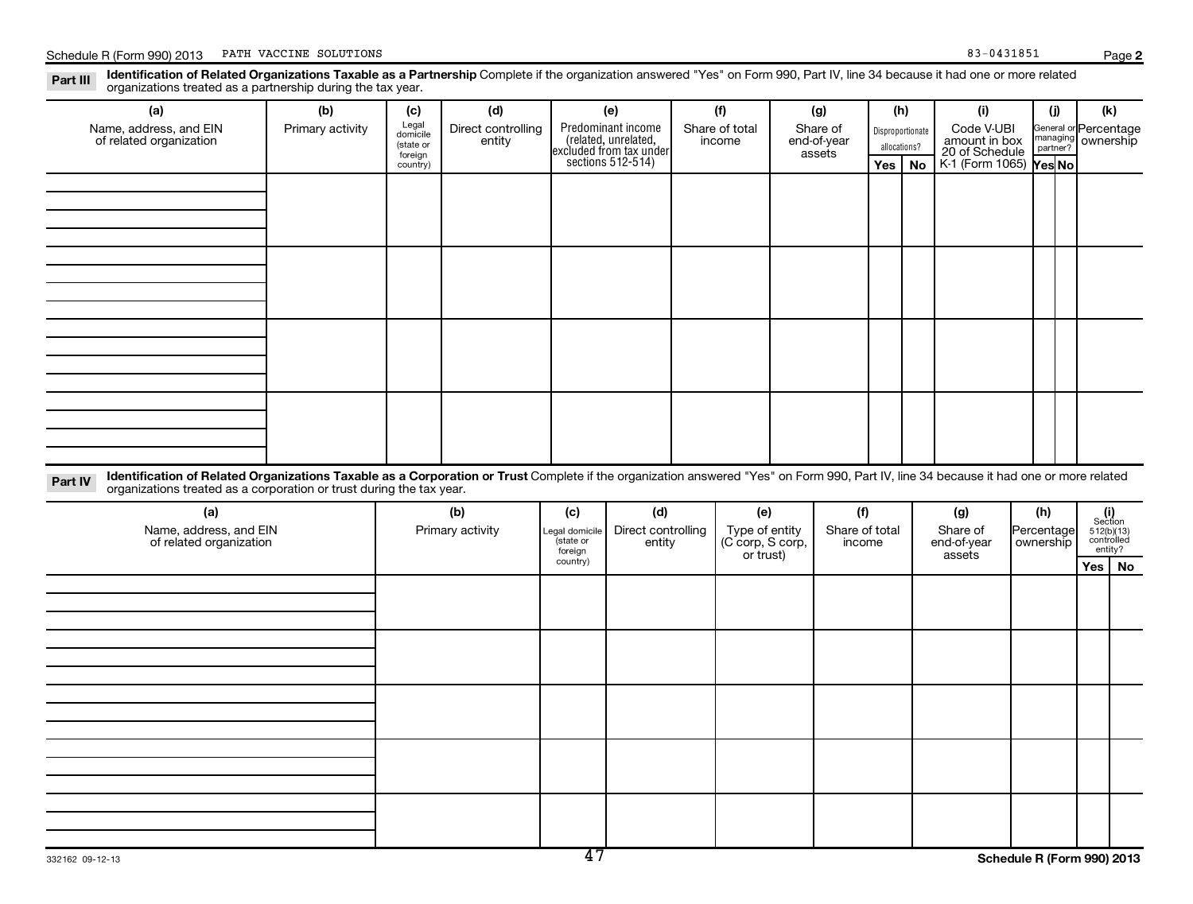**2**

Part III Identification of Related Organizations Taxable as a Partnership Complete if the organization answered "Yes" on Form 990, Part IV, line 34 because it had one or more related<br>Read to consistions tracted as a partne organizations treated as a partnership during the tax year.

| (a)                                                                                                                                                                                               | (b)              | (c)                                       | (d)                          |                            | (e)                                                                   |  | (f)                                  | (g) |                          |     |             | (h)                     |                         | (i)    |                                                                                                               | (i) | (k)                              |                                                                  |  |                      |  |                                    |  |
|---------------------------------------------------------------------------------------------------------------------------------------------------------------------------------------------------|------------------|-------------------------------------------|------------------------------|----------------------------|-----------------------------------------------------------------------|--|--------------------------------------|-----|--------------------------|-----|-------------|-------------------------|-------------------------|--------|---------------------------------------------------------------------------------------------------------------|-----|----------------------------------|------------------------------------------------------------------|--|----------------------|--|------------------------------------|--|
| Name, address, and EIN<br>of related organization                                                                                                                                                 | Primary activity | Legal<br>domicile<br>(state or<br>foreign | Direct controlling<br>entity |                            | Predominant income<br>(related, unrelated,<br>excluded from tax under |  | Share of total<br>Share of<br>income |     |                          |     | end-of-year |                         | assets                  |        |                                                                                                               |     | Disproportionate<br>allocations? | Code V-UBI<br>amount in box<br>20 of Schedule<br>K-1 (Form 1065) |  | nanaging<br>partner? |  | General or Percentage<br>ownership |  |
|                                                                                                                                                                                                   |                  | country)                                  |                              |                            | sections $512-514$ )                                                  |  |                                      |     |                          | Yes | <b>No</b>   |                         |                         | Yes No |                                                                                                               |     |                                  |                                                                  |  |                      |  |                                    |  |
|                                                                                                                                                                                                   |                  |                                           |                              |                            |                                                                       |  |                                      |     |                          |     |             |                         |                         |        |                                                                                                               |     |                                  |                                                                  |  |                      |  |                                    |  |
|                                                                                                                                                                                                   |                  |                                           |                              |                            |                                                                       |  |                                      |     |                          |     |             |                         |                         |        |                                                                                                               |     |                                  |                                                                  |  |                      |  |                                    |  |
|                                                                                                                                                                                                   |                  |                                           |                              |                            |                                                                       |  |                                      |     |                          |     |             |                         |                         |        |                                                                                                               |     |                                  |                                                                  |  |                      |  |                                    |  |
|                                                                                                                                                                                                   |                  |                                           |                              |                            |                                                                       |  |                                      |     |                          |     |             |                         |                         |        |                                                                                                               |     |                                  |                                                                  |  |                      |  |                                    |  |
|                                                                                                                                                                                                   |                  |                                           |                              |                            |                                                                       |  |                                      |     |                          |     |             |                         |                         |        |                                                                                                               |     |                                  |                                                                  |  |                      |  |                                    |  |
|                                                                                                                                                                                                   |                  |                                           |                              |                            |                                                                       |  |                                      |     |                          |     |             |                         |                         |        |                                                                                                               |     |                                  |                                                                  |  |                      |  |                                    |  |
|                                                                                                                                                                                                   |                  |                                           |                              |                            |                                                                       |  |                                      |     |                          |     |             |                         |                         |        |                                                                                                               |     |                                  |                                                                  |  |                      |  |                                    |  |
|                                                                                                                                                                                                   |                  |                                           |                              |                            |                                                                       |  |                                      |     |                          |     |             |                         |                         |        |                                                                                                               |     |                                  |                                                                  |  |                      |  |                                    |  |
|                                                                                                                                                                                                   |                  |                                           |                              |                            |                                                                       |  |                                      |     |                          |     |             |                         |                         |        |                                                                                                               |     |                                  |                                                                  |  |                      |  |                                    |  |
|                                                                                                                                                                                                   |                  |                                           |                              |                            |                                                                       |  |                                      |     |                          |     |             |                         |                         |        |                                                                                                               |     |                                  |                                                                  |  |                      |  |                                    |  |
|                                                                                                                                                                                                   |                  |                                           |                              |                            |                                                                       |  |                                      |     |                          |     |             |                         |                         |        |                                                                                                               |     |                                  |                                                                  |  |                      |  |                                    |  |
|                                                                                                                                                                                                   |                  |                                           |                              |                            |                                                                       |  |                                      |     |                          |     |             |                         |                         |        |                                                                                                               |     |                                  |                                                                  |  |                      |  |                                    |  |
|                                                                                                                                                                                                   |                  |                                           |                              |                            |                                                                       |  |                                      |     |                          |     |             |                         |                         |        |                                                                                                               |     |                                  |                                                                  |  |                      |  |                                    |  |
| Identification of Related Organizations Taxable as a Corporation or Trust Complete if the organization answered "Yes" on Form 990, Part IV, line 34 because it had one or more related<br>Part IV |                  |                                           |                              |                            |                                                                       |  |                                      |     |                          |     |             |                         |                         |        |                                                                                                               |     |                                  |                                                                  |  |                      |  |                                    |  |
| organizations treated as a corporation or trust during the tax year.                                                                                                                              |                  |                                           |                              |                            |                                                                       |  |                                      |     |                          |     |             |                         |                         |        |                                                                                                               |     |                                  |                                                                  |  |                      |  |                                    |  |
| (a)                                                                                                                                                                                               |                  |                                           | (b)                          | (c)                        | (d)                                                                   |  | (e)                                  |     | (f)                      |     |             | (g)                     | (h)                     |        |                                                                                                               |     |                                  |                                                                  |  |                      |  |                                    |  |
| Name, address, and EIN<br>of related organization                                                                                                                                                 |                  |                                           | Primary activity             | Legal domicile<br>state or | Direct controlling<br>entity                                          |  | Type of entity<br>(C corp, S corp,   |     | Share of total<br>income |     |             | Share of<br>end-of-year | Percentage<br>ownership |        | $\begin{array}{c} \textbf{(i)}\\ \text{Section}\\ 512 \text{(b)} \text{(13)}\\ \text{controlled} \end{array}$ |     |                                  |                                                                  |  |                      |  |                                    |  |
|                                                                                                                                                                                                   |                  |                                           |                              | foreign<br>country)        |                                                                       |  | or trust)                            |     |                          |     |             | assets                  |                         |        | entity?<br>Yes                                                                                                | No  |                                  |                                                                  |  |                      |  |                                    |  |
|                                                                                                                                                                                                   |                  |                                           |                              |                            |                                                                       |  |                                      |     |                          |     |             |                         |                         |        |                                                                                                               |     |                                  |                                                                  |  |                      |  |                                    |  |
|                                                                                                                                                                                                   |                  |                                           |                              |                            |                                                                       |  |                                      |     |                          |     |             |                         |                         |        |                                                                                                               |     |                                  |                                                                  |  |                      |  |                                    |  |
|                                                                                                                                                                                                   |                  |                                           |                              |                            |                                                                       |  |                                      |     |                          |     |             |                         |                         |        |                                                                                                               |     |                                  |                                                                  |  |                      |  |                                    |  |
|                                                                                                                                                                                                   |                  |                                           |                              |                            |                                                                       |  |                                      |     |                          |     |             |                         |                         |        |                                                                                                               |     |                                  |                                                                  |  |                      |  |                                    |  |
|                                                                                                                                                                                                   |                  |                                           |                              |                            |                                                                       |  |                                      |     |                          |     |             |                         |                         |        |                                                                                                               |     |                                  |                                                                  |  |                      |  |                                    |  |
|                                                                                                                                                                                                   |                  |                                           |                              |                            |                                                                       |  |                                      |     |                          |     |             |                         |                         |        |                                                                                                               |     |                                  |                                                                  |  |                      |  |                                    |  |
|                                                                                                                                                                                                   |                  |                                           |                              |                            |                                                                       |  |                                      |     |                          |     |             |                         |                         |        |                                                                                                               |     |                                  |                                                                  |  |                      |  |                                    |  |
|                                                                                                                                                                                                   |                  |                                           |                              |                            |                                                                       |  |                                      |     |                          |     |             |                         |                         |        |                                                                                                               |     |                                  |                                                                  |  |                      |  |                                    |  |
|                                                                                                                                                                                                   |                  |                                           |                              |                            |                                                                       |  |                                      |     |                          |     |             |                         |                         |        |                                                                                                               |     |                                  |                                                                  |  |                      |  |                                    |  |
|                                                                                                                                                                                                   |                  |                                           |                              |                            |                                                                       |  |                                      |     |                          |     |             |                         |                         |        |                                                                                                               |     |                                  |                                                                  |  |                      |  |                                    |  |
|                                                                                                                                                                                                   |                  |                                           |                              |                            |                                                                       |  |                                      |     |                          |     |             |                         |                         |        |                                                                                                               |     |                                  |                                                                  |  |                      |  |                                    |  |
|                                                                                                                                                                                                   |                  |                                           |                              |                            |                                                                       |  |                                      |     |                          |     |             |                         |                         |        |                                                                                                               |     |                                  |                                                                  |  |                      |  |                                    |  |
|                                                                                                                                                                                                   |                  |                                           |                              |                            |                                                                       |  |                                      |     |                          |     |             |                         |                         |        |                                                                                                               |     |                                  |                                                                  |  |                      |  |                                    |  |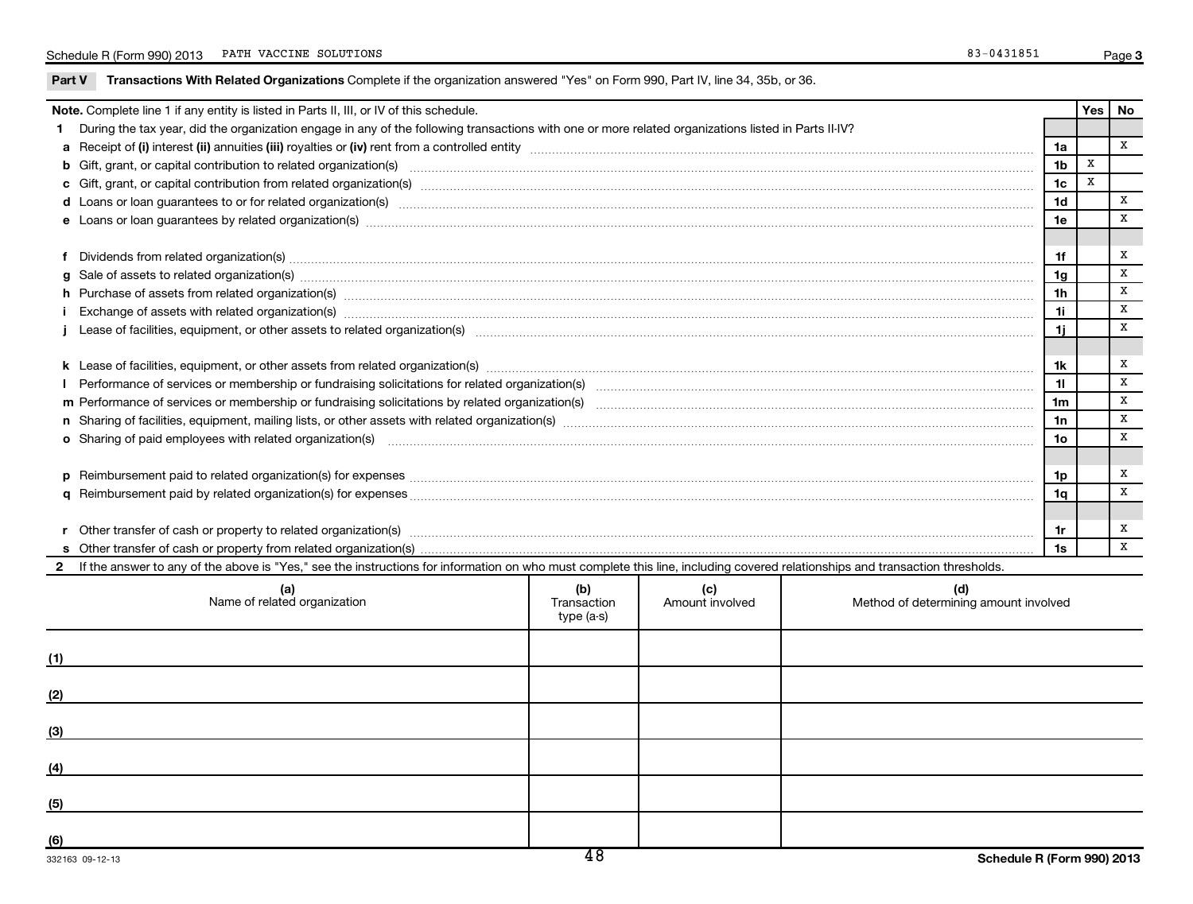|            | Note. Complete line 1 if any entity is listed in Parts II, III, or IV of this schedule.                                                                                                                                        |                           |                 |                                       |                | Yes <sub>l</sub> | No           |  |  |  |
|------------|--------------------------------------------------------------------------------------------------------------------------------------------------------------------------------------------------------------------------------|---------------------------|-----------------|---------------------------------------|----------------|------------------|--------------|--|--|--|
|            | 1 During the tax year, did the organization engage in any of the following transactions with one or more related organizations listed in Parts II-IV?                                                                          |                           |                 |                                       |                |                  |              |  |  |  |
|            |                                                                                                                                                                                                                                |                           |                 |                                       | 1a             |                  | X            |  |  |  |
|            | b Gift, grant, or capital contribution to related organization(s) manufaction contracts and contribution to related organization(s) manufaction contribution to related organization(s)                                        |                           |                 |                                       | 1 <sub>b</sub> | $\mathbf x$      |              |  |  |  |
|            |                                                                                                                                                                                                                                |                           |                 |                                       | 1 <sub>c</sub> | $\mathbf x$      |              |  |  |  |
|            |                                                                                                                                                                                                                                |                           |                 |                                       |                |                  |              |  |  |  |
|            | e Loans or loan guarantees by related organization(s) www.assession.com/www.assession.com/www.assession.com/www.assession.com/www.assession.com/www.assession.com/www.assession.com/www.assession.com/www.assession.com/www.as |                           |                 |                                       | 1e             |                  | x            |  |  |  |
|            |                                                                                                                                                                                                                                |                           |                 |                                       |                |                  |              |  |  |  |
|            |                                                                                                                                                                                                                                |                           |                 |                                       | 1f             |                  | х            |  |  |  |
|            |                                                                                                                                                                                                                                |                           |                 |                                       |                |                  |              |  |  |  |
|            | h Purchase of assets from related organization(s) manufactured content to content the content of the content of the content of the content of the content of the content of the content of the content of the content of the c |                           |                 |                                       | 1h             |                  | X            |  |  |  |
|            | i Exchange of assets with related organization(s) machinamic manufacture contract the contract of assets with related organization(s)                                                                                          |                           |                 |                                       | 1i.            |                  | X            |  |  |  |
|            |                                                                                                                                                                                                                                |                           |                 |                                       | 1i.            |                  | X            |  |  |  |
|            |                                                                                                                                                                                                                                |                           |                 |                                       |                |                  |              |  |  |  |
|            |                                                                                                                                                                                                                                |                           |                 |                                       | 1k             |                  | х            |  |  |  |
|            |                                                                                                                                                                                                                                |                           |                 |                                       | 11             |                  | X            |  |  |  |
|            |                                                                                                                                                                                                                                |                           |                 |                                       | 1 <sub>m</sub> |                  | x            |  |  |  |
|            |                                                                                                                                                                                                                                |                           |                 |                                       | 1n             |                  | X            |  |  |  |
|            |                                                                                                                                                                                                                                |                           |                 |                                       |                |                  |              |  |  |  |
|            |                                                                                                                                                                                                                                |                           |                 |                                       |                |                  |              |  |  |  |
|            |                                                                                                                                                                                                                                |                           |                 |                                       | 1p             |                  | х            |  |  |  |
|            |                                                                                                                                                                                                                                |                           |                 |                                       | 1q             |                  | X            |  |  |  |
|            |                                                                                                                                                                                                                                |                           |                 |                                       |                |                  |              |  |  |  |
|            |                                                                                                                                                                                                                                |                           |                 |                                       | 1r             |                  | х            |  |  |  |
|            |                                                                                                                                                                                                                                |                           |                 |                                       | 1s             |                  | $\mathbf{x}$ |  |  |  |
|            | 2 If the answer to any of the above is "Yes," see the instructions for information on who must complete this line, including covered relationships and transaction thresholds.                                                 |                           |                 |                                       |                |                  |              |  |  |  |
|            |                                                                                                                                                                                                                                | (b)                       | (c)             | (d)                                   |                |                  |              |  |  |  |
|            | (a)<br>Name of related organization                                                                                                                                                                                            | Transaction<br>type (a-s) | Amount involved | Method of determining amount involved |                |                  |              |  |  |  |
|            |                                                                                                                                                                                                                                |                           |                 |                                       |                |                  |              |  |  |  |
| (1)        |                                                                                                                                                                                                                                |                           |                 |                                       |                |                  |              |  |  |  |
|            |                                                                                                                                                                                                                                |                           |                 |                                       |                |                  |              |  |  |  |
| <u>(2)</u> |                                                                                                                                                                                                                                |                           |                 |                                       |                |                  |              |  |  |  |
| (3)        |                                                                                                                                                                                                                                |                           |                 |                                       |                |                  |              |  |  |  |
|            |                                                                                                                                                                                                                                |                           |                 |                                       |                |                  |              |  |  |  |
| (4)        |                                                                                                                                                                                                                                |                           |                 |                                       |                |                  |              |  |  |  |
| (5)        |                                                                                                                                                                                                                                |                           |                 |                                       |                |                  |              |  |  |  |
|            |                                                                                                                                                                                                                                |                           |                 |                                       |                |                  |              |  |  |  |
| (6)        |                                                                                                                                                                                                                                |                           |                 |                                       |                |                  |              |  |  |  |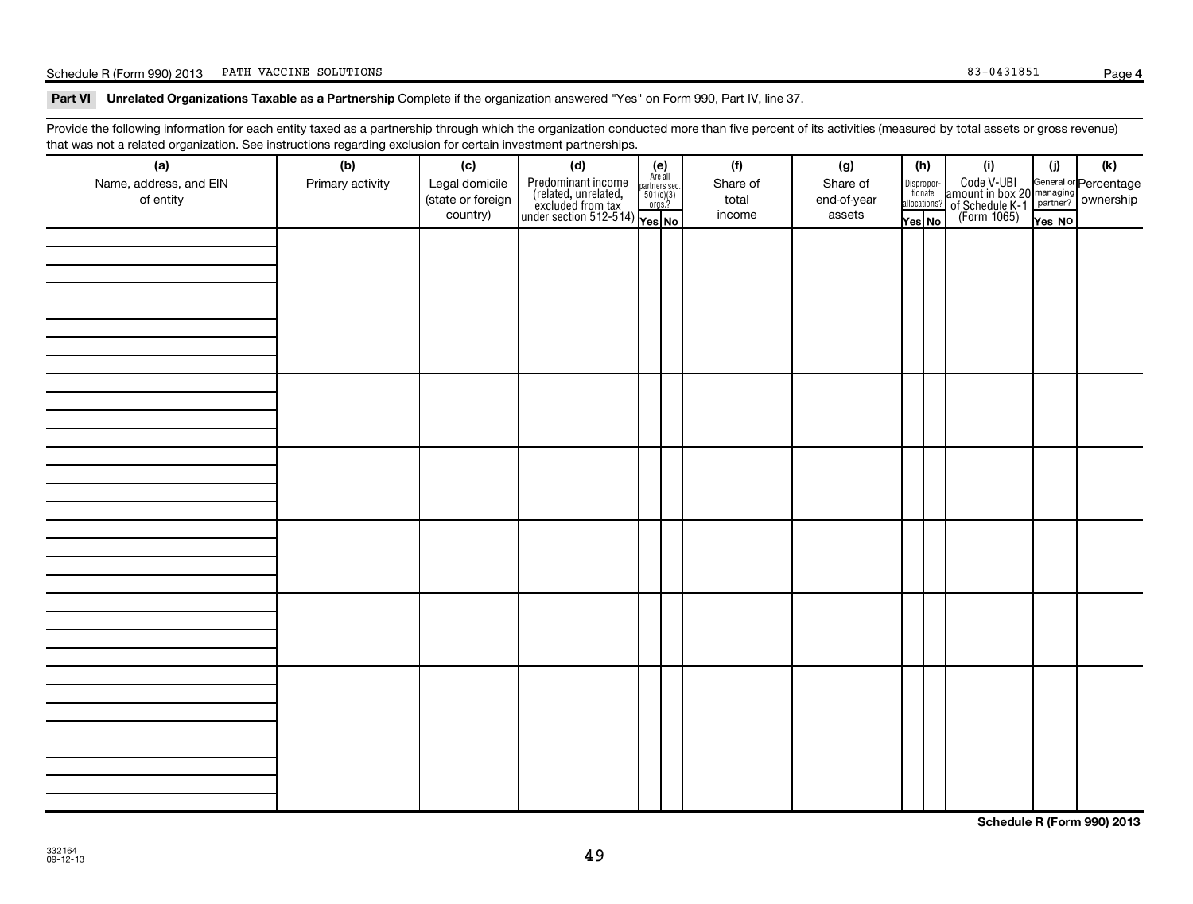#### Schedule R (Form 990) 2013 PATH VACCINE SOLUTIONS Page (Separate Solutions of the Same Solutions of the Solutions of the Solutions of the Solutions of the Solutions of the Solutions of the Solution of the Solution of the S

**4**

#### Part VI Unrelated Organizations Taxable as a Partnership Complete if the organization answered "Yes" on Form 990, Part IV, line 37.

Provide the following information for each entity taxed as a partnership through which the organization conducted more than five percent of its activities (measured by total assets or gross revenue) that was not a related organization. See instructions regarding exclusion for certain investment partnerships.

| (a)<br>Name, address, and EIN<br>of entity | ັ<br>ັ<br>(b)<br>Primary activity | (c)<br>Legal domicile<br>(state or foreign<br>country) | . .<br>(d)<br>$\begin{array}{ l l } \hline \text{Predfominant income} & \text{Area all} \\ \hline \text{(related, unrelated,} & \text{501(c)(3)}\\ \text{excluded from tax} & \text{501(c)(3)}\\ \text{under section 512-514)} & \text{Yes. No} \\\hline \end{array}$ | $(e)$<br>Are all | (f)<br>Share of<br>total<br>income | (g)<br>Share of<br>end-of-year<br>assets | (h)<br>Dispropor-<br>tionate | allocations?<br>Yes No | (i)<br>Code V-UBI<br>amount in box 20<br>of Schedule K-1<br>(Form 1065)<br>$\frac{1}{\sqrt{1+\frac{1}{2}}}\sqrt{\frac{1}{2}}$<br>(Form 1065)<br>These No | (i)<br>Yes NO | (k) |
|--------------------------------------------|-----------------------------------|--------------------------------------------------------|-----------------------------------------------------------------------------------------------------------------------------------------------------------------------------------------------------------------------------------------------------------------------|------------------|------------------------------------|------------------------------------------|------------------------------|------------------------|----------------------------------------------------------------------------------------------------------------------------------------------------------|---------------|-----|
|                                            |                                   |                                                        |                                                                                                                                                                                                                                                                       |                  |                                    |                                          |                              |                        |                                                                                                                                                          |               |     |
|                                            |                                   |                                                        |                                                                                                                                                                                                                                                                       |                  |                                    |                                          |                              |                        |                                                                                                                                                          |               |     |
|                                            |                                   |                                                        |                                                                                                                                                                                                                                                                       |                  |                                    |                                          |                              |                        |                                                                                                                                                          |               |     |
|                                            |                                   |                                                        |                                                                                                                                                                                                                                                                       |                  |                                    |                                          |                              |                        |                                                                                                                                                          |               |     |
|                                            |                                   |                                                        |                                                                                                                                                                                                                                                                       |                  |                                    |                                          |                              |                        |                                                                                                                                                          |               |     |
|                                            |                                   |                                                        |                                                                                                                                                                                                                                                                       |                  |                                    |                                          |                              |                        |                                                                                                                                                          |               |     |
|                                            |                                   |                                                        |                                                                                                                                                                                                                                                                       |                  |                                    |                                          |                              |                        |                                                                                                                                                          |               |     |
|                                            |                                   |                                                        |                                                                                                                                                                                                                                                                       |                  |                                    |                                          |                              |                        |                                                                                                                                                          |               |     |
|                                            |                                   |                                                        |                                                                                                                                                                                                                                                                       |                  |                                    |                                          |                              |                        |                                                                                                                                                          |               |     |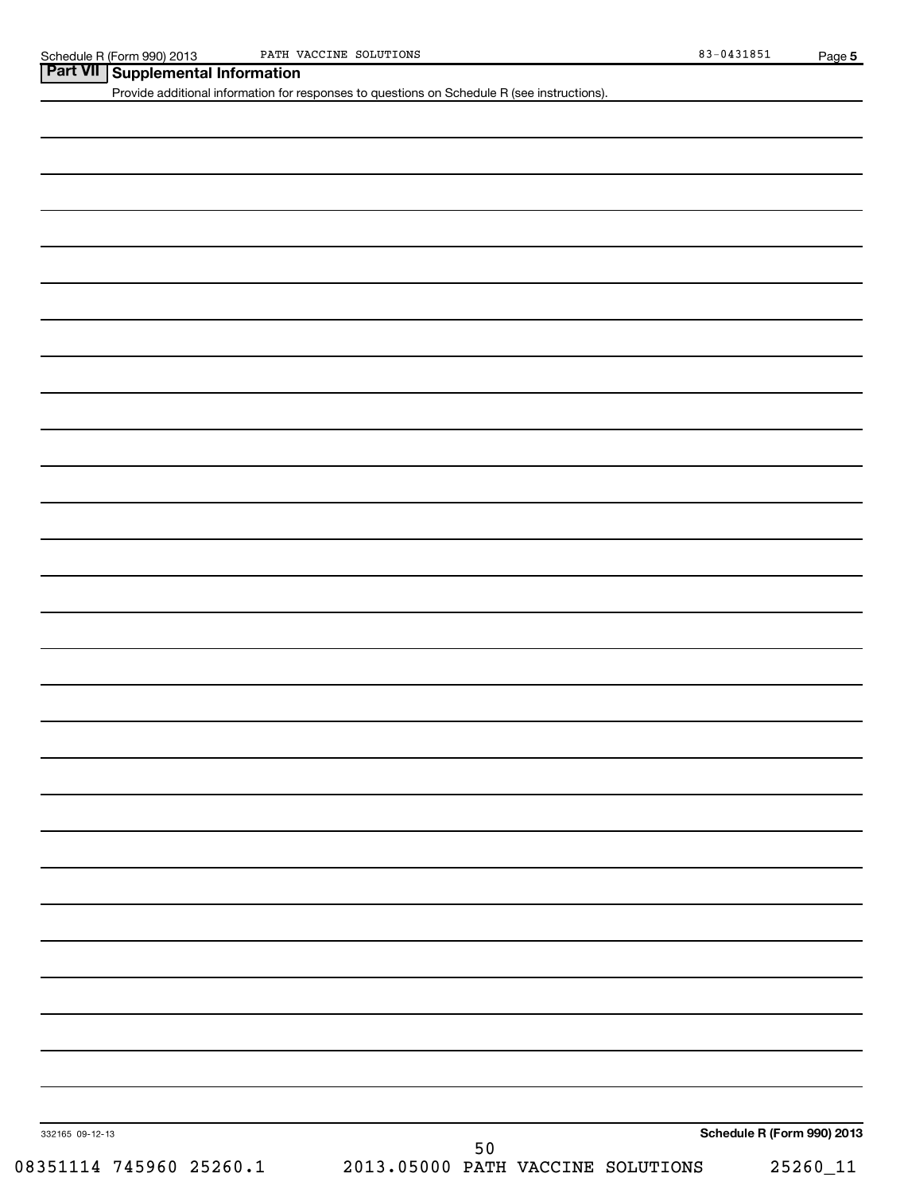| Part VII Supplemental Information |  |
|-----------------------------------|--|
|-----------------------------------|--|

**Supplemental Information**<br>Provide additional information for responses to questions on Schedule R (see instructions).

| 332165 09-12-13<br>08351114 745960 25260.1 | 50<br>2013.05000 PATH VACCINE SOLUTIONS | Schedule R (Form 990) 2013<br>$25260\_11$ |
|--------------------------------------------|-----------------------------------------|-------------------------------------------|
|                                            |                                         |                                           |
|                                            |                                         |                                           |
|                                            |                                         |                                           |
|                                            |                                         |                                           |
|                                            |                                         |                                           |
|                                            |                                         |                                           |
|                                            |                                         |                                           |
|                                            |                                         |                                           |
|                                            |                                         |                                           |
|                                            |                                         |                                           |
|                                            |                                         |                                           |
|                                            |                                         |                                           |
|                                            |                                         |                                           |
|                                            |                                         |                                           |
|                                            |                                         |                                           |
|                                            |                                         |                                           |
|                                            |                                         |                                           |
|                                            |                                         |                                           |
|                                            |                                         |                                           |
|                                            |                                         |                                           |
|                                            |                                         |                                           |
|                                            |                                         |                                           |
|                                            |                                         |                                           |
|                                            |                                         |                                           |
|                                            |                                         |                                           |